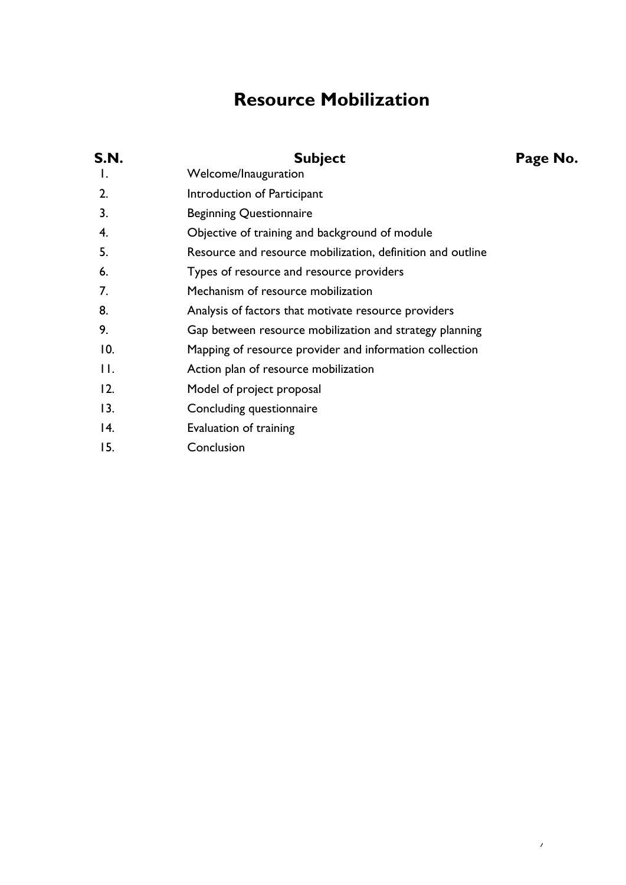# **Resource Mobilization**

| S.N.           | <b>Subject</b>                                             | Page No. |
|----------------|------------------------------------------------------------|----------|
| Ι.             | Welcome/Inauguration                                       |          |
| 2.             | Introduction of Participant                                |          |
| 3.             | <b>Beginning Questionnaire</b>                             |          |
| 4.             | Objective of training and background of module             |          |
| 5.             | Resource and resource mobilization, definition and outline |          |
| 6.             | Types of resource and resource providers                   |          |
| 7.             | Mechanism of resource mobilization                         |          |
| 8.             | Analysis of factors that motivate resource providers       |          |
| 9.             | Gap between resource mobilization and strategy planning    |          |
| 10.            | Mapping of resource provider and information collection    |          |
| $\mathbf{H}$ . | Action plan of resource mobilization                       |          |
| 12.            | Model of project proposal                                  |          |
| 13.            | Concluding questionnaire                                   |          |
| 14.            | Evaluation of training                                     |          |
| 15.            | Conclusion                                                 |          |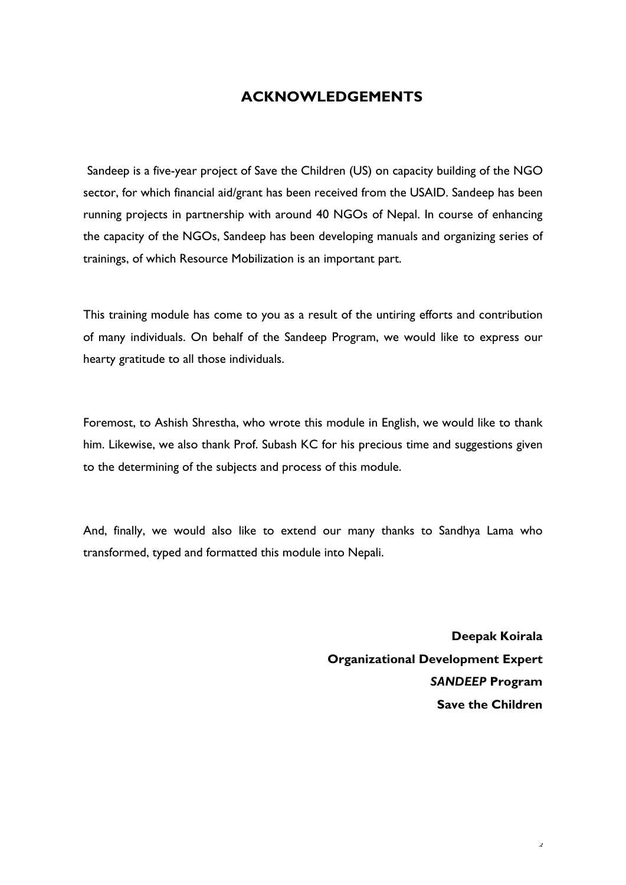### **ACKNOWLEDGEMENTS**

Sandeep is a five-year project of Save the Children (US) on capacity building of the NGO sector, for which financial aid/grant has been received from the USAID. Sandeep has been running projects in partnership with around 40 NGOs of Nepal. In course of enhancing the capacity of the NGOs, Sandeep has been developing manuals and organizing series of trainings, of which Resource Mobilization is an important part.

This training module has come to you as a result of the untiring efforts and contribution of many individuals. On behalf of the Sandeep Program, we would like to express our hearty gratitude to all those individuals.

Foremost, to Ashish Shrestha, who wrote this module in English, we would like to thank him. Likewise, we also thank Prof. Subash KC for his precious time and suggestions given to the determining of the subjects and process of this module.

And, finally, we would also like to extend our many thanks to Sandhya Lama who transformed, typed and formatted this module into Nepali.

> **Deepak Koirala Organizational Development Expert**  *SANDEEP* **Program Save the Children**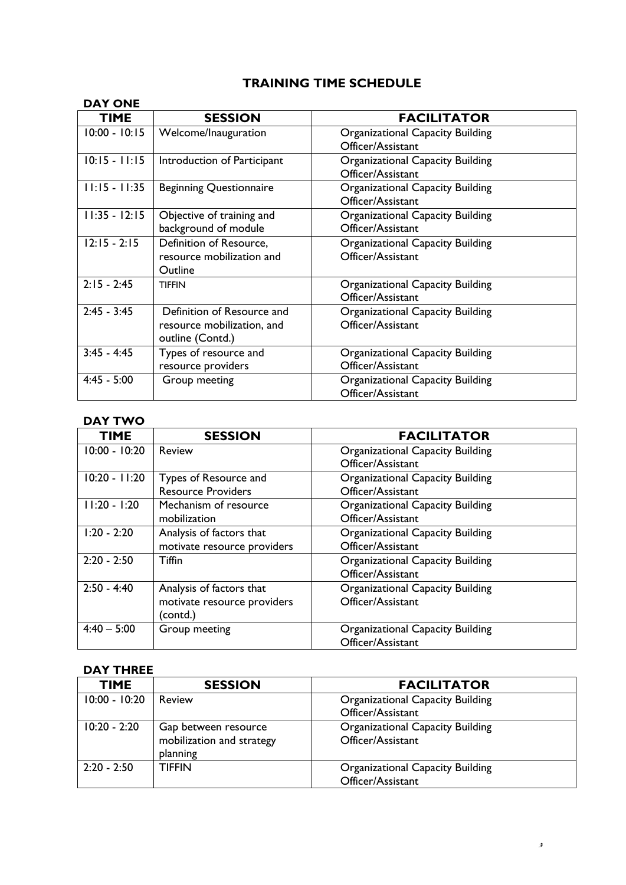## **TRAINING TIME SCHEDULE**

| <b>DAY ONE</b>  |                                                                              |                                                              |
|-----------------|------------------------------------------------------------------------------|--------------------------------------------------------------|
| <b>TIME</b>     | <b>SESSION</b>                                                               | <b>FACILITATOR</b>                                           |
| $10:00 - 10:15$ | Welcome/Inauguration                                                         | <b>Organizational Capacity Building</b><br>Officer/Assistant |
| $10:15 - 11:15$ | Introduction of Participant                                                  | <b>Organizational Capacity Building</b><br>Officer/Assistant |
| $11:15 - 11:35$ | <b>Beginning Questionnaire</b>                                               | Organizational Capacity Building<br>Officer/Assistant        |
| $11:35 - 12:15$ | Objective of training and<br>background of module                            | Organizational Capacity Building<br>Officer/Assistant        |
| $12:15 - 2:15$  | Definition of Resource,<br>resource mobilization and<br>Outline              | <b>Organizational Capacity Building</b><br>Officer/Assistant |
| $2:15 - 2:45$   | <b>TIFFIN</b>                                                                | <b>Organizational Capacity Building</b><br>Officer/Assistant |
| $2:45 - 3:45$   | Definition of Resource and<br>resource mobilization, and<br>outline (Contd.) | Organizational Capacity Building<br>Officer/Assistant        |
| $3:45 - 4:45$   | Types of resource and<br>resource providers                                  | Organizational Capacity Building<br>Officer/Assistant        |
| $4:45 - 5:00$   | Group meeting                                                                | <b>Organizational Capacity Building</b><br>Officer/Assistant |

#### **DAY TWO**

| <b>TIME</b>     | <b>SESSION</b>              | <b>FACILITATOR</b>                      |
|-----------------|-----------------------------|-----------------------------------------|
| $10:00 - 10:20$ | Review                      | <b>Organizational Capacity Building</b> |
|                 |                             | Officer/Assistant                       |
| $10:20 - 11:20$ | Types of Resource and       | <b>Organizational Capacity Building</b> |
|                 | <b>Resource Providers</b>   | Officer/Assistant                       |
| $11:20 - 1:20$  | Mechanism of resource       | <b>Organizational Capacity Building</b> |
|                 | mobilization                | Officer/Assistant                       |
| $1:20 - 2:20$   | Analysis of factors that    | Organizational Capacity Building        |
|                 | motivate resource providers | Officer/Assistant                       |
| $2:20 - 2:50$   | Tiffin                      | <b>Organizational Capacity Building</b> |
|                 |                             | Officer/Assistant                       |
| $2:50 - 4:40$   | Analysis of factors that    | Organizational Capacity Building        |
|                 | motivate resource providers | Officer/Assistant                       |
|                 | (contd.)                    |                                         |
| $4:40 - 5:00$   | Group meeting               | <b>Organizational Capacity Building</b> |
|                 |                             | Officer/Assistant                       |

#### **DAY THREE**

| <b>TIME</b>     | <b>SESSION</b>                                                | <b>FACILITATOR</b>                                           |
|-----------------|---------------------------------------------------------------|--------------------------------------------------------------|
| $10:00 - 10:20$ | Review                                                        | <b>Organizational Capacity Building</b><br>Officer/Assistant |
| $10:20 - 2:20$  | Gap between resource<br>mobilization and strategy<br>planning | <b>Organizational Capacity Building</b><br>Officer/Assistant |
| $2:20 - 2:50$   | <b>TIFFIN</b>                                                 | <b>Organizational Capacity Building</b><br>Officer/Assistant |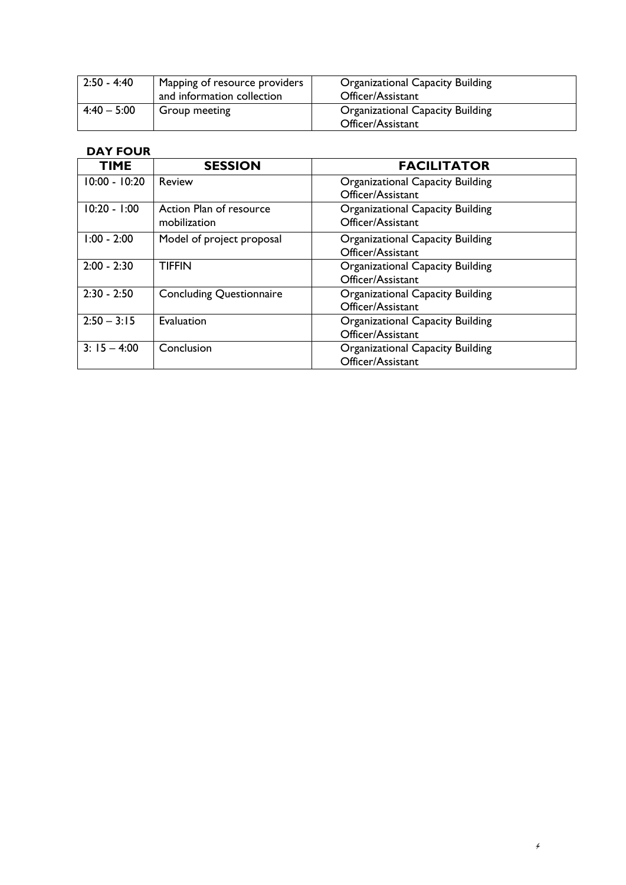| $2:50 - 4:40$ | Mapping of resource providers<br>and information collection | <b>Organizational Capacity Building</b><br>Officer/Assistant |
|---------------|-------------------------------------------------------------|--------------------------------------------------------------|
| $4:40 - 5:00$ | Group meeting                                               | <b>Organizational Capacity Building</b><br>Officer/Assistant |

#### **DAY FOUR**

| <b>TIME</b>     | <b>SESSION</b>                  | <b>FACILITATOR</b>                      |
|-----------------|---------------------------------|-----------------------------------------|
| $10:00 - 10:20$ | Review                          | <b>Organizational Capacity Building</b> |
|                 |                                 | Officer/Assistant                       |
| $10:20 - 1:00$  | Action Plan of resource         | Organizational Capacity Building        |
|                 | mobilization                    | Officer/Assistant                       |
| $1:00 - 2:00$   | Model of project proposal       | <b>Organizational Capacity Building</b> |
|                 |                                 | Officer/Assistant                       |
| $2:00 - 2:30$   | <b>TIFFIN</b>                   | Organizational Capacity Building        |
|                 |                                 | Officer/Assistant                       |
| $2:30 - 2:50$   | <b>Concluding Questionnaire</b> | <b>Organizational Capacity Building</b> |
|                 |                                 | Officer/Assistant                       |
| $2:50 - 3:15$   | Evaluation                      | <b>Organizational Capacity Building</b> |
|                 |                                 | Officer/Assistant                       |
| $3: 15 - 4:00$  | Conclusion                      | <b>Organizational Capacity Building</b> |
|                 |                                 | Officer/Assistant                       |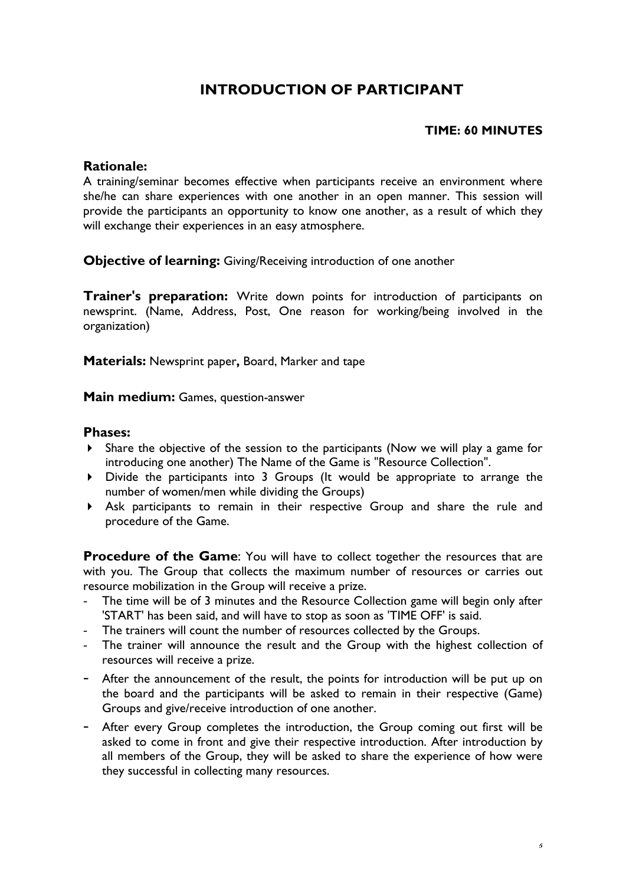# **INTRODUCTION OF PARTICIPANT**

#### **TIME: 60 MINUTES**

#### **Rationale:**

A training/seminar becomes effective when participants receive an environment where she/he can share experiences with one another in an open manner. This session will provide the participants an opportunity to know one another, as a result of which they will exchange their experiences in an easy atmosphere.

**Objective of learning:** Giving/Receiving introduction of one another

**Trainer's preparation:** Write down points for introduction of participants on newsprint. (Name, Address, Post, One reason for working/being involved in the organization)

**Materials:** Newsprint paper**,** Board, Marker and tape

**Main medium:** Games, question-answer

#### **Phases:**

- Share the objective of the session to the participants (Now we will play a game for introducing one another) The Name of the Game is "Resource Collection".
- Divide the participants into 3 Groups (It would be appropriate to arrange the number of women/men while dividing the Groups)
- Ask participants to remain in their respective Group and share the rule and procedure of the Game.

**Procedure of the Game:** You will have to collect together the resources that are with you. The Group that collects the maximum number of resources or carries out resource mobilization in the Group will receive a prize.

- The time will be of 3 minutes and the Resource Collection game will begin only after 'START' has been said, and will have to stop as soon as 'TIME OFF' is said.
- The trainers will count the number of resources collected by the Groups.
- The trainer will announce the result and the Group with the highest collection of resources will receive a prize.
- After the announcement of the result, the points for introduction will be put up on the board and the participants will be asked to remain in their respective (Game) Groups and give/receive introduction of one another.
- After every Group completes the introduction, the Group coming out first will be asked to come in front and give their respective introduction. After introduction by all members of the Group, they will be asked to share the experience of how were they successful in collecting many resources.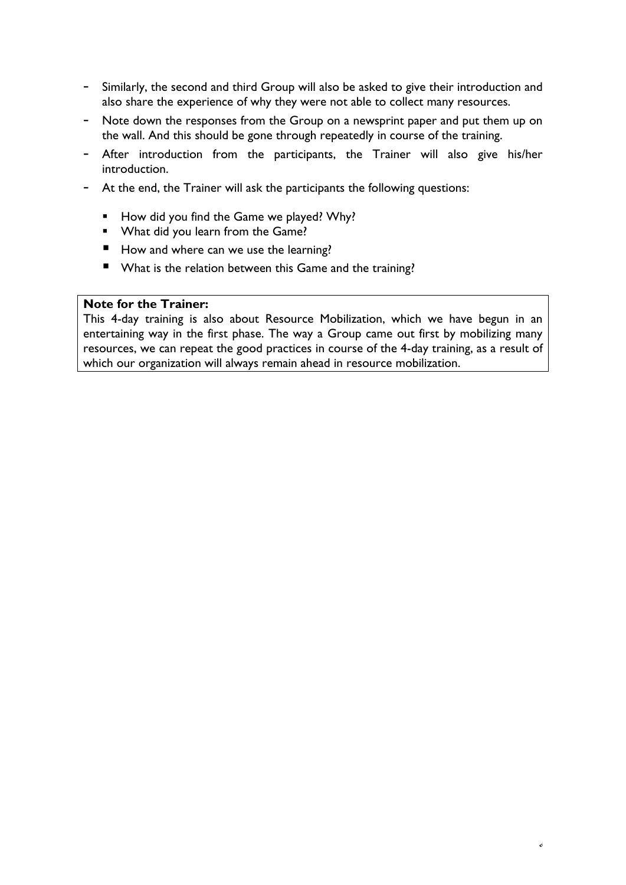- Similarly, the second and third Group will also be asked to give their introduction and also share the experience of why they were not able to collect many resources.
- Note down the responses from the Group on a newsprint paper and put them up on the wall. And this should be gone through repeatedly in course of the training.
- After introduction from the participants, the Trainer will also give his/her introduction.
- At the end, the Trainer will ask the participants the following questions:
	- How did you find the Game we played? Why?
	- **What did you learn from the Game?**
	- How and where can we use the learning?
	- What is the relation between this Game and the training?

#### **Note for the Trainer:**

This 4-day training is also about Resource Mobilization, which we have begun in an entertaining way in the first phase. The way a Group came out first by mobilizing many resources, we can repeat the good practices in course of the 4-day training, as a result of which our organization will always remain ahead in resource mobilization.

6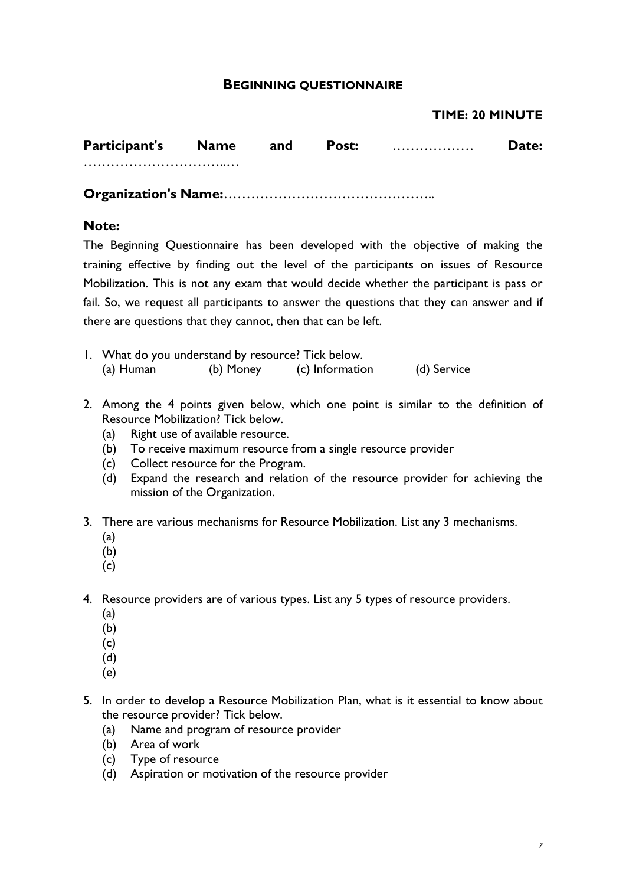#### **BEGINNING QUESTIONNAIRE**

#### **TIME: 20 MINUTE**

| <b>Participant's Name and</b> |  | <b>Post:</b> | <b>Date:</b> |
|-------------------------------|--|--------------|--------------|
|                               |  |              |              |
|                               |  |              |              |

#### **Note:**

The Beginning Questionnaire has been developed with the objective of making the training effective by finding out the level of the participants on issues of Resource Mobilization. This is not any exam that would decide whether the participant is pass or fail. So, we request all participants to answer the questions that they can answer and if there are questions that they cannot, then that can be left.

- 1. What do you understand by resource? Tick below. (a) Human (b) Money (c) Information (d) Service
- 2. Among the 4 points given below, which one point is similar to the definition of Resource Mobilization? Tick below.
	- (a) Right use of available resource.
	- (b) To receive maximum resource from a single resource provider
	- (c) Collect resource for the Program.
	- (d) Expand the research and relation of the resource provider for achieving the mission of the Organization.
- 3. There are various mechanisms for Resource Mobilization. List any 3 mechanisms.
	- (a)
	- (b)
	- (c)

4. Resource providers are of various types. List any 5 types of resource providers.

- (a)
- (b)
- (c)
- (d)
- (e)
- 5. In order to develop a Resource Mobilization Plan, what is it essential to know about the resource provider? Tick below.
	- (a) Name and program of resource provider
	- (b) Area of work
	- (c) Type of resource
	- (d) Aspiration or motivation of the resource provider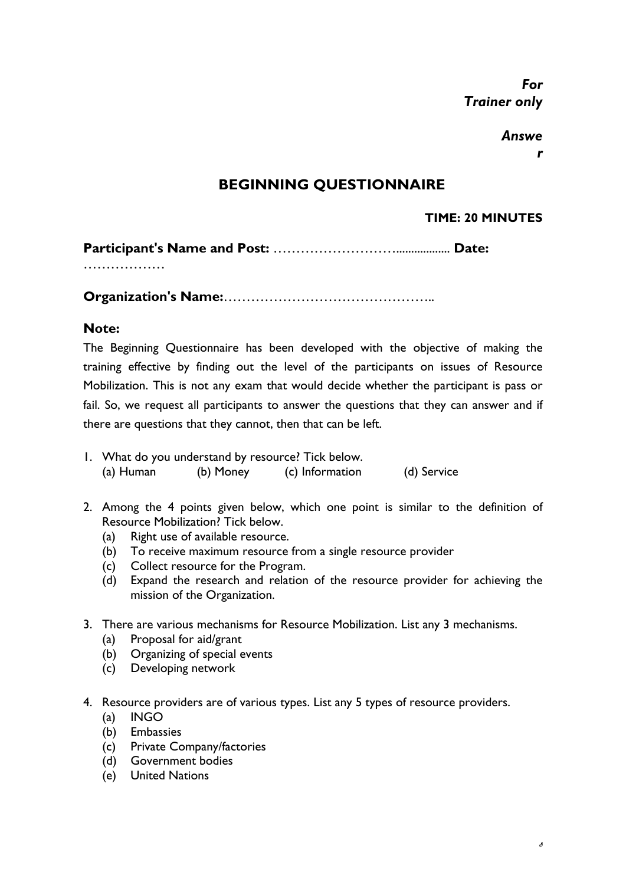*For Trainer only*

### *Answe*

*r* 

## **BEGINNING QUESTIONNAIRE**

### **TIME: 20 MINUTES**

|--|--|--|

………………

**Organization's Name:**………………………………………..

### **Note:**

The Beginning Questionnaire has been developed with the objective of making the training effective by finding out the level of the participants on issues of Resource Mobilization. This is not any exam that would decide whether the participant is pass or fail. So, we request all participants to answer the questions that they can answer and if there are questions that they cannot, then that can be left.

- 1. What do you understand by resource? Tick below. (a) Human (b) Money (c) Information (d) Service
- 2. Among the 4 points given below, which one point is similar to the definition of Resource Mobilization? Tick below.
	- (a) Right use of available resource.
	- (b) To receive maximum resource from a single resource provider
	- (c) Collect resource for the Program.
	- (d) Expand the research and relation of the resource provider for achieving the mission of the Organization.
- 3. There are various mechanisms for Resource Mobilization. List any 3 mechanisms.
	- (a) Proposal for aid/grant
	- (b) Organizing of special events
	- (c) Developing network
- 4. Resource providers are of various types. List any 5 types of resource providers.
	- (a) INGO
	- (b) Embassies
	- (c) Private Company/factories
	- (d) Government bodies
	- (e) United Nations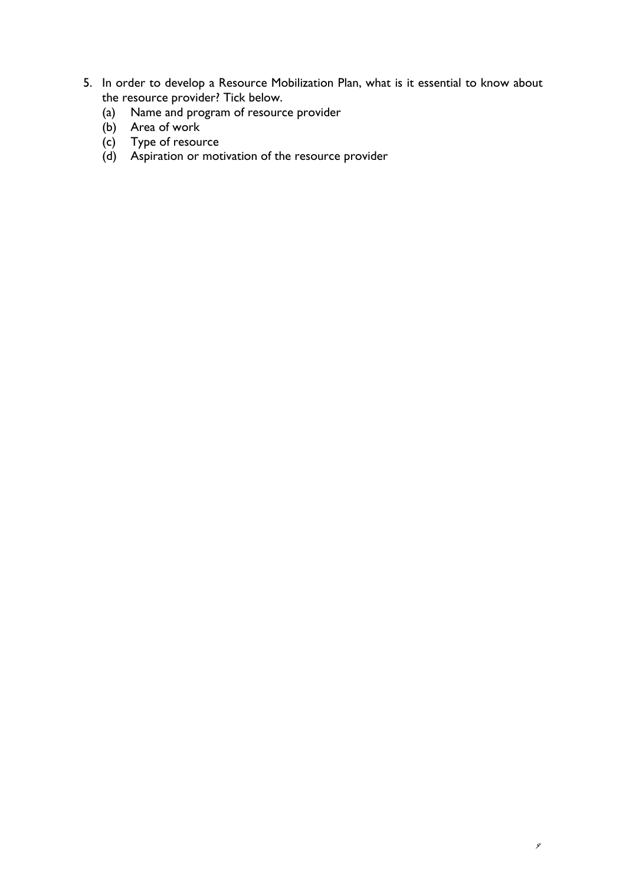- 5. In order to develop a Resource Mobilization Plan, what is it essential to know about the resource provider? Tick below.
	- (a) Name and program of resource provider
	- (b) Area of work
	- (c) Type of resource
	- (d) Aspiration or motivation of the resource provider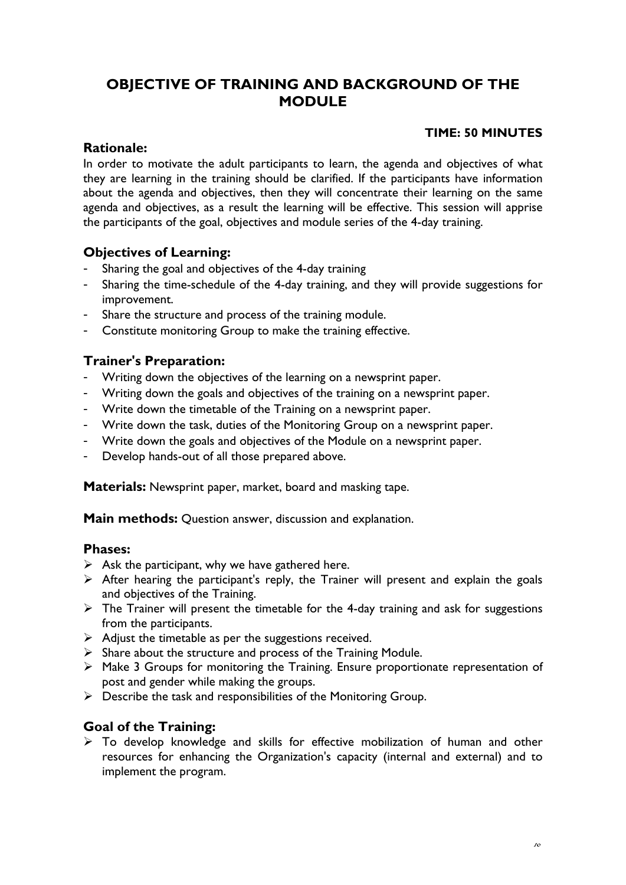## **OBJECTIVE OF TRAINING AND BACKGROUND OF THE MODULE**

#### **TIME: 50 MINUTES**

#### **Rationale:**

In order to motivate the adult participants to learn, the agenda and objectives of what they are learning in the training should be clarified. If the participants have information about the agenda and objectives, then they will concentrate their learning on the same agenda and objectives, as a result the learning will be effective. This session will apprise the participants of the goal, objectives and module series of the 4-day training.

### **Objectives of Learning:**

- Sharing the goal and objectives of the 4-day training
- Sharing the time-schedule of the 4-day training, and they will provide suggestions for improvement.
- Share the structure and process of the training module.
- Constitute monitoring Group to make the training effective.

### **Trainer's Preparation:**

- Writing down the objectives of the learning on a newsprint paper.
- Writing down the goals and objectives of the training on a newsprint paper.
- Write down the timetable of the Training on a newsprint paper.
- Write down the task, duties of the Monitoring Group on a newsprint paper.
- Write down the goals and objectives of the Module on a newsprint paper.
- Develop hands-out of all those prepared above.

**Materials:** Newsprint paper, market, board and masking tape.

**Main methods:** Question answer, discussion and explanation.

#### **Phases:**

- $\triangleright$  Ask the participant, why we have gathered here.
- $\triangleright$  After hearing the participant's reply, the Trainer will present and explain the goals and objectives of the Training.
- $\triangleright$  The Trainer will present the timetable for the 4-day training and ask for suggestions from the participants.
- $\triangleright$  Adjust the timetable as per the suggestions received.
- $\triangleright$  Share about the structure and process of the Training Module.
- ¾ Make 3 Groups for monitoring the Training. Ensure proportionate representation of post and gender while making the groups.
- $\triangleright$  Describe the task and responsibilities of the Monitoring Group.

### **Goal of the Training:**

 $\triangleright$  To develop knowledge and skills for effective mobilization of human and other resources for enhancing the Organization's capacity (internal and external) and to implement the program.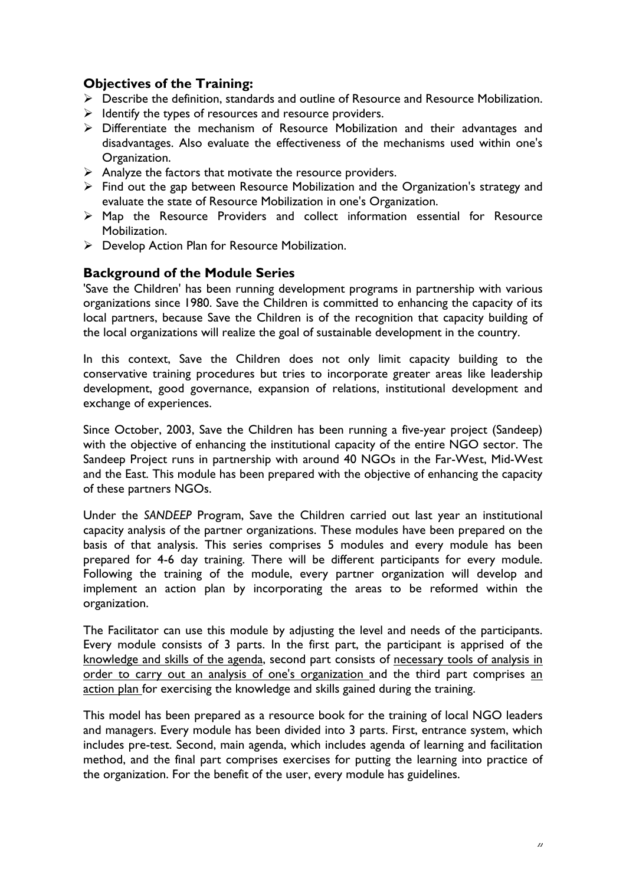### **Objectives of the Training:**

- ¾ Describe the definition, standards and outline of Resource and Resource Mobilization.
- $\triangleright$  Identify the types of resources and resource providers.
- ¾ Differentiate the mechanism of Resource Mobilization and their advantages and disadvantages. Also evaluate the effectiveness of the mechanisms used within one's Organization.
- $\triangleright$  Analyze the factors that motivate the resource providers.
- $\triangleright$  Find out the gap between Resource Mobilization and the Organization's strategy and evaluate the state of Resource Mobilization in one's Organization.
- ¾ Map the Resource Providers and collect information essential for Resource Mobilization.
- ¾ Develop Action Plan for Resource Mobilization.

#### **Background of the Module Series**

'Save the Children' has been running development programs in partnership with various organizations since 1980. Save the Children is committed to enhancing the capacity of its local partners, because Save the Children is of the recognition that capacity building of the local organizations will realize the goal of sustainable development in the country.

In this context, Save the Children does not only limit capacity building to the conservative training procedures but tries to incorporate greater areas like leadership development, good governance, expansion of relations, institutional development and exchange of experiences.

Since October, 2003, Save the Children has been running a five-year project (Sandeep) with the objective of enhancing the institutional capacity of the entire NGO sector. The Sandeep Project runs in partnership with around 40 NGOs in the Far-West, Mid-West and the East. This module has been prepared with the objective of enhancing the capacity of these partners NGOs.

Under the *SANDEEP* Program, Save the Children carried out last year an institutional capacity analysis of the partner organizations. These modules have been prepared on the basis of that analysis. This series comprises 5 modules and every module has been prepared for 4-6 day training. There will be different participants for every module. Following the training of the module, every partner organization will develop and implement an action plan by incorporating the areas to be reformed within the organization.

The Facilitator can use this module by adjusting the level and needs of the participants. Every module consists of 3 parts. In the first part, the participant is apprised of the knowledge and skills of the agenda, second part consists of necessary tools of analysis in order to carry out an analysis of one's organization and the third part comprises an action plan for exercising the knowledge and skills gained during the training.

This model has been prepared as a resource book for the training of local NGO leaders and managers. Every module has been divided into 3 parts. First, entrance system, which includes pre-test. Second, main agenda, which includes agenda of learning and facilitation method, and the final part comprises exercises for putting the learning into practice of the organization. For the benefit of the user, every module has guidelines.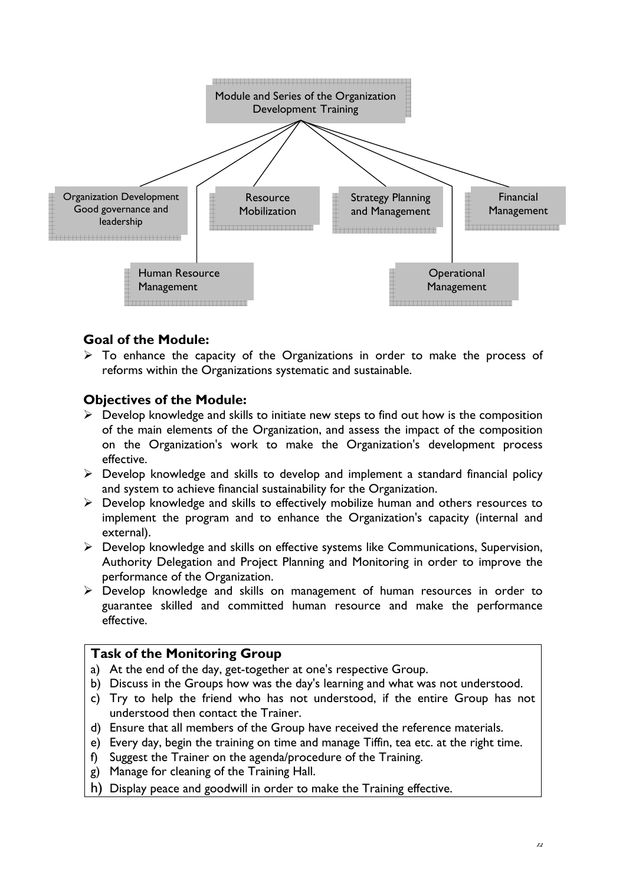

### **Goal of the Module:**

 $\triangleright$  To enhance the capacity of the Organizations in order to make the process of reforms within the Organizations systematic and sustainable.

#### **Objectives of the Module:**

- $\triangleright$  Develop knowledge and skills to initiate new steps to find out how is the composition of the main elements of the Organization, and assess the impact of the composition on the Organization's work to make the Organization's development process effective.
- $\triangleright$  Develop knowledge and skills to develop and implement a standard financial policy and system to achieve financial sustainability for the Organization.
- ¾ Develop knowledge and skills to effectively mobilize human and others resources to implement the program and to enhance the Organization's capacity (internal and external).
- ¾ Develop knowledge and skills on effective systems like Communications, Supervision, Authority Delegation and Project Planning and Monitoring in order to improve the performance of the Organization.
- $\triangleright$  Develop knowledge and skills on management of human resources in order to guarantee skilled and committed human resource and make the performance effective.

#### **Task of the Monitoring Group**

- a) At the end of the day, get-together at one's respective Group.
- b) Discuss in the Groups how was the day's learning and what was not understood.
- c) Try to help the friend who has not understood, if the entire Group has not understood then contact the Trainer.
- d) Ensure that all members of the Group have received the reference materials.
- e) Every day, begin the training on time and manage Tiffin, tea etc. at the right time.
- f) Suggest the Trainer on the agenda/procedure of the Training.
- g) Manage for cleaning of the Training Hall.
- h) Display peace and goodwill in order to make the Training effective.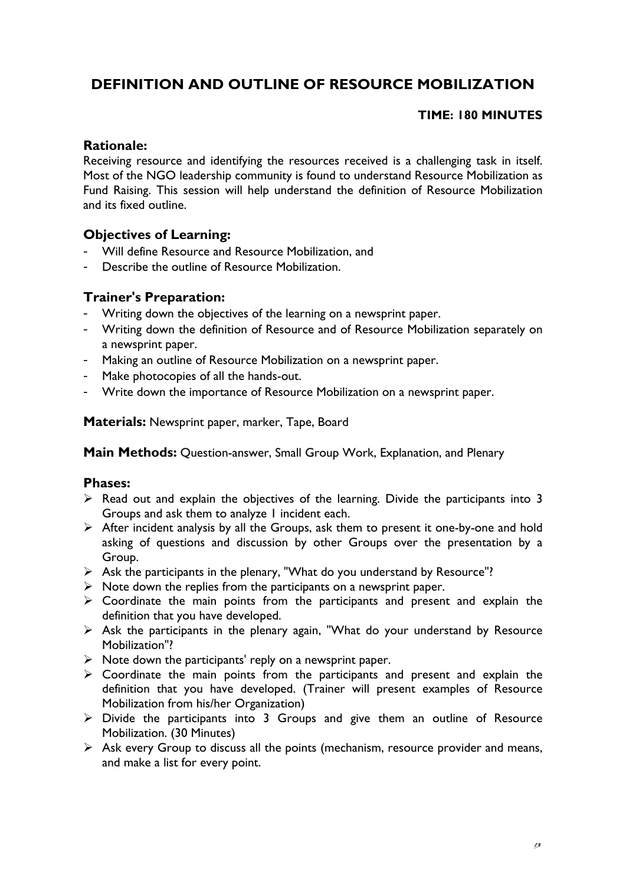# **DEFINITION AND OUTLINE OF RESOURCE MOBILIZATION**

### **TIME: 180 MINUTES**

#### **Rationale:**

Receiving resource and identifying the resources received is a challenging task in itself. Most of the NGO leadership community is found to understand Resource Mobilization as Fund Raising. This session will help understand the definition of Resource Mobilization and its fixed outline.

### **Objectives of Learning:**

- Will define Resource and Resource Mobilization, and
- Describe the outline of Resource Mobilization.

#### **Trainer's Preparation:**

- Writing down the objectives of the learning on a newsprint paper.
- Writing down the definition of Resource and of Resource Mobilization separately on a newsprint paper.
- Making an outline of Resource Mobilization on a newsprint paper.
- Make photocopies of all the hands-out.
- Write down the importance of Resource Mobilization on a newsprint paper.

**Materials:** Newsprint paper, marker, Tape, Board

**Main Methods:** Question-answer, Small Group Work, Explanation, and Plenary

#### **Phases:**

- $\triangleright$  Read out and explain the objectives of the learning. Divide the participants into 3 Groups and ask them to analyze 1 incident each.
- $\triangleright$  After incident analysis by all the Groups, ask them to present it one-by-one and hold asking of questions and discussion by other Groups over the presentation by a Group.
- ¾ Ask the participants in the plenary, "What do you understand by Resource"?
- $\triangleright$  Note down the replies from the participants on a newsprint paper.
- $\triangleright$  Coordinate the main points from the participants and present and explain the definition that you have developed.
- $\triangleright$  Ask the participants in the plenary again, "What do your understand by Resource Mobilization"?
- $\triangleright$  Note down the participants' reply on a newsprint paper.
- $\triangleright$  Coordinate the main points from the participants and present and explain the definition that you have developed. (Trainer will present examples of Resource Mobilization from his/her Organization)
- $\triangleright$  Divide the participants into 3 Groups and give them an outline of Resource Mobilization. (30 Minutes)
- $\triangleright$  Ask every Group to discuss all the points (mechanism, resource provider and means, and make a list for every point.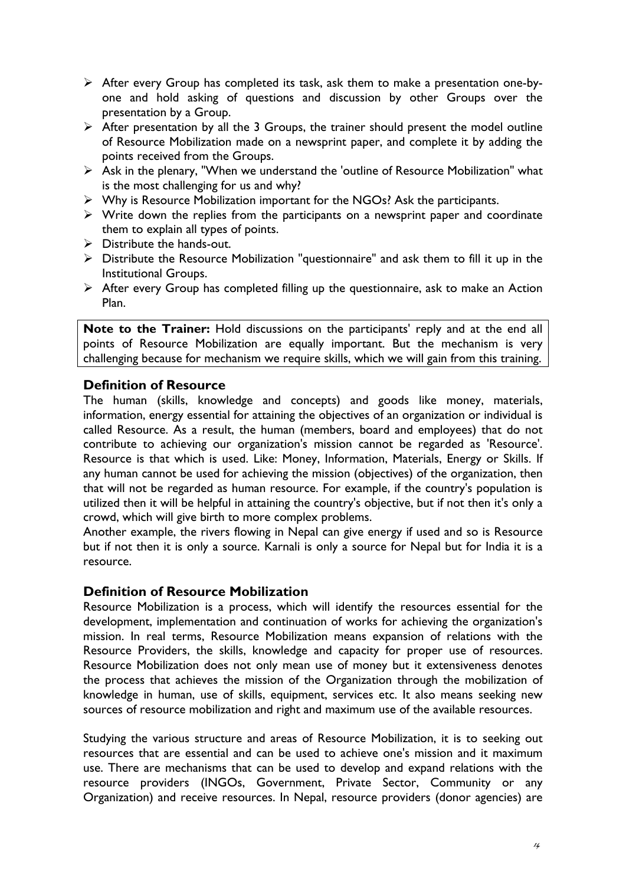- $\triangleright$  After every Group has completed its task, ask them to make a presentation one-byone and hold asking of questions and discussion by other Groups over the presentation by a Group.
- $\triangleright$  After presentation by all the 3 Groups, the trainer should present the model outline of Resource Mobilization made on a newsprint paper, and complete it by adding the points received from the Groups.
- ¾ Ask in the plenary, "When we understand the 'outline of Resource Mobilization" what is the most challenging for us and why?
- ¾ Why is Resource Mobilization important for the NGOs? Ask the participants.
- $\triangleright$  Write down the replies from the participants on a newsprint paper and coordinate them to explain all types of points.
- $\triangleright$  Distribute the hands-out.
- ¾ Distribute the Resource Mobilization "questionnaire" and ask them to fill it up in the Institutional Groups.
- $\triangleright$  After every Group has completed filling up the questionnaire, ask to make an Action Plan.

**Note to the Trainer:** Hold discussions on the participants' reply and at the end all points of Resource Mobilization are equally important. But the mechanism is very challenging because for mechanism we require skills, which we will gain from this training.

### **Definition of Resource**

The human (skills, knowledge and concepts) and goods like money, materials, information, energy essential for attaining the objectives of an organization or individual is called Resource. As a result, the human (members, board and employees) that do not contribute to achieving our organization's mission cannot be regarded as 'Resource'. Resource is that which is used. Like: Money, Information, Materials, Energy or Skills. If any human cannot be used for achieving the mission (objectives) of the organization, then that will not be regarded as human resource. For example, if the country's population is utilized then it will be helpful in attaining the country's objective, but if not then it's only a crowd, which will give birth to more complex problems.

Another example, the rivers flowing in Nepal can give energy if used and so is Resource but if not then it is only a source. Karnali is only a source for Nepal but for India it is a resource.

#### **Definition of Resource Mobilization**

Resource Mobilization is a process, which will identify the resources essential for the development, implementation and continuation of works for achieving the organization's mission. In real terms, Resource Mobilization means expansion of relations with the Resource Providers, the skills, knowledge and capacity for proper use of resources. Resource Mobilization does not only mean use of money but it extensiveness denotes the process that achieves the mission of the Organization through the mobilization of knowledge in human, use of skills, equipment, services etc. It also means seeking new sources of resource mobilization and right and maximum use of the available resources.

Studying the various structure and areas of Resource Mobilization, it is to seeking out resources that are essential and can be used to achieve one's mission and it maximum use. There are mechanisms that can be used to develop and expand relations with the resource providers (INGOs, Government, Private Sector, Community or any Organization) and receive resources. In Nepal, resource providers (donor agencies) are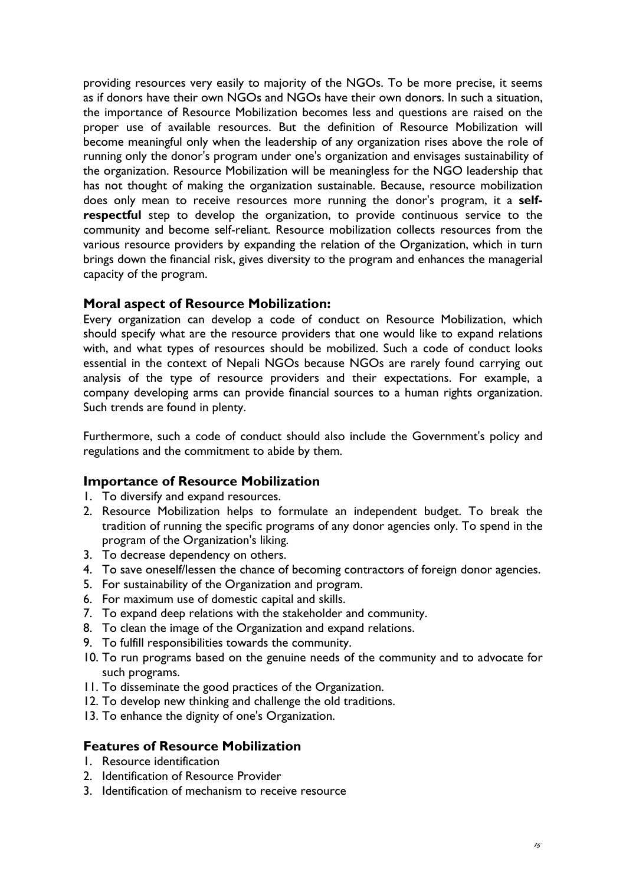providing resources very easily to majority of the NGOs. To be more precise, it seems as if donors have their own NGOs and NGOs have their own donors. In such a situation, the importance of Resource Mobilization becomes less and questions are raised on the proper use of available resources. But the definition of Resource Mobilization will become meaningful only when the leadership of any organization rises above the role of running only the donor's program under one's organization and envisages sustainability of the organization. Resource Mobilization will be meaningless for the NGO leadership that has not thought of making the organization sustainable. Because, resource mobilization does only mean to receive resources more running the donor's program, it a **selfrespectful** step to develop the organization, to provide continuous service to the community and become self-reliant. Resource mobilization collects resources from the various resource providers by expanding the relation of the Organization, which in turn brings down the financial risk, gives diversity to the program and enhances the managerial capacity of the program.

#### **Moral aspect of Resource Mobilization:**

Every organization can develop a code of conduct on Resource Mobilization, which should specify what are the resource providers that one would like to expand relations with, and what types of resources should be mobilized. Such a code of conduct looks essential in the context of Nepali NGOs because NGOs are rarely found carrying out analysis of the type of resource providers and their expectations. For example, a company developing arms can provide financial sources to a human rights organization. Such trends are found in plenty.

Furthermore, such a code of conduct should also include the Government's policy and regulations and the commitment to abide by them.

#### **Importance of Resource Mobilization**

- 1. To diversify and expand resources.
- 2. Resource Mobilization helps to formulate an independent budget. To break the tradition of running the specific programs of any donor agencies only. To spend in the program of the Organization's liking.
- 3. To decrease dependency on others.
- 4. To save oneself/lessen the chance of becoming contractors of foreign donor agencies.
- 5. For sustainability of the Organization and program.
- 6. For maximum use of domestic capital and skills.
- 7. To expand deep relations with the stakeholder and community.
- 8. To clean the image of the Organization and expand relations.
- 9. To fulfill responsibilities towards the community.
- 10. To run programs based on the genuine needs of the community and to advocate for such programs.
- 11. To disseminate the good practices of the Organization.
- 12. To develop new thinking and challenge the old traditions.
- 13. To enhance the dignity of one's Organization.

#### **Features of Resource Mobilization**

- 1. Resource identification
- 2. Identification of Resource Provider
- 3. Identification of mechanism to receive resource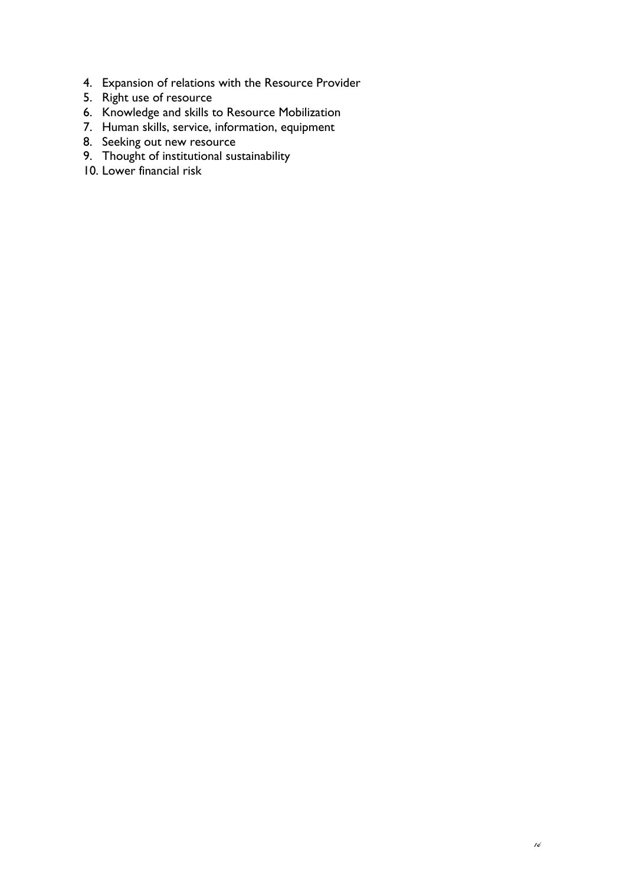- 4. Expansion of relations with the Resource Provider
- 5. Right use of resource
- 6. Knowledge and skills to Resource Mobilization
- 7. Human skills, service, information, equipment
- 8. Seeking out new resource
- 9. Thought of institutional sustainability
- 10. Lower financial risk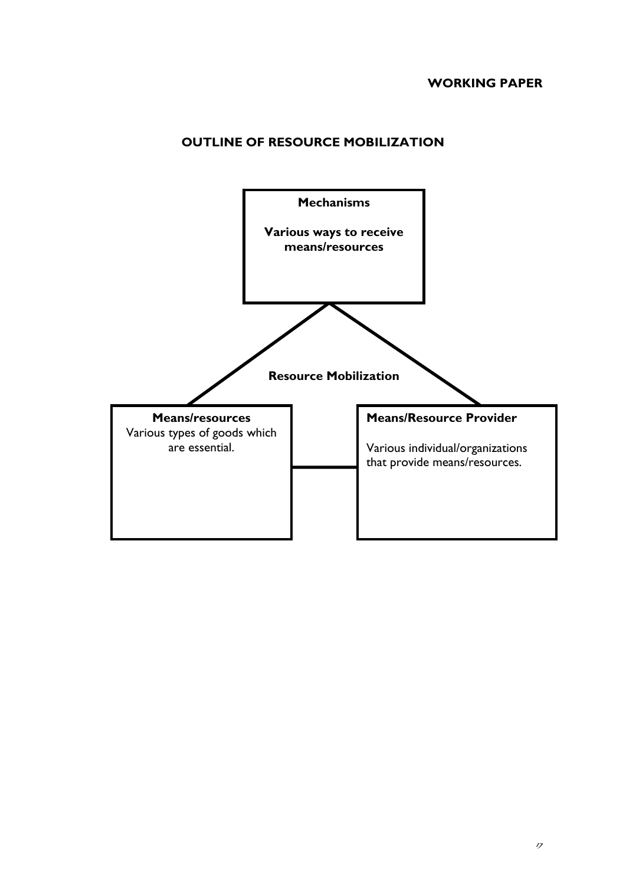### **OUTLINE OF RESOURCE MOBILIZATION**

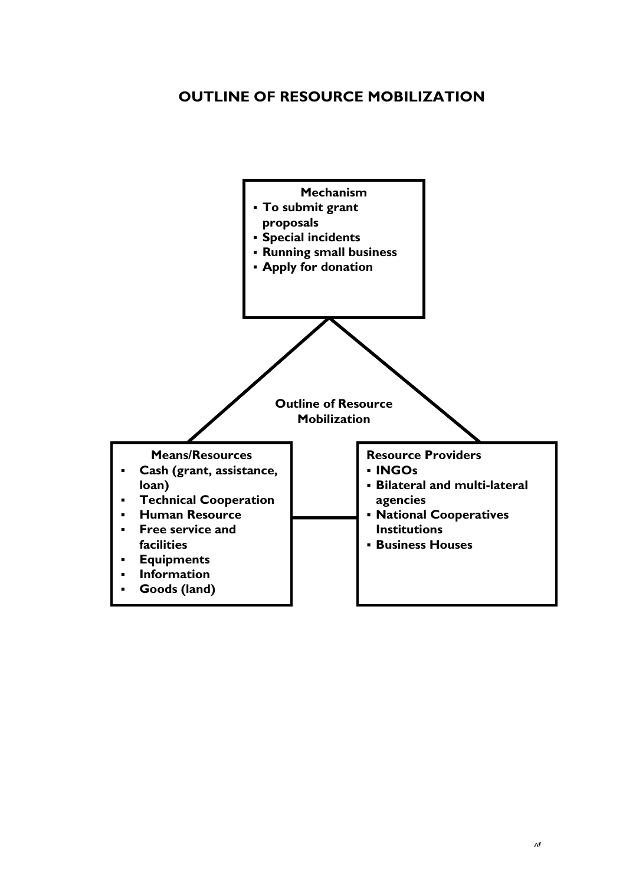## **OUTLINE OF RESOURCE MOBILIZATION**

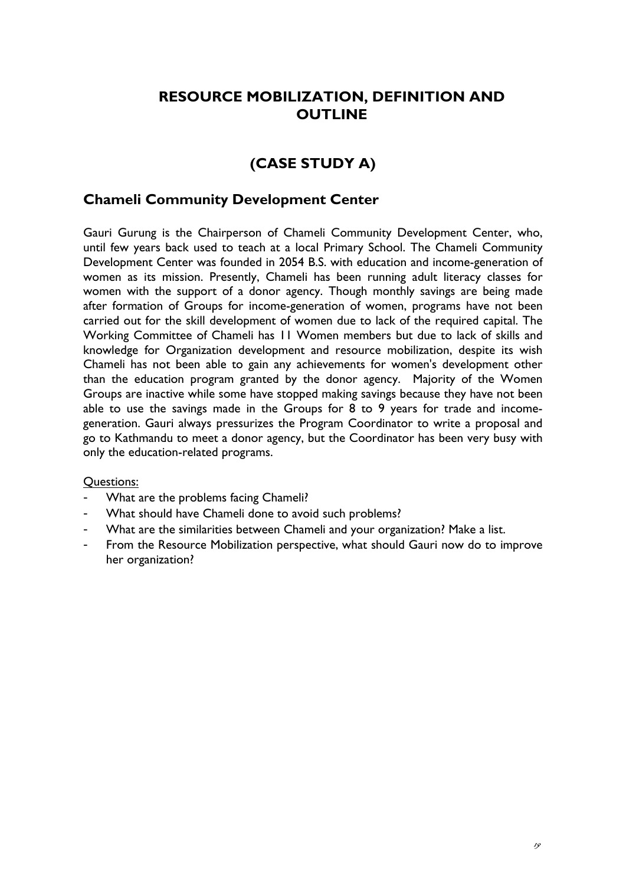# **RESOURCE MOBILIZATION, DEFINITION AND OUTLINE**

# **(CASE STUDY A)**

#### **Chameli Community Development Center**

Gauri Gurung is the Chairperson of Chameli Community Development Center, who, until few years back used to teach at a local Primary School. The Chameli Community Development Center was founded in 2054 B.S. with education and income-generation of women as its mission. Presently, Chameli has been running adult literacy classes for women with the support of a donor agency. Though monthly savings are being made after formation of Groups for income-generation of women, programs have not been carried out for the skill development of women due to lack of the required capital. The Working Committee of Chameli has 11 Women members but due to lack of skills and knowledge for Organization development and resource mobilization, despite its wish Chameli has not been able to gain any achievements for women's development other than the education program granted by the donor agency. Majority of the Women Groups are inactive while some have stopped making savings because they have not been able to use the savings made in the Groups for 8 to 9 years for trade and incomegeneration. Gauri always pressurizes the Program Coordinator to write a proposal and go to Kathmandu to meet a donor agency, but the Coordinator has been very busy with only the education-related programs.

#### Questions:

- What are the problems facing Chameli?
- What should have Chameli done to avoid such problems?
- What are the similarities between Chameli and your organization? Make a list.
- From the Resource Mobilization perspective, what should Gauri now do to improve her organization?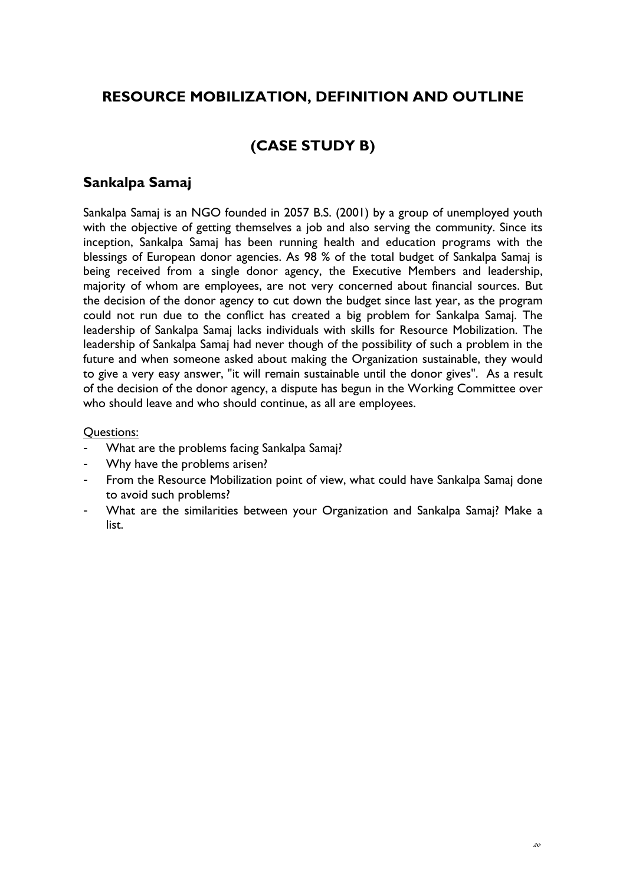# **RESOURCE MOBILIZATION, DEFINITION AND OUTLINE**

# **(CASE STUDY B)**

### **Sankalpa Samaj**

Sankalpa Samaj is an NGO founded in 2057 B.S. (2001) by a group of unemployed youth with the objective of getting themselves a job and also serving the community. Since its inception, Sankalpa Samaj has been running health and education programs with the blessings of European donor agencies. As 98 % of the total budget of Sankalpa Samaj is being received from a single donor agency, the Executive Members and leadership, majority of whom are employees, are not very concerned about financial sources. But the decision of the donor agency to cut down the budget since last year, as the program could not run due to the conflict has created a big problem for Sankalpa Samaj. The leadership of Sankalpa Samaj lacks individuals with skills for Resource Mobilization. The leadership of Sankalpa Samaj had never though of the possibility of such a problem in the future and when someone asked about making the Organization sustainable, they would to give a very easy answer, "it will remain sustainable until the donor gives". As a result of the decision of the donor agency, a dispute has begun in the Working Committee over who should leave and who should continue, as all are employees.

#### Questions:

- What are the problems facing Sankalpa Samaj?
- Why have the problems arisen?
- From the Resource Mobilization point of view, what could have Sankalpa Samaj done to avoid such problems?
- What are the similarities between your Organization and Sankalpa Samaj? Make a list.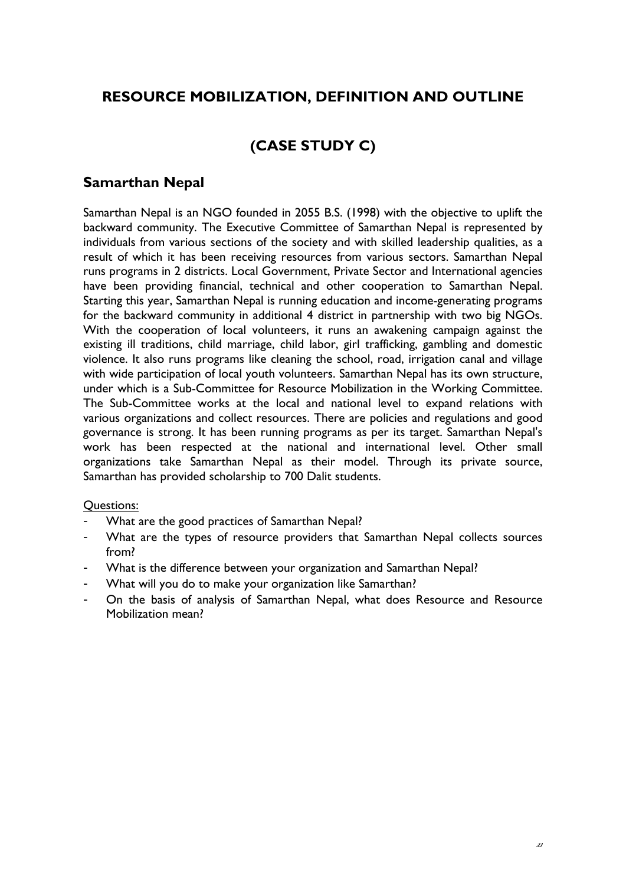# **RESOURCE MOBILIZATION, DEFINITION AND OUTLINE**

# **(CASE STUDY C)**

### **Samarthan Nepal**

Samarthan Nepal is an NGO founded in 2055 B.S. (1998) with the objective to uplift the backward community. The Executive Committee of Samarthan Nepal is represented by individuals from various sections of the society and with skilled leadership qualities, as a result of which it has been receiving resources from various sectors. Samarthan Nepal runs programs in 2 districts. Local Government, Private Sector and International agencies have been providing financial, technical and other cooperation to Samarthan Nepal. Starting this year, Samarthan Nepal is running education and income-generating programs for the backward community in additional 4 district in partnership with two big NGOs. With the cooperation of local volunteers, it runs an awakening campaign against the existing ill traditions, child marriage, child labor, girl trafficking, gambling and domestic violence. It also runs programs like cleaning the school, road, irrigation canal and village with wide participation of local youth volunteers. Samarthan Nepal has its own structure, under which is a Sub-Committee for Resource Mobilization in the Working Committee. The Sub-Committee works at the local and national level to expand relations with various organizations and collect resources. There are policies and regulations and good governance is strong. It has been running programs as per its target. Samarthan Nepal's work has been respected at the national and international level. Other small organizations take Samarthan Nepal as their model. Through its private source, Samarthan has provided scholarship to 700 Dalit students.

#### Questions:

- What are the good practices of Samarthan Nepal?
- What are the types of resource providers that Samarthan Nepal collects sources from?
- What is the difference between your organization and Samarthan Nepal?
- What will you do to make your organization like Samarthan?
- On the basis of analysis of Samarthan Nepal, what does Resource and Resource Mobilization mean?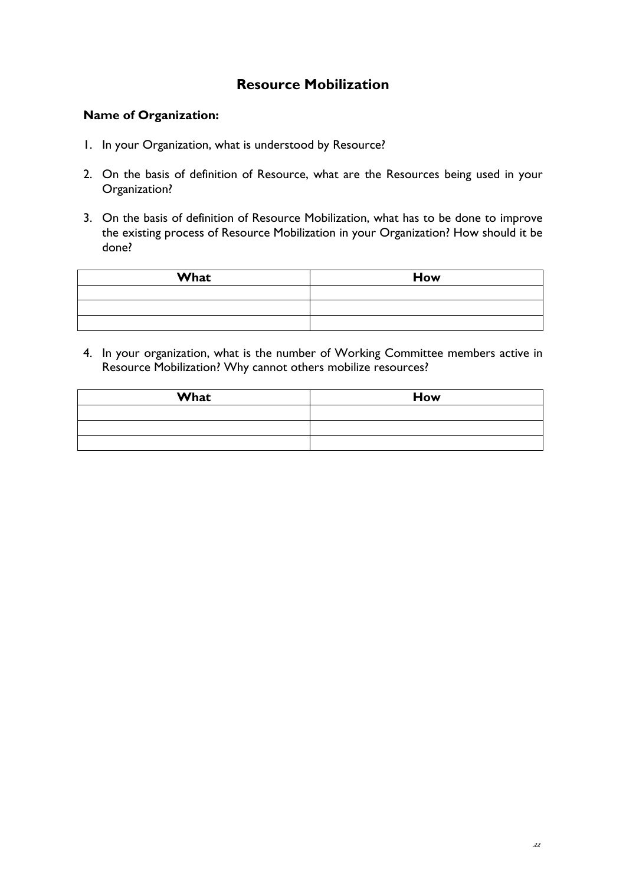## **Resource Mobilization**

#### **Name of Organization:**

- 1. In your Organization, what is understood by Resource?
- 2. On the basis of definition of Resource, what are the Resources being used in your Organization?
- 3. On the basis of definition of Resource Mobilization, what has to be done to improve the existing process of Resource Mobilization in your Organization? How should it be done?

| What | How |
|------|-----|
|      |     |
|      |     |
|      |     |

4. In your organization, what is the number of Working Committee members active in Resource Mobilization? Why cannot others mobilize resources?

| What | <b>How</b> |
|------|------------|
|      |            |
|      |            |
|      |            |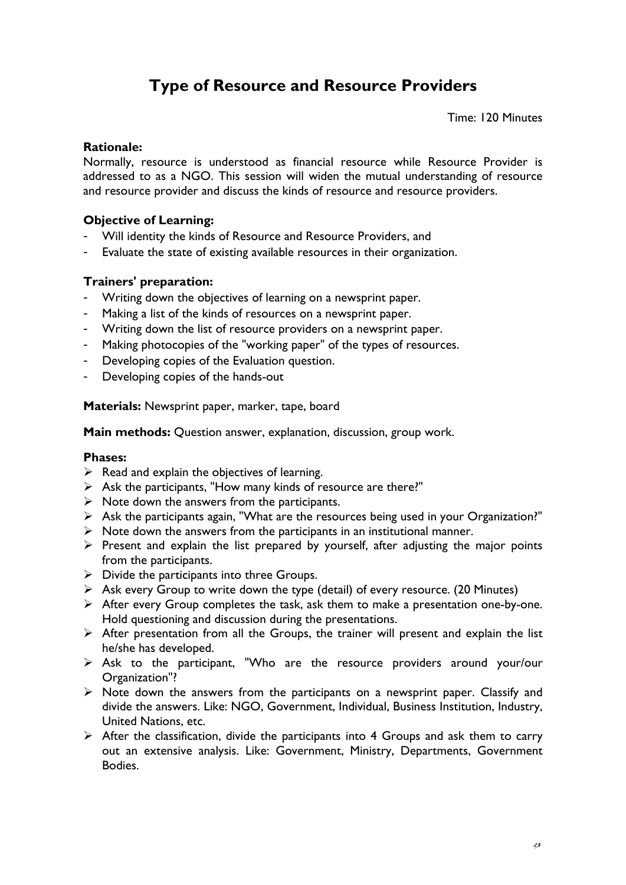# **Type of Resource and Resource Providers**

Time: 120 Minutes

#### **Rationale:**

Normally, resource is understood as financial resource while Resource Provider is addressed to as a NGO. This session will widen the mutual understanding of resource and resource provider and discuss the kinds of resource and resource providers.

#### **Objective of Learning:**

- Will identity the kinds of Resource and Resource Providers, and
- Evaluate the state of existing available resources in their organization.

#### **Trainers' preparation:**

- Writing down the objectives of learning on a newsprint paper.
- Making a list of the kinds of resources on a newsprint paper.
- Writing down the list of resource providers on a newsprint paper.
- Making photocopies of the "working paper" of the types of resources.
- Developing copies of the Evaluation question.
- Developing copies of the hands-out

**Materials:** Newsprint paper, marker, tape, board

**Main methods:** Question answer, explanation, discussion, group work.

#### **Phases:**

- $\triangleright$  Read and explain the objectives of learning.
- $\triangleright$  Ask the participants, "How many kinds of resource are there?"
- $\triangleright$  Note down the answers from the participants.
- $\triangleright$  Ask the participants again, "What are the resources being used in your Organization?"
- $\triangleright$  Note down the answers from the participants in an institutional manner.
- $\triangleright$  Present and explain the list prepared by yourself, after adjusting the major points from the participants.
- $\triangleright$  Divide the participants into three Groups.
- $\triangleright$  Ask every Group to write down the type (detail) of every resource. (20 Minutes)
- ¾ After every Group completes the task, ask them to make a presentation one-by-one. Hold questioning and discussion during the presentations.
- $\triangleright$  After presentation from all the Groups, the trainer will present and explain the list he/she has developed.
- $\triangleright$  Ask to the participant, "Who are the resource providers around your/our Organization"?
- $\triangleright$  Note down the answers from the participants on a newsprint paper. Classify and divide the answers. Like: NGO, Government, Individual, Business Institution, Industry, United Nations, etc.
- $\triangleright$  After the classification, divide the participants into 4 Groups and ask them to carry out an extensive analysis. Like: Government, Ministry, Departments, Government Bodies.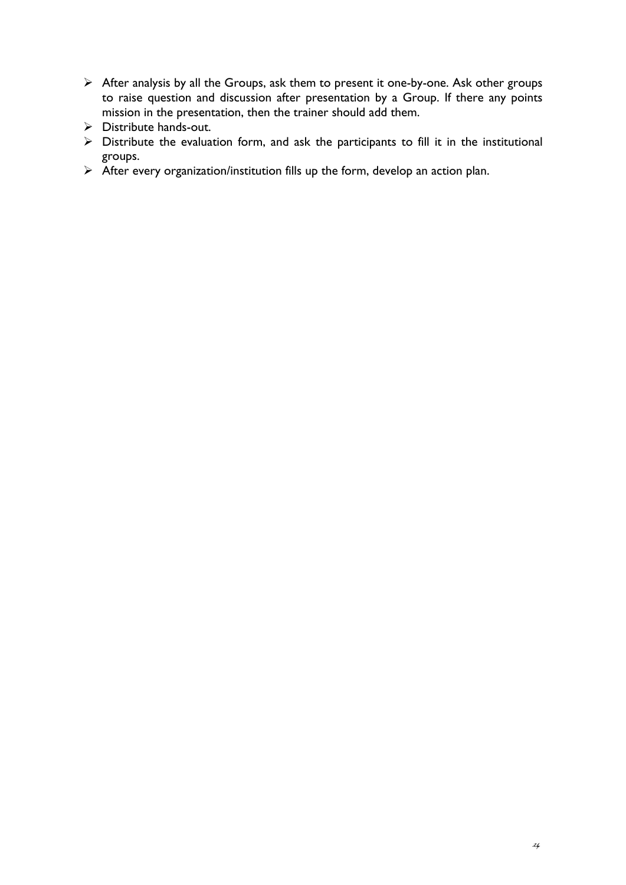- ¾ After analysis by all the Groups, ask them to present it one-by-one. Ask other groups to raise question and discussion after presentation by a Group. If there any points mission in the presentation, then the trainer should add them.
- $\triangleright$  Distribute hands-out.
- $\triangleright$  Distribute the evaluation form, and ask the participants to fill it in the institutional groups.
- $\triangleright$  After every organization/institution fills up the form, develop an action plan.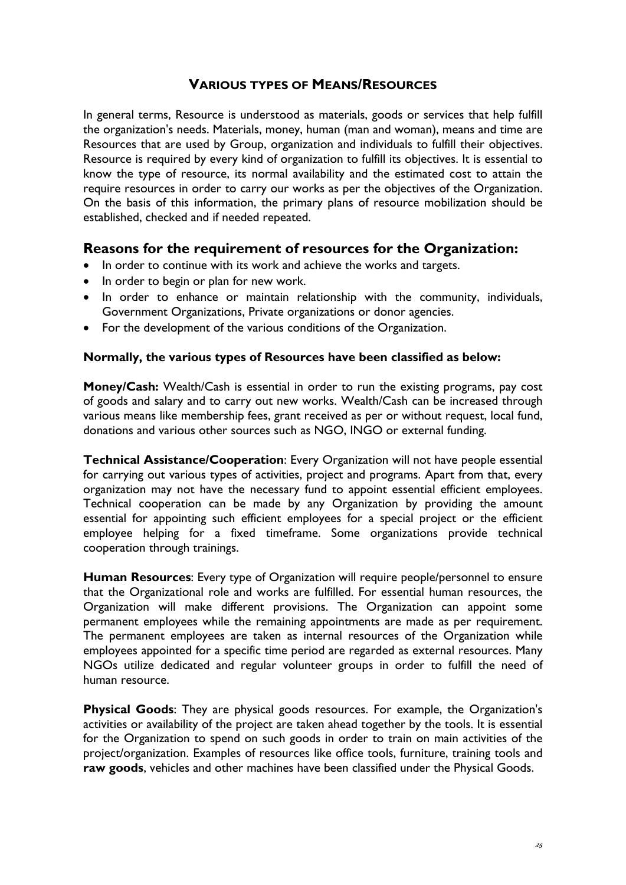### **VARIOUS TYPES OF MEANS/RESOURCES**

In general terms, Resource is understood as materials, goods or services that help fulfill the organization's needs. Materials, money, human (man and woman), means and time are Resources that are used by Group, organization and individuals to fulfill their objectives. Resource is required by every kind of organization to fulfill its objectives. It is essential to know the type of resource, its normal availability and the estimated cost to attain the require resources in order to carry our works as per the objectives of the Organization. On the basis of this information, the primary plans of resource mobilization should be established, checked and if needed repeated.

### **Reasons for the requirement of resources for the Organization:**

- In order to continue with its work and achieve the works and targets.
- In order to begin or plan for new work.
- In order to enhance or maintain relationship with the community, individuals, Government Organizations, Private organizations or donor agencies.
- For the development of the various conditions of the Organization.

#### **Normally, the various types of Resources have been classified as below:**

**Money/Cash:** Wealth/Cash is essential in order to run the existing programs, pay cost of goods and salary and to carry out new works. Wealth/Cash can be increased through various means like membership fees, grant received as per or without request, local fund, donations and various other sources such as NGO, INGO or external funding.

**Technical Assistance/Cooperation**: Every Organization will not have people essential for carrying out various types of activities, project and programs. Apart from that, every organization may not have the necessary fund to appoint essential efficient employees. Technical cooperation can be made by any Organization by providing the amount essential for appointing such efficient employees for a special project or the efficient employee helping for a fixed timeframe. Some organizations provide technical cooperation through trainings.

**Human Resources**: Every type of Organization will require people/personnel to ensure that the Organizational role and works are fulfilled. For essential human resources, the Organization will make different provisions. The Organization can appoint some permanent employees while the remaining appointments are made as per requirement. The permanent employees are taken as internal resources of the Organization while employees appointed for a specific time period are regarded as external resources. Many NGOs utilize dedicated and regular volunteer groups in order to fulfill the need of human resource.

**Physical Goods**: They are physical goods resources. For example, the Organization's activities or availability of the project are taken ahead together by the tools. It is essential for the Organization to spend on such goods in order to train on main activities of the project/organization. Examples of resources like office tools, furniture, training tools and **raw goods**, vehicles and other machines have been classified under the Physical Goods.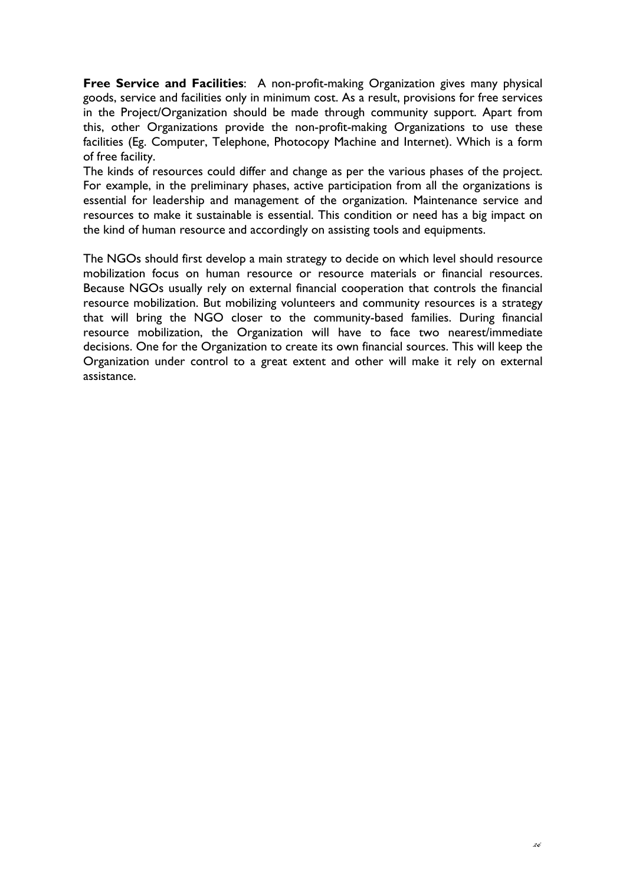**Free Service and Facilities**: A non-profit-making Organization gives many physical goods, service and facilities only in minimum cost. As a result, provisions for free services in the Project/Organization should be made through community support. Apart from this, other Organizations provide the non-profit-making Organizations to use these facilities (Eg. Computer, Telephone, Photocopy Machine and Internet). Which is a form of free facility.

The kinds of resources could differ and change as per the various phases of the project. For example, in the preliminary phases, active participation from all the organizations is essential for leadership and management of the organization. Maintenance service and resources to make it sustainable is essential. This condition or need has a big impact on the kind of human resource and accordingly on assisting tools and equipments.

The NGOs should first develop a main strategy to decide on which level should resource mobilization focus on human resource or resource materials or financial resources. Because NGOs usually rely on external financial cooperation that controls the financial resource mobilization. But mobilizing volunteers and community resources is a strategy that will bring the NGO closer to the community-based families. During financial resource mobilization, the Organization will have to face two nearest/immediate decisions. One for the Organization to create its own financial sources. This will keep the Organization under control to a great extent and other will make it rely on external assistance.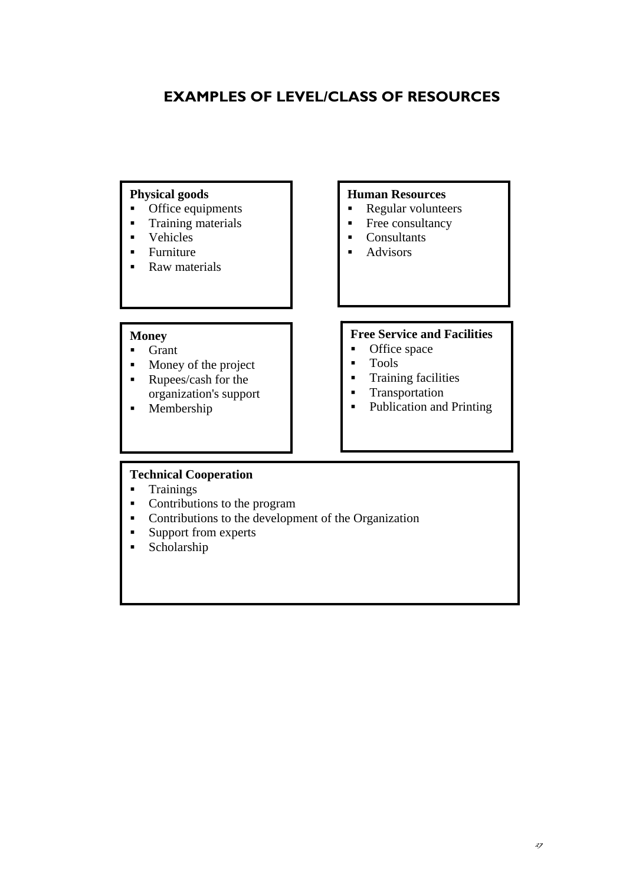# **EXAMPLES OF LEVEL/CLASS OF RESOURCES**

#### **Physical goods**

- Office equipments
- Training materials
- **vehicles**
- **Furniture**
- Raw materials

#### **Human Resources**

- Regular volunteers
- Free consultancy
- Consultants
- Advisors

### **Money**

- **Grant**
- Money of the project
- **Rupees/cash for the** organization's support
- Membership

#### **Free Service and Facilities**

- Office space<br>• Tools
- Tools
- **Training facilities**
- **Transportation**
- Publication and Printing

#### **Technical Cooperation**

- **Trainings**
- Contributions to the program
- Contributions to the development of the Organization
- **Support from experts**
- **Scholarship**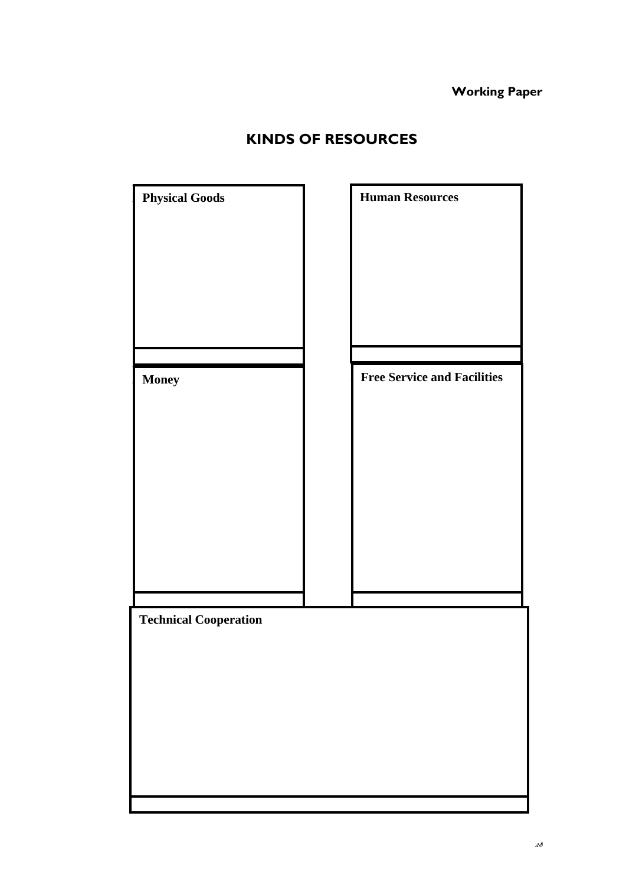**Working Paper**

| <b>KINDS OF RESOURCES</b> |  |  |  |
|---------------------------|--|--|--|
|---------------------------|--|--|--|

| <b>Physical Goods</b>        | <b>Human Resources</b>             |
|------------------------------|------------------------------------|
|                              |                                    |
| <b>Money</b>                 | <b>Free Service and Facilities</b> |
|                              |                                    |
|                              |                                    |
| <b>Technical Cooperation</b> |                                    |
|                              |                                    |
|                              |                                    |
|                              |                                    |
|                              |                                    |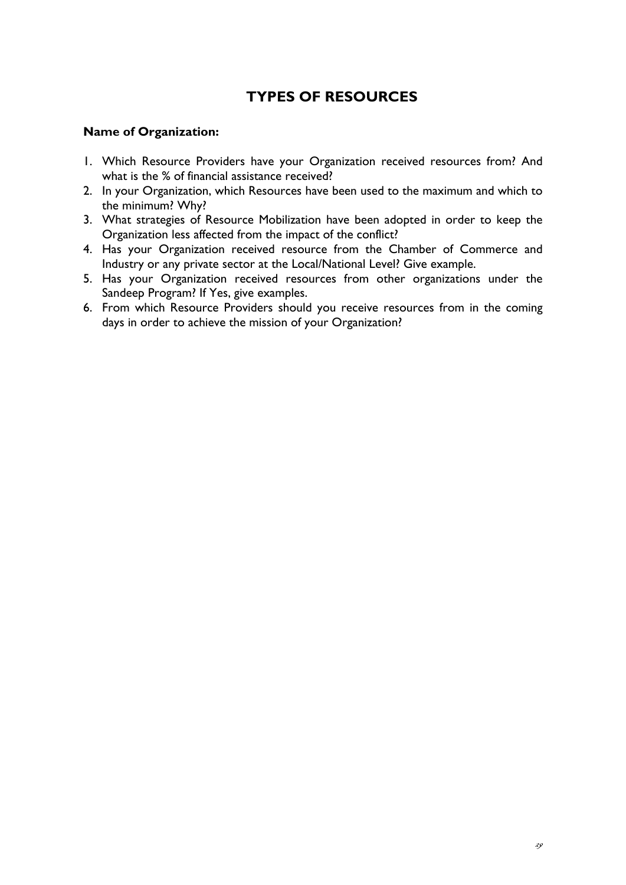# **TYPES OF RESOURCES**

#### **Name of Organization:**

- 1. Which Resource Providers have your Organization received resources from? And what is the % of financial assistance received?
- 2. In your Organization, which Resources have been used to the maximum and which to the minimum? Why?
- 3. What strategies of Resource Mobilization have been adopted in order to keep the Organization less affected from the impact of the conflict?
- 4. Has your Organization received resource from the Chamber of Commerce and Industry or any private sector at the Local/National Level? Give example.
- 5. Has your Organization received resources from other organizations under the Sandeep Program? If Yes, give examples.
- 6. From which Resource Providers should you receive resources from in the coming days in order to achieve the mission of your Organization?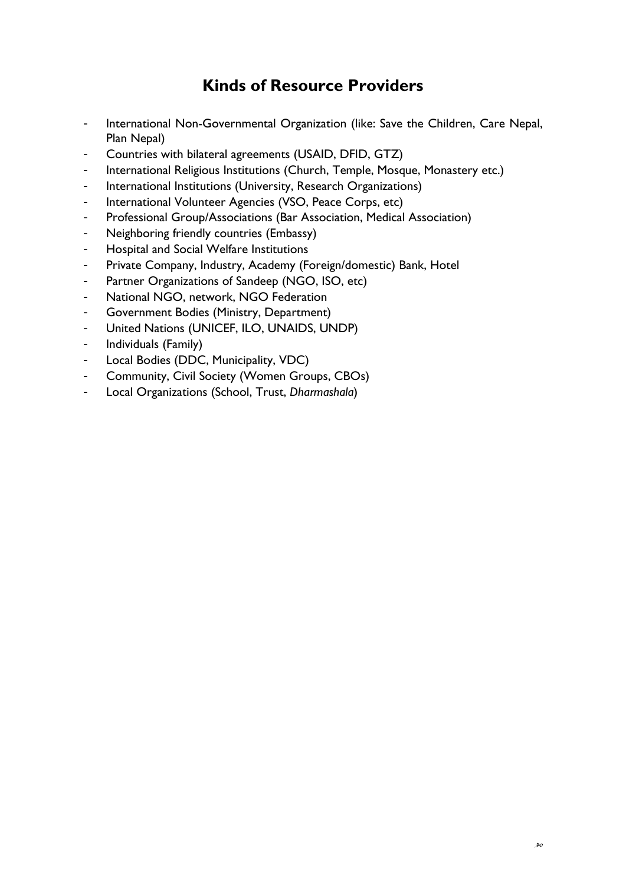# **Kinds of Resource Providers**

- International Non-Governmental Organization (like: Save the Children, Care Nepal, Plan Nepal)
- Countries with bilateral agreements (USAID, DFID, GTZ)
- International Religious Institutions (Church, Temple, Mosque, Monastery etc.)
- International Institutions (University, Research Organizations)
- International Volunteer Agencies (VSO, Peace Corps, etc)
- Professional Group/Associations (Bar Association, Medical Association)
- Neighboring friendly countries (Embassy)
- Hospital and Social Welfare Institutions
- Private Company, Industry, Academy (Foreign/domestic) Bank, Hotel
- Partner Organizations of Sandeep (NGO, ISO, etc)
- National NGO, network, NGO Federation
- Government Bodies (Ministry, Department)
- United Nations (UNICEF, ILO, UNAIDS, UNDP)
- Individuals (Family)
- Local Bodies (DDC, Municipality, VDC)
- Community, Civil Society (Women Groups, CBOs)
- Local Organizations (School, Trust, *Dharmashala*)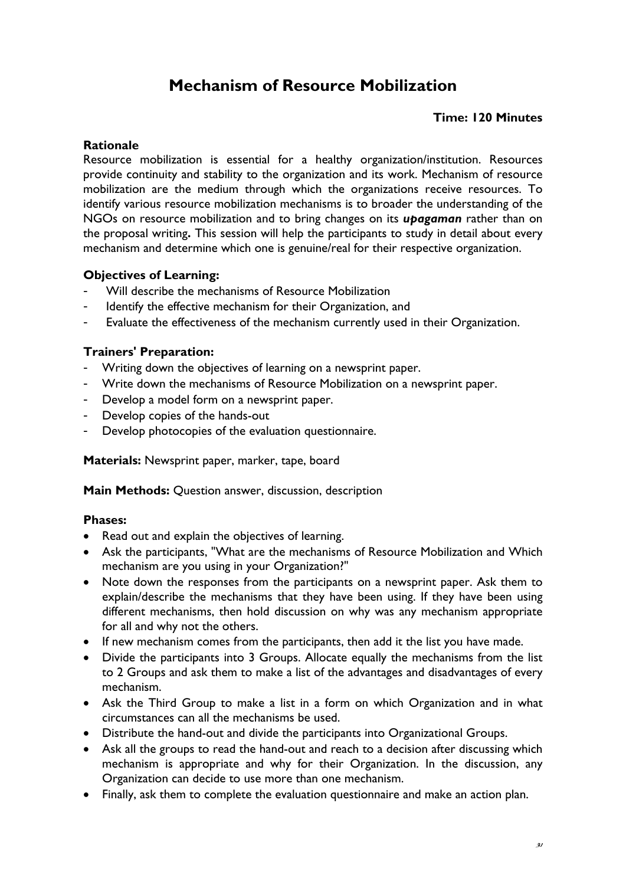# **Mechanism of Resource Mobilization**

#### **Time: 120 Minutes**

#### **Rationale**

Resource mobilization is essential for a healthy organization/institution. Resources provide continuity and stability to the organization and its work. Mechanism of resource mobilization are the medium through which the organizations receive resources. To identify various resource mobilization mechanisms is to broader the understanding of the NGOs on resource mobilization and to bring changes on its *upagaman* rather than on the proposal writing**.** This session will help the participants to study in detail about every mechanism and determine which one is genuine/real for their respective organization.

#### **Objectives of Learning:**

- Will describe the mechanisms of Resource Mobilization
- Identify the effective mechanism for their Organization, and
- Evaluate the effectiveness of the mechanism currently used in their Organization.

#### **Trainers' Preparation:**

- Writing down the objectives of learning on a newsprint paper.
- Write down the mechanisms of Resource Mobilization on a newsprint paper.
- Develop a model form on a newsprint paper.
- Develop copies of the hands-out
- Develop photocopies of the evaluation questionnaire.

**Materials:** Newsprint paper, marker, tape, board

**Main Methods:** Question answer, discussion, description

#### **Phases:**

- Read out and explain the objectives of learning.
- Ask the participants, "What are the mechanisms of Resource Mobilization and Which mechanism are you using in your Organization?"
- Note down the responses from the participants on a newsprint paper. Ask them to explain/describe the mechanisms that they have been using. If they have been using different mechanisms, then hold discussion on why was any mechanism appropriate for all and why not the others.
- If new mechanism comes from the participants, then add it the list you have made.
- Divide the participants into 3 Groups. Allocate equally the mechanisms from the list to 2 Groups and ask them to make a list of the advantages and disadvantages of every mechanism.
- Ask the Third Group to make a list in a form on which Organization and in what circumstances can all the mechanisms be used.
- Distribute the hand-out and divide the participants into Organizational Groups.
- Ask all the groups to read the hand-out and reach to a decision after discussing which mechanism is appropriate and why for their Organization. In the discussion, any Organization can decide to use more than one mechanism.
- Finally, ask them to complete the evaluation questionnaire and make an action plan.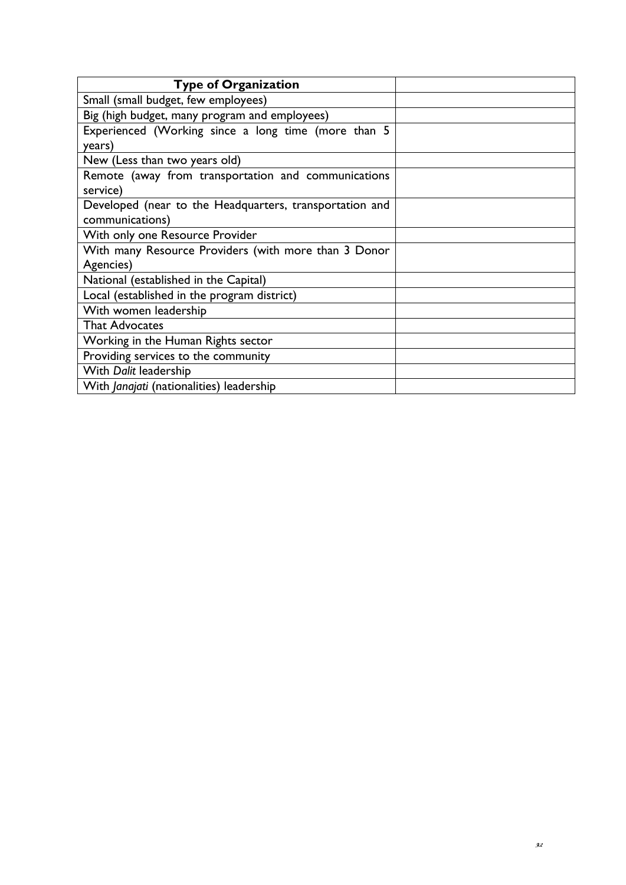| <b>Type of Organization</b>                             |  |
|---------------------------------------------------------|--|
| Small (small budget, few employees)                     |  |
| Big (high budget, many program and employees)           |  |
| Experienced (Working since a long time (more than 5     |  |
| years)                                                  |  |
| New (Less than two years old)                           |  |
| Remote (away from transportation and communications     |  |
| service)                                                |  |
| Developed (near to the Headquarters, transportation and |  |
| communications)                                         |  |
| With only one Resource Provider                         |  |
| With many Resource Providers (with more than 3 Donor    |  |
| Agencies)                                               |  |
| National (established in the Capital)                   |  |
| Local (established in the program district)             |  |
| With women leadership                                   |  |
| <b>That Advocates</b>                                   |  |
| Working in the Human Rights sector                      |  |
| Providing services to the community                     |  |
| With Dalit leadership                                   |  |
| With Janajati (nationalities) leadership                |  |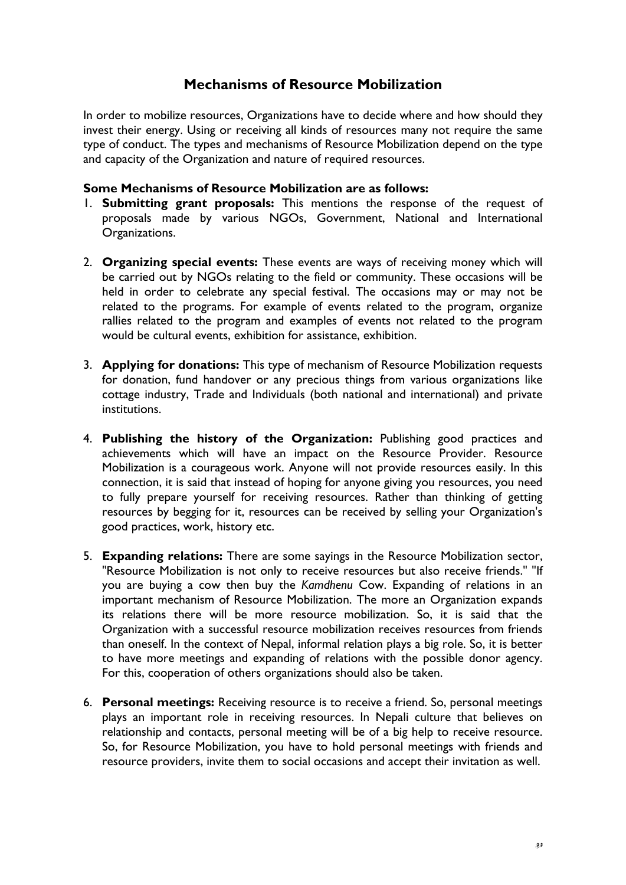## **Mechanisms of Resource Mobilization**

In order to mobilize resources, Organizations have to decide where and how should they invest their energy. Using or receiving all kinds of resources many not require the same type of conduct. The types and mechanisms of Resource Mobilization depend on the type and capacity of the Organization and nature of required resources.

#### **Some Mechanisms of Resource Mobilization are as follows:**

- 1. **Submitting grant proposals:** This mentions the response of the request of proposals made by various NGOs, Government, National and International Organizations.
- 2. **Organizing special events:** These events are ways of receiving money which will be carried out by NGOs relating to the field or community. These occasions will be held in order to celebrate any special festival. The occasions may or may not be related to the programs. For example of events related to the program, organize rallies related to the program and examples of events not related to the program would be cultural events, exhibition for assistance, exhibition.
- 3. **Applying for donations:** This type of mechanism of Resource Mobilization requests for donation, fund handover or any precious things from various organizations like cottage industry, Trade and Individuals (both national and international) and private institutions.
- 4. **Publishing the history of the Organization:** Publishing good practices and achievements which will have an impact on the Resource Provider. Resource Mobilization is a courageous work. Anyone will not provide resources easily. In this connection, it is said that instead of hoping for anyone giving you resources, you need to fully prepare yourself for receiving resources. Rather than thinking of getting resources by begging for it, resources can be received by selling your Organization's good practices, work, history etc.
- 5. **Expanding relations:** There are some sayings in the Resource Mobilization sector, "Resource Mobilization is not only to receive resources but also receive friends." "If you are buying a cow then buy the *Kamdhenu* Cow. Expanding of relations in an important mechanism of Resource Mobilization. The more an Organization expands its relations there will be more resource mobilization. So, it is said that the Organization with a successful resource mobilization receives resources from friends than oneself. In the context of Nepal, informal relation plays a big role. So, it is better to have more meetings and expanding of relations with the possible donor agency. For this, cooperation of others organizations should also be taken.
- 6. **Personal meetings:** Receiving resource is to receive a friend. So, personal meetings plays an important role in receiving resources. In Nepali culture that believes on relationship and contacts, personal meeting will be of a big help to receive resource. So, for Resource Mobilization, you have to hold personal meetings with friends and resource providers, invite them to social occasions and accept their invitation as well.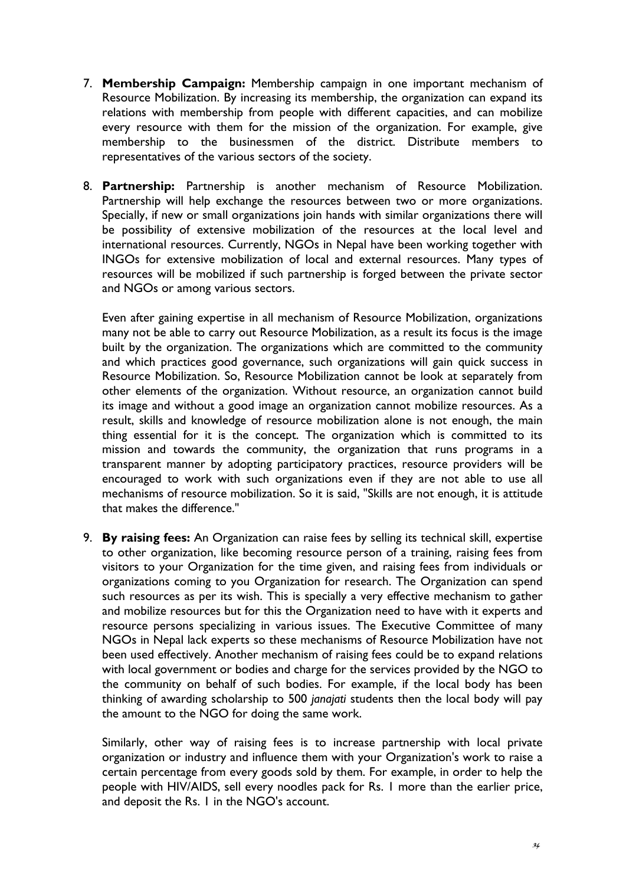- 7. **Membership Campaign:** Membership campaign in one important mechanism of Resource Mobilization. By increasing its membership, the organization can expand its relations with membership from people with different capacities, and can mobilize every resource with them for the mission of the organization. For example, give membership to the businessmen of the district. Distribute members to representatives of the various sectors of the society.
- 8. **Partnership:** Partnership is another mechanism of Resource Mobilization. Partnership will help exchange the resources between two or more organizations. Specially, if new or small organizations join hands with similar organizations there will be possibility of extensive mobilization of the resources at the local level and international resources. Currently, NGOs in Nepal have been working together with INGOs for extensive mobilization of local and external resources. Many types of resources will be mobilized if such partnership is forged between the private sector and NGOs or among various sectors.

Even after gaining expertise in all mechanism of Resource Mobilization, organizations many not be able to carry out Resource Mobilization, as a result its focus is the image built by the organization. The organizations which are committed to the community and which practices good governance, such organizations will gain quick success in Resource Mobilization. So, Resource Mobilization cannot be look at separately from other elements of the organization. Without resource, an organization cannot build its image and without a good image an organization cannot mobilize resources. As a result, skills and knowledge of resource mobilization alone is not enough, the main thing essential for it is the concept. The organization which is committed to its mission and towards the community, the organization that runs programs in a transparent manner by adopting participatory practices, resource providers will be encouraged to work with such organizations even if they are not able to use all mechanisms of resource mobilization. So it is said, "Skills are not enough, it is attitude that makes the difference."

9. **By raising fees:** An Organization can raise fees by selling its technical skill, expertise to other organization, like becoming resource person of a training, raising fees from visitors to your Organization for the time given, and raising fees from individuals or organizations coming to you Organization for research. The Organization can spend such resources as per its wish. This is specially a very effective mechanism to gather and mobilize resources but for this the Organization need to have with it experts and resource persons specializing in various issues. The Executive Committee of many NGOs in Nepal lack experts so these mechanisms of Resource Mobilization have not been used effectively. Another mechanism of raising fees could be to expand relations with local government or bodies and charge for the services provided by the NGO to the community on behalf of such bodies. For example, if the local body has been thinking of awarding scholarship to 500 *janajati* students then the local body will pay the amount to the NGO for doing the same work.

Similarly, other way of raising fees is to increase partnership with local private organization or industry and influence them with your Organization's work to raise a certain percentage from every goods sold by them. For example, in order to help the people with HIV/AIDS, sell every noodles pack for Rs. 1 more than the earlier price, and deposit the Rs. 1 in the NGO's account.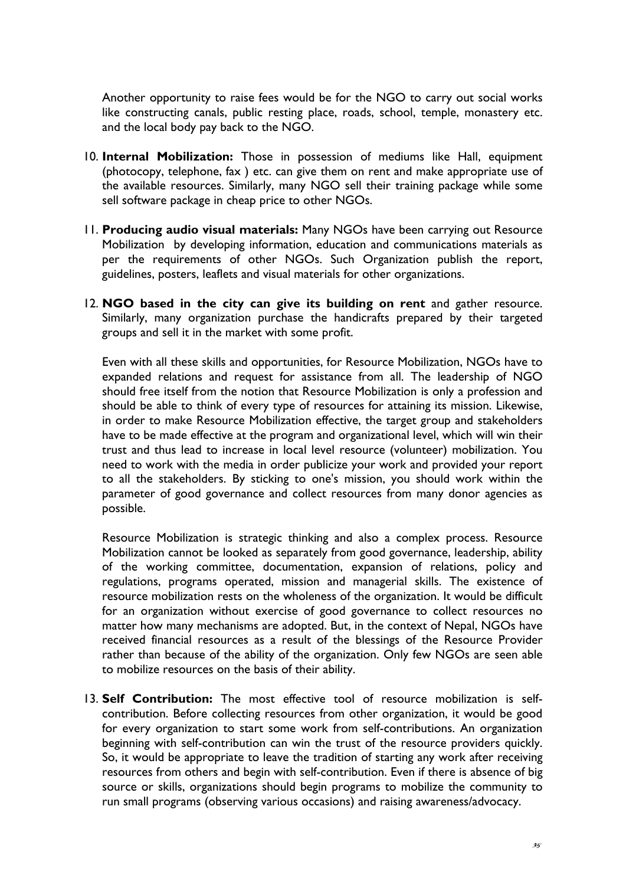Another opportunity to raise fees would be for the NGO to carry out social works like constructing canals, public resting place, roads, school, temple, monastery etc. and the local body pay back to the NGO.

- 10. **Internal Mobilization:** Those in possession of mediums like Hall, equipment (photocopy, telephone, fax ) etc. can give them on rent and make appropriate use of the available resources. Similarly, many NGO sell their training package while some sell software package in cheap price to other NGOs.
- 11. **Producing audio visual materials:** Many NGOs have been carrying out Resource Mobilization by developing information, education and communications materials as per the requirements of other NGOs. Such Organization publish the report, guidelines, posters, leaflets and visual materials for other organizations.
- 12. **NGO based in the city can give its building on rent** and gather resource. Similarly, many organization purchase the handicrafts prepared by their targeted groups and sell it in the market with some profit.

Even with all these skills and opportunities, for Resource Mobilization, NGOs have to expanded relations and request for assistance from all. The leadership of NGO should free itself from the notion that Resource Mobilization is only a profession and should be able to think of every type of resources for attaining its mission. Likewise, in order to make Resource Mobilization effective, the target group and stakeholders have to be made effective at the program and organizational level, which will win their trust and thus lead to increase in local level resource (volunteer) mobilization. You need to work with the media in order publicize your work and provided your report to all the stakeholders. By sticking to one's mission, you should work within the parameter of good governance and collect resources from many donor agencies as possible.

Resource Mobilization is strategic thinking and also a complex process. Resource Mobilization cannot be looked as separately from good governance, leadership, ability of the working committee, documentation, expansion of relations, policy and regulations, programs operated, mission and managerial skills. The existence of resource mobilization rests on the wholeness of the organization. It would be difficult for an organization without exercise of good governance to collect resources no matter how many mechanisms are adopted. But, in the context of Nepal, NGOs have received financial resources as a result of the blessings of the Resource Provider rather than because of the ability of the organization. Only few NGOs are seen able to mobilize resources on the basis of their ability.

13. **Self Contribution:** The most effective tool of resource mobilization is selfcontribution. Before collecting resources from other organization, it would be good for every organization to start some work from self-contributions. An organization beginning with self-contribution can win the trust of the resource providers quickly. So, it would be appropriate to leave the tradition of starting any work after receiving resources from others and begin with self-contribution. Even if there is absence of big source or skills, organizations should begin programs to mobilize the community to run small programs (observing various occasions) and raising awareness/advocacy.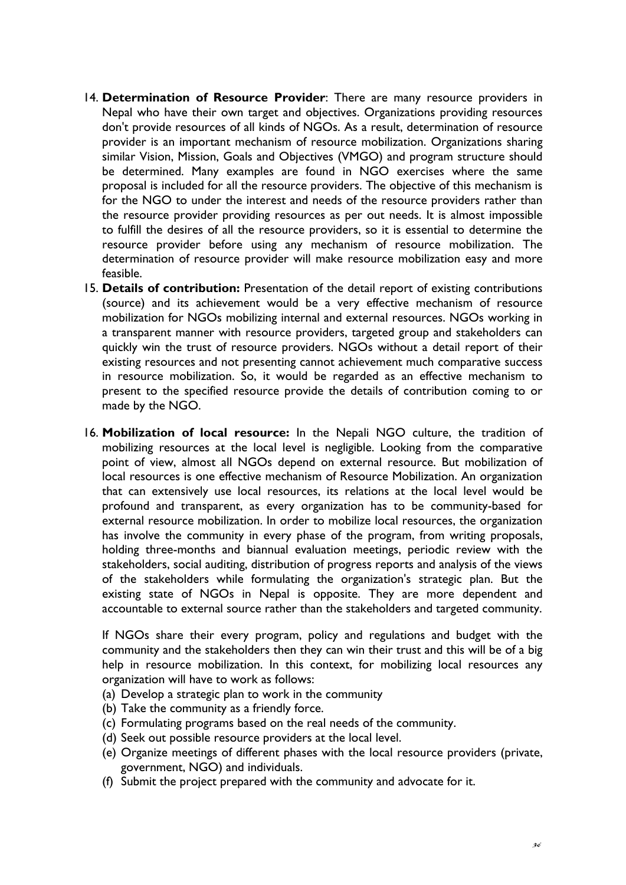- 14. **Determination of Resource Provider**: There are many resource providers in Nepal who have their own target and objectives. Organizations providing resources don't provide resources of all kinds of NGOs. As a result, determination of resource provider is an important mechanism of resource mobilization. Organizations sharing similar Vision, Mission, Goals and Objectives (VMGO) and program structure should be determined. Many examples are found in NGO exercises where the same proposal is included for all the resource providers. The objective of this mechanism is for the NGO to under the interest and needs of the resource providers rather than the resource provider providing resources as per out needs. It is almost impossible to fulfill the desires of all the resource providers, so it is essential to determine the resource provider before using any mechanism of resource mobilization. The determination of resource provider will make resource mobilization easy and more feasible.
- 15. **Details of contribution:** Presentation of the detail report of existing contributions (source) and its achievement would be a very effective mechanism of resource mobilization for NGOs mobilizing internal and external resources. NGOs working in a transparent manner with resource providers, targeted group and stakeholders can quickly win the trust of resource providers. NGOs without a detail report of their existing resources and not presenting cannot achievement much comparative success in resource mobilization. So, it would be regarded as an effective mechanism to present to the specified resource provide the details of contribution coming to or made by the NGO.
- 16. **Mobilization of local resource:** In the Nepali NGO culture, the tradition of mobilizing resources at the local level is negligible. Looking from the comparative point of view, almost all NGOs depend on external resource. But mobilization of local resources is one effective mechanism of Resource Mobilization. An organization that can extensively use local resources, its relations at the local level would be profound and transparent, as every organization has to be community-based for external resource mobilization. In order to mobilize local resources, the organization has involve the community in every phase of the program, from writing proposals, holding three-months and biannual evaluation meetings, periodic review with the stakeholders, social auditing, distribution of progress reports and analysis of the views of the stakeholders while formulating the organization's strategic plan. But the existing state of NGOs in Nepal is opposite. They are more dependent and accountable to external source rather than the stakeholders and targeted community.

If NGOs share their every program, policy and regulations and budget with the community and the stakeholders then they can win their trust and this will be of a big help in resource mobilization. In this context, for mobilizing local resources any organization will have to work as follows:

- (a) Develop a strategic plan to work in the community
- (b) Take the community as a friendly force.
- (c) Formulating programs based on the real needs of the community.
- (d) Seek out possible resource providers at the local level.
- (e) Organize meetings of different phases with the local resource providers (private, government, NGO) and individuals.
- (f) Submit the project prepared with the community and advocate for it.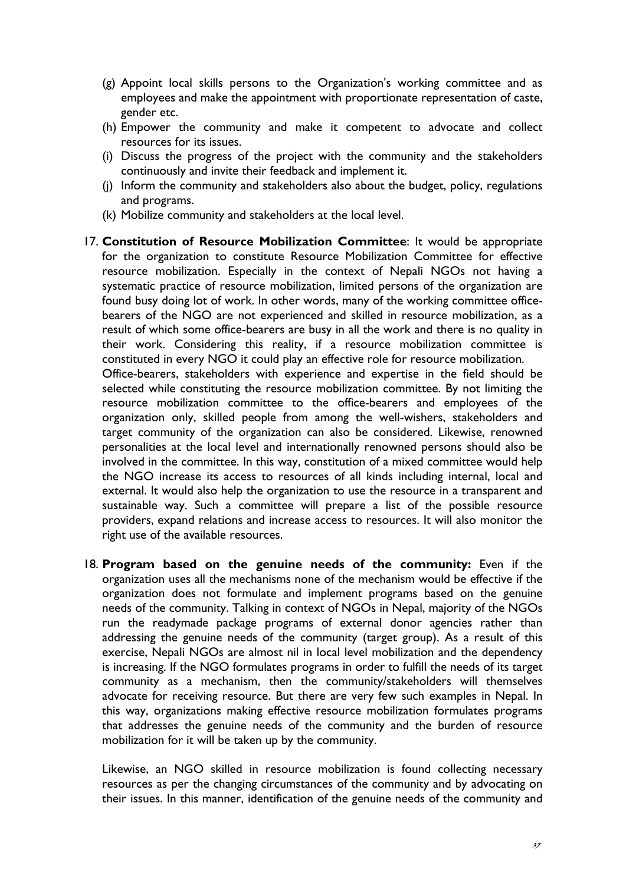- (g) Appoint local skills persons to the Organization's working committee and as employees and make the appointment with proportionate representation of caste, gender etc.
- (h) Empower the community and make it competent to advocate and collect resources for its issues.
- (i) Discuss the progress of the project with the community and the stakeholders continuously and invite their feedback and implement it.
- (j) Inform the community and stakeholders also about the budget, policy, regulations and programs.
- (k) Mobilize community and stakeholders at the local level.
- 17. **Constitution of Resource Mobilization Committee**: It would be appropriate for the organization to constitute Resource Mobilization Committee for effective resource mobilization. Especially in the context of Nepali NGOs not having a systematic practice of resource mobilization, limited persons of the organization are found busy doing lot of work. In other words, many of the working committee officebearers of the NGO are not experienced and skilled in resource mobilization, as a result of which some office-bearers are busy in all the work and there is no quality in their work. Considering this reality, if a resource mobilization committee is constituted in every NGO it could play an effective role for resource mobilization. Office-bearers, stakeholders with experience and expertise in the field should be selected while constituting the resource mobilization committee. By not limiting the resource mobilization committee to the office-bearers and employees of the organization only, skilled people from among the well-wishers, stakeholders and target community of the organization can also be considered. Likewise, renowned personalities at the local level and internationally renowned persons should also be involved in the committee. In this way, constitution of a mixed committee would help the NGO increase its access to resources of all kinds including internal, local and external. It would also help the organization to use the resource in a transparent and sustainable way. Such a committee will prepare a list of the possible resource providers, expand relations and increase access to resources. It will also monitor the right use of the available resources.
- 18. **Program based on the genuine needs of the community:** Even if the organization uses all the mechanisms none of the mechanism would be effective if the organization does not formulate and implement programs based on the genuine needs of the community. Talking in context of NGOs in Nepal, majority of the NGOs run the readymade package programs of external donor agencies rather than addressing the genuine needs of the community (target group). As a result of this exercise, Nepali NGOs are almost nil in local level mobilization and the dependency is increasing. If the NGO formulates programs in order to fulfill the needs of its target community as a mechanism, then the community/stakeholders will themselves advocate for receiving resource. But there are very few such examples in Nepal. In this way, organizations making effective resource mobilization formulates programs that addresses the genuine needs of the community and the burden of resource mobilization for it will be taken up by the community.

Likewise, an NGO skilled in resource mobilization is found collecting necessary resources as per the changing circumstances of the community and by advocating on their issues. In this manner, identification of the genuine needs of the community and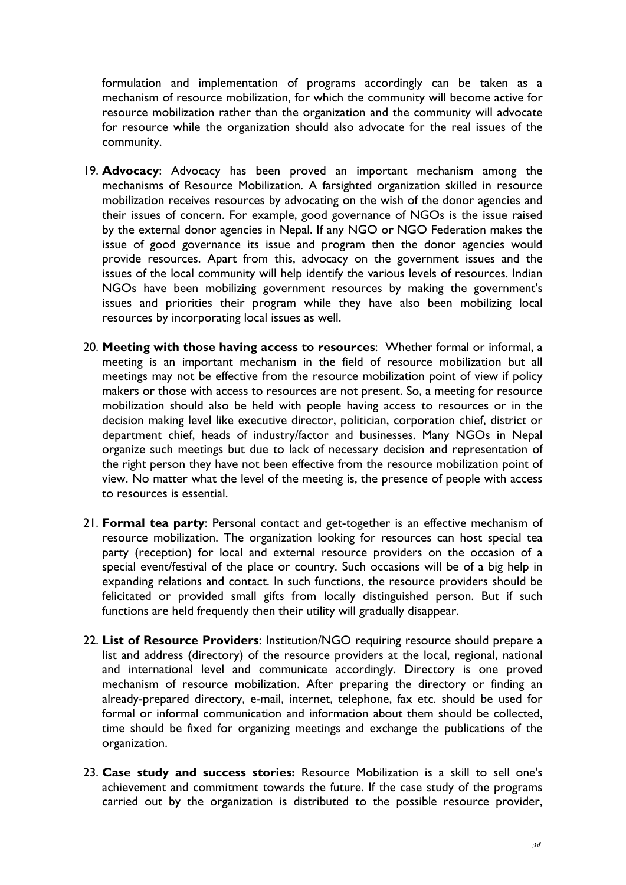formulation and implementation of programs accordingly can be taken as a mechanism of resource mobilization, for which the community will become active for resource mobilization rather than the organization and the community will advocate for resource while the organization should also advocate for the real issues of the community.

- 19. **Advocacy**: Advocacy has been proved an important mechanism among the mechanisms of Resource Mobilization. A farsighted organization skilled in resource mobilization receives resources by advocating on the wish of the donor agencies and their issues of concern. For example, good governance of NGOs is the issue raised by the external donor agencies in Nepal. If any NGO or NGO Federation makes the issue of good governance its issue and program then the donor agencies would provide resources. Apart from this, advocacy on the government issues and the issues of the local community will help identify the various levels of resources. Indian NGOs have been mobilizing government resources by making the government's issues and priorities their program while they have also been mobilizing local resources by incorporating local issues as well.
- 20. **Meeting with those having access to resources**: Whether formal or informal, a meeting is an important mechanism in the field of resource mobilization but all meetings may not be effective from the resource mobilization point of view if policy makers or those with access to resources are not present. So, a meeting for resource mobilization should also be held with people having access to resources or in the decision making level like executive director, politician, corporation chief, district or department chief, heads of industry/factor and businesses. Many NGOs in Nepal organize such meetings but due to lack of necessary decision and representation of the right person they have not been effective from the resource mobilization point of view. No matter what the level of the meeting is, the presence of people with access to resources is essential.
- 21. **Formal tea party**: Personal contact and get-together is an effective mechanism of resource mobilization. The organization looking for resources can host special tea party (reception) for local and external resource providers on the occasion of a special event/festival of the place or country. Such occasions will be of a big help in expanding relations and contact. In such functions, the resource providers should be felicitated or provided small gifts from locally distinguished person. But if such functions are held frequently then their utility will gradually disappear.
- 22. **List of Resource Providers**: Institution/NGO requiring resource should prepare a list and address (directory) of the resource providers at the local, regional, national and international level and communicate accordingly. Directory is one proved mechanism of resource mobilization. After preparing the directory or finding an already-prepared directory, e-mail, internet, telephone, fax etc. should be used for formal or informal communication and information about them should be collected, time should be fixed for organizing meetings and exchange the publications of the organization.
- 23. **Case study and success stories:** Resource Mobilization is a skill to sell one's achievement and commitment towards the future. If the case study of the programs carried out by the organization is distributed to the possible resource provider,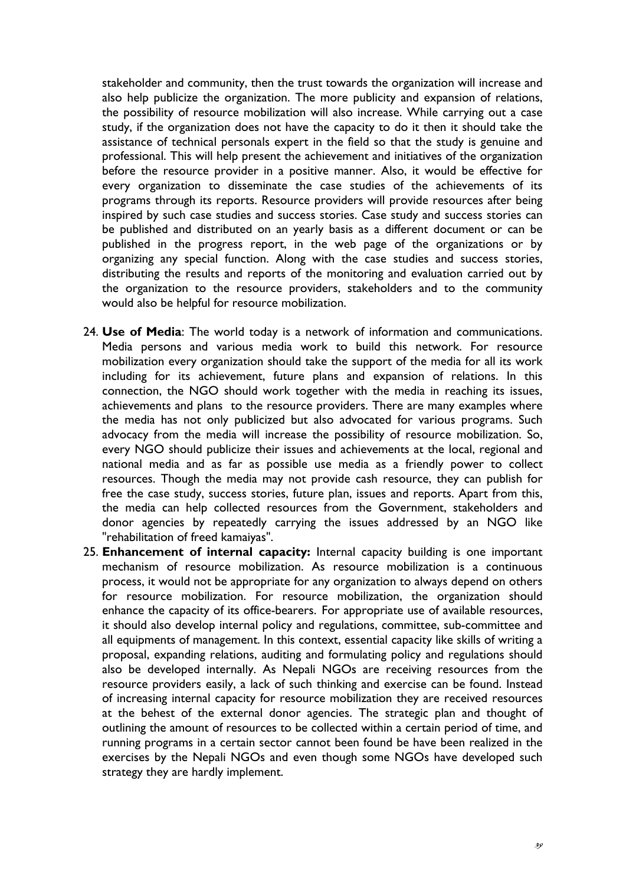stakeholder and community, then the trust towards the organization will increase and also help publicize the organization. The more publicity and expansion of relations, the possibility of resource mobilization will also increase. While carrying out a case study, if the organization does not have the capacity to do it then it should take the assistance of technical personals expert in the field so that the study is genuine and professional. This will help present the achievement and initiatives of the organization before the resource provider in a positive manner. Also, it would be effective for every organization to disseminate the case studies of the achievements of its programs through its reports. Resource providers will provide resources after being inspired by such case studies and success stories. Case study and success stories can be published and distributed on an yearly basis as a different document or can be published in the progress report, in the web page of the organizations or by organizing any special function. Along with the case studies and success stories, distributing the results and reports of the monitoring and evaluation carried out by the organization to the resource providers, stakeholders and to the community would also be helpful for resource mobilization.

- 24. **Use of Media**: The world today is a network of information and communications. Media persons and various media work to build this network. For resource mobilization every organization should take the support of the media for all its work including for its achievement, future plans and expansion of relations. In this connection, the NGO should work together with the media in reaching its issues, achievements and plans to the resource providers. There are many examples where the media has not only publicized but also advocated for various programs. Such advocacy from the media will increase the possibility of resource mobilization. So, every NGO should publicize their issues and achievements at the local, regional and national media and as far as possible use media as a friendly power to collect resources. Though the media may not provide cash resource, they can publish for free the case study, success stories, future plan, issues and reports. Apart from this, the media can help collected resources from the Government, stakeholders and donor agencies by repeatedly carrying the issues addressed by an NGO like "rehabilitation of freed kamaiyas".
- 25. **Enhancement of internal capacity:** Internal capacity building is one important mechanism of resource mobilization. As resource mobilization is a continuous process, it would not be appropriate for any organization to always depend on others for resource mobilization. For resource mobilization, the organization should enhance the capacity of its office-bearers. For appropriate use of available resources, it should also develop internal policy and regulations, committee, sub-committee and all equipments of management. In this context, essential capacity like skills of writing a proposal, expanding relations, auditing and formulating policy and regulations should also be developed internally. As Nepali NGOs are receiving resources from the resource providers easily, a lack of such thinking and exercise can be found. Instead of increasing internal capacity for resource mobilization they are received resources at the behest of the external donor agencies. The strategic plan and thought of outlining the amount of resources to be collected within a certain period of time, and running programs in a certain sector cannot been found be have been realized in the exercises by the Nepali NGOs and even though some NGOs have developed such strategy they are hardly implement.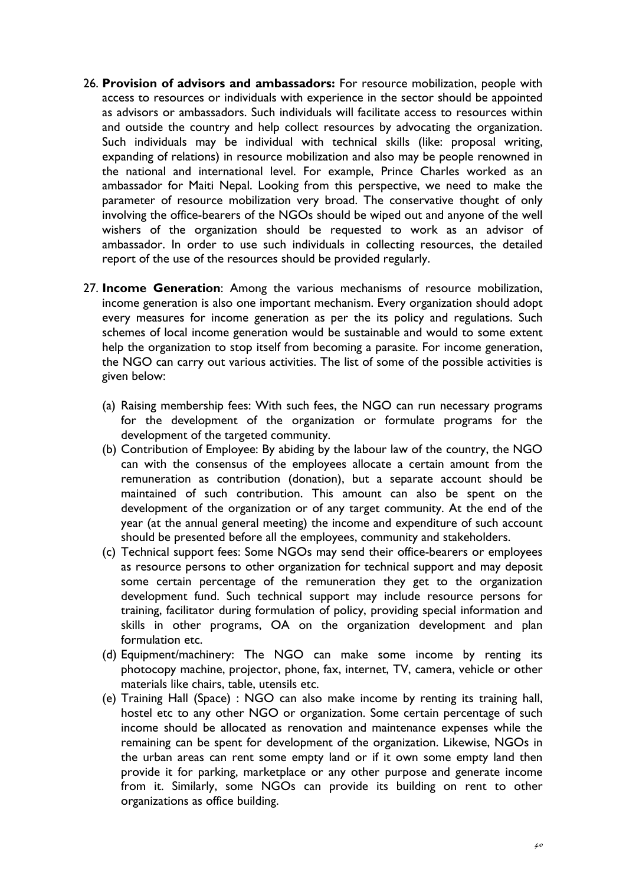- 26. **Provision of advisors and ambassadors:** For resource mobilization, people with access to resources or individuals with experience in the sector should be appointed as advisors or ambassadors. Such individuals will facilitate access to resources within and outside the country and help collect resources by advocating the organization. Such individuals may be individual with technical skills (like: proposal writing, expanding of relations) in resource mobilization and also may be people renowned in the national and international level. For example, Prince Charles worked as an ambassador for Maiti Nepal. Looking from this perspective, we need to make the parameter of resource mobilization very broad. The conservative thought of only involving the office-bearers of the NGOs should be wiped out and anyone of the well wishers of the organization should be requested to work as an advisor of ambassador. In order to use such individuals in collecting resources, the detailed report of the use of the resources should be provided regularly.
- 27. **Income Generation**: Among the various mechanisms of resource mobilization, income generation is also one important mechanism. Every organization should adopt every measures for income generation as per the its policy and regulations. Such schemes of local income generation would be sustainable and would to some extent help the organization to stop itself from becoming a parasite. For income generation, the NGO can carry out various activities. The list of some of the possible activities is given below:
	- (a) Raising membership fees: With such fees, the NGO can run necessary programs for the development of the organization or formulate programs for the development of the targeted community.
	- (b) Contribution of Employee: By abiding by the labour law of the country, the NGO can with the consensus of the employees allocate a certain amount from the remuneration as contribution (donation), but a separate account should be maintained of such contribution. This amount can also be spent on the development of the organization or of any target community. At the end of the year (at the annual general meeting) the income and expenditure of such account should be presented before all the employees, community and stakeholders.
	- (c) Technical support fees: Some NGOs may send their office-bearers or employees as resource persons to other organization for technical support and may deposit some certain percentage of the remuneration they get to the organization development fund. Such technical support may include resource persons for training, facilitator during formulation of policy, providing special information and skills in other programs, OA on the organization development and plan formulation etc.
	- (d) Equipment/machinery: The NGO can make some income by renting its photocopy machine, projector, phone, fax, internet, TV, camera, vehicle or other materials like chairs, table, utensils etc.
	- (e) Training Hall (Space) : NGO can also make income by renting its training hall, hostel etc to any other NGO or organization. Some certain percentage of such income should be allocated as renovation and maintenance expenses while the remaining can be spent for development of the organization. Likewise, NGOs in the urban areas can rent some empty land or if it own some empty land then provide it for parking, marketplace or any other purpose and generate income from it. Similarly, some NGOs can provide its building on rent to other organizations as office building.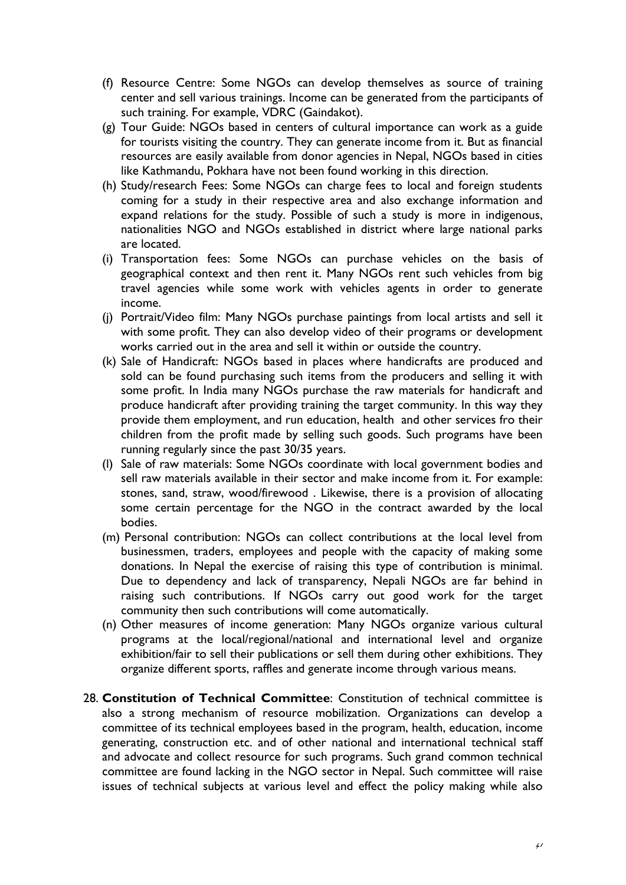- (f) Resource Centre: Some NGOs can develop themselves as source of training center and sell various trainings. Income can be generated from the participants of such training. For example, VDRC (Gaindakot).
- (g) Tour Guide: NGOs based in centers of cultural importance can work as a guide for tourists visiting the country. They can generate income from it. But as financial resources are easily available from donor agencies in Nepal, NGOs based in cities like Kathmandu, Pokhara have not been found working in this direction.
- (h) Study/research Fees: Some NGOs can charge fees to local and foreign students coming for a study in their respective area and also exchange information and expand relations for the study. Possible of such a study is more in indigenous, nationalities NGO and NGOs established in district where large national parks are located.
- (i) Transportation fees: Some NGOs can purchase vehicles on the basis of geographical context and then rent it. Many NGOs rent such vehicles from big travel agencies while some work with vehicles agents in order to generate income.
- (j) Portrait/Video film: Many NGOs purchase paintings from local artists and sell it with some profit. They can also develop video of their programs or development works carried out in the area and sell it within or outside the country.
- (k) Sale of Handicraft: NGOs based in places where handicrafts are produced and sold can be found purchasing such items from the producers and selling it with some profit. In India many NGOs purchase the raw materials for handicraft and produce handicraft after providing training the target community. In this way they provide them employment, and run education, health and other services fro their children from the profit made by selling such goods. Such programs have been running regularly since the past 30/35 years.
- (l) Sale of raw materials: Some NGOs coordinate with local government bodies and sell raw materials available in their sector and make income from it. For example: stones, sand, straw, wood/firewood . Likewise, there is a provision of allocating some certain percentage for the NGO in the contract awarded by the local bodies.
- (m) Personal contribution: NGOs can collect contributions at the local level from businessmen, traders, employees and people with the capacity of making some donations. In Nepal the exercise of raising this type of contribution is minimal. Due to dependency and lack of transparency, Nepali NGOs are far behind in raising such contributions. If NGOs carry out good work for the target community then such contributions will come automatically.
- (n) Other measures of income generation: Many NGOs organize various cultural programs at the local/regional/national and international level and organize exhibition/fair to sell their publications or sell them during other exhibitions. They organize different sports, raffles and generate income through various means.
- 28. **Constitution of Technical Committee**: Constitution of technical committee is also a strong mechanism of resource mobilization. Organizations can develop a committee of its technical employees based in the program, health, education, income generating, construction etc. and of other national and international technical staff and advocate and collect resource for such programs. Such grand common technical committee are found lacking in the NGO sector in Nepal. Such committee will raise issues of technical subjects at various level and effect the policy making while also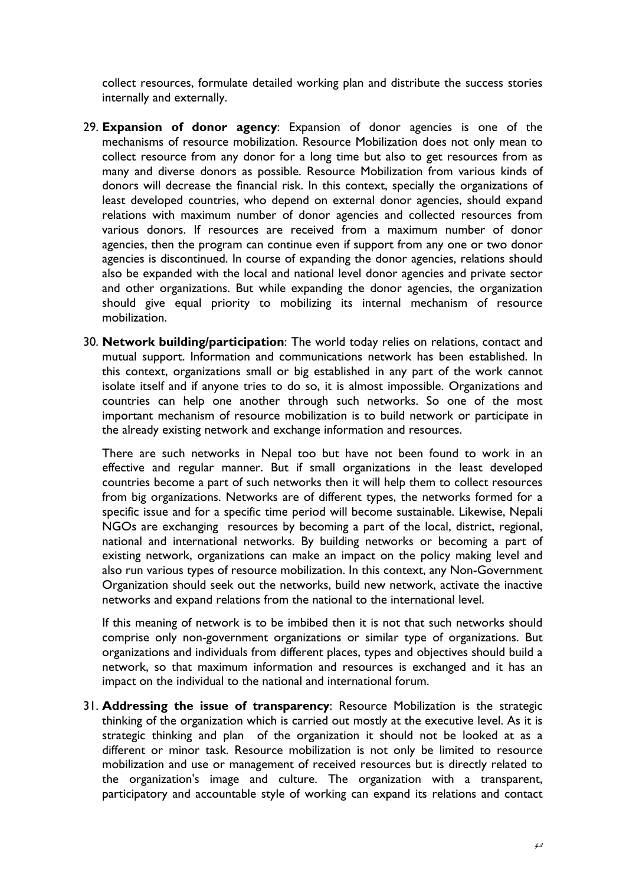collect resources, formulate detailed working plan and distribute the success stories internally and externally.

- 29. **Expansion of donor agency**: Expansion of donor agencies is one of the mechanisms of resource mobilization. Resource Mobilization does not only mean to collect resource from any donor for a long time but also to get resources from as many and diverse donors as possible. Resource Mobilization from various kinds of donors will decrease the financial risk. In this context, specially the organizations of least developed countries, who depend on external donor agencies, should expand relations with maximum number of donor agencies and collected resources from various donors. If resources are received from a maximum number of donor agencies, then the program can continue even if support from any one or two donor agencies is discontinued. In course of expanding the donor agencies, relations should also be expanded with the local and national level donor agencies and private sector and other organizations. But while expanding the donor agencies, the organization should give equal priority to mobilizing its internal mechanism of resource mobilization.
- 30. **Network building/participation**: The world today relies on relations, contact and mutual support. Information and communications network has been established. In this context, organizations small or big established in any part of the work cannot isolate itself and if anyone tries to do so, it is almost impossible. Organizations and countries can help one another through such networks. So one of the most important mechanism of resource mobilization is to build network or participate in the already existing network and exchange information and resources.

There are such networks in Nepal too but have not been found to work in an effective and regular manner. But if small organizations in the least developed countries become a part of such networks then it will help them to collect resources from big organizations. Networks are of different types, the networks formed for a specific issue and for a specific time period will become sustainable. Likewise, Nepali NGOs are exchanging resources by becoming a part of the local, district, regional, national and international networks. By building networks or becoming a part of existing network, organizations can make an impact on the policy making level and also run various types of resource mobilization. In this context, any Non-Government Organization should seek out the networks, build new network, activate the inactive networks and expand relations from the national to the international level.

If this meaning of network is to be imbibed then it is not that such networks should comprise only non-government organizations or similar type of organizations. But organizations and individuals from different places, types and objectives should build a network, so that maximum information and resources is exchanged and it has an impact on the individual to the national and international forum.

31. **Addressing the issue of transparency**: Resource Mobilization is the strategic thinking of the organization which is carried out mostly at the executive level. As it is strategic thinking and plan of the organization it should not be looked at as a different or minor task. Resource mobilization is not only be limited to resource mobilization and use or management of received resources but is directly related to the organization's image and culture. The organization with a transparent, participatory and accountable style of working can expand its relations and contact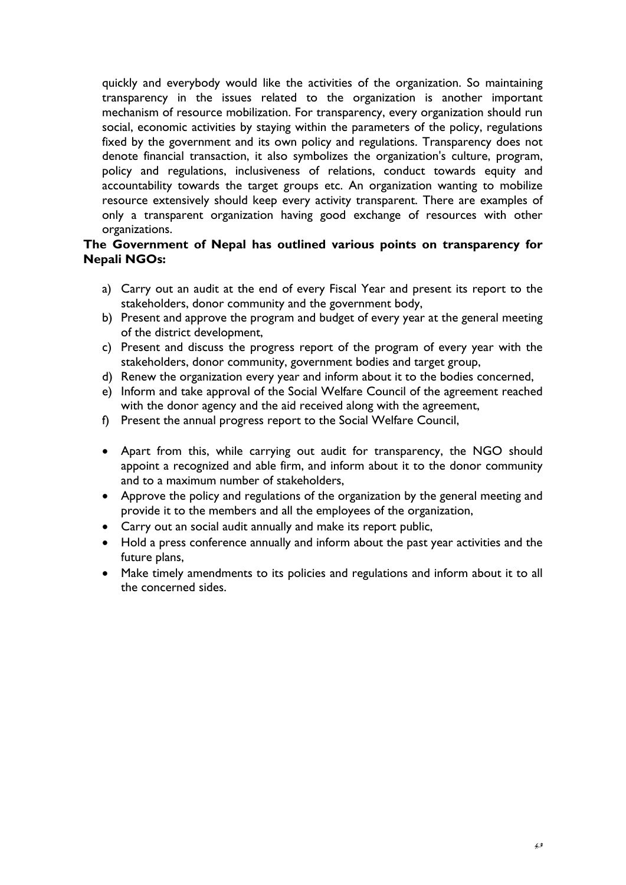quickly and everybody would like the activities of the organization. So maintaining transparency in the issues related to the organization is another important mechanism of resource mobilization. For transparency, every organization should run social, economic activities by staying within the parameters of the policy, regulations fixed by the government and its own policy and regulations. Transparency does not denote financial transaction, it also symbolizes the organization's culture, program, policy and regulations, inclusiveness of relations, conduct towards equity and accountability towards the target groups etc. An organization wanting to mobilize resource extensively should keep every activity transparent. There are examples of only a transparent organization having good exchange of resources with other organizations.

## **The Government of Nepal has outlined various points on transparency for Nepali NGOs:**

- a) Carry out an audit at the end of every Fiscal Year and present its report to the stakeholders, donor community and the government body,
- b) Present and approve the program and budget of every year at the general meeting of the district development,
- c) Present and discuss the progress report of the program of every year with the stakeholders, donor community, government bodies and target group,
- d) Renew the organization every year and inform about it to the bodies concerned,
- e) Inform and take approval of the Social Welfare Council of the agreement reached with the donor agency and the aid received along with the agreement,
- f) Present the annual progress report to the Social Welfare Council,
- Apart from this, while carrying out audit for transparency, the NGO should appoint a recognized and able firm, and inform about it to the donor community and to a maximum number of stakeholders,
- Approve the policy and regulations of the organization by the general meeting and provide it to the members and all the employees of the organization,
- Carry out an social audit annually and make its report public,
- Hold a press conference annually and inform about the past year activities and the future plans,
- Make timely amendments to its policies and regulations and inform about it to all the concerned sides.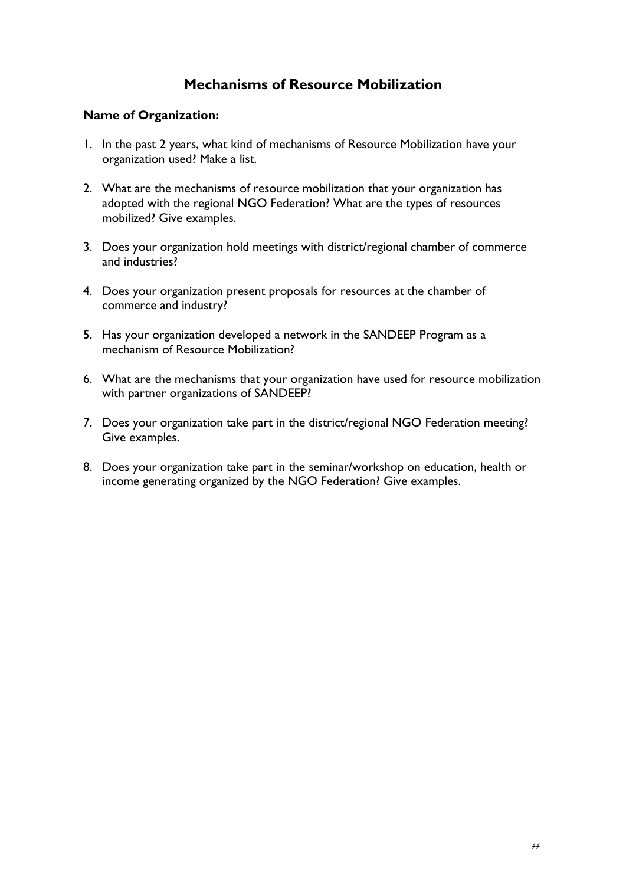## **Mechanisms of Resource Mobilization**

## **Name of Organization:**

- 1. In the past 2 years, what kind of mechanisms of Resource Mobilization have your organization used? Make a list.
- 2. What are the mechanisms of resource mobilization that your organization has adopted with the regional NGO Federation? What are the types of resources mobilized? Give examples.
- 3. Does your organization hold meetings with district/regional chamber of commerce and industries?
- 4. Does your organization present proposals for resources at the chamber of commerce and industry?
- 5. Has your organization developed a network in the SANDEEP Program as a mechanism of Resource Mobilization?
- 6. What are the mechanisms that your organization have used for resource mobilization with partner organizations of SANDEEP?
- 7. Does your organization take part in the district/regional NGO Federation meeting? Give examples.
- 8. Does your organization take part in the seminar/workshop on education, health or income generating organized by the NGO Federation? Give examples.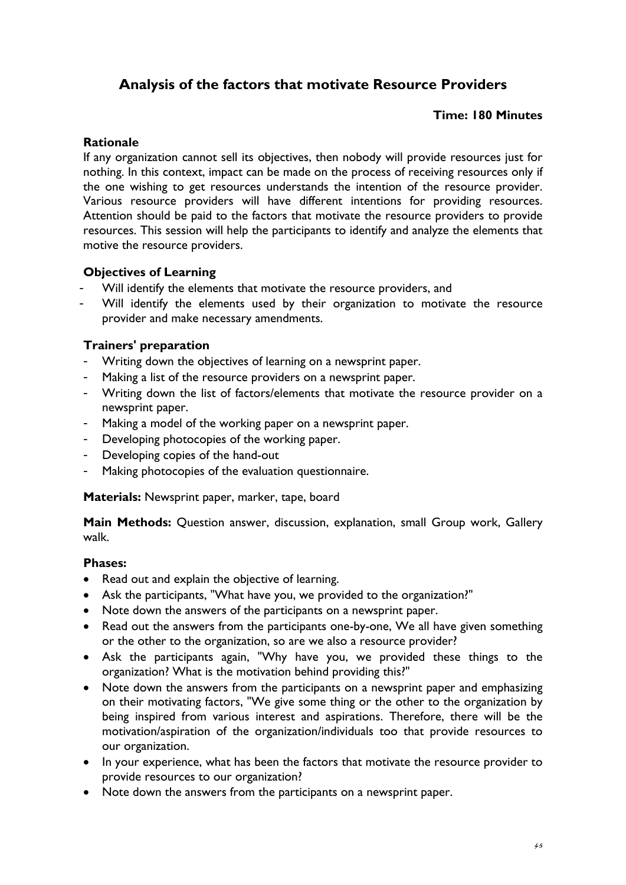# **Analysis of the factors that motivate Resource Providers**

## **Time: 180 Minutes**

## **Rationale**

If any organization cannot sell its objectives, then nobody will provide resources just for nothing. In this context, impact can be made on the process of receiving resources only if the one wishing to get resources understands the intention of the resource provider. Various resource providers will have different intentions for providing resources. Attention should be paid to the factors that motivate the resource providers to provide resources. This session will help the participants to identify and analyze the elements that motive the resource providers.

## **Objectives of Learning**

- Will identify the elements that motivate the resource providers, and
- Will identify the elements used by their organization to motivate the resource provider and make necessary amendments.

## **Trainers' preparation**

- Writing down the objectives of learning on a newsprint paper.
- Making a list of the resource providers on a newsprint paper.
- Writing down the list of factors/elements that motivate the resource provider on a newsprint paper.
- Making a model of the working paper on a newsprint paper.
- Developing photocopies of the working paper.
- Developing copies of the hand-out
- Making photocopies of the evaluation questionnaire.

**Materials:** Newsprint paper, marker, tape, board

**Main Methods:** Question answer, discussion, explanation, small Group work, Gallery walk.

## **Phases:**

- Read out and explain the objective of learning.
- Ask the participants, "What have you, we provided to the organization?"
- Note down the answers of the participants on a newsprint paper.
- Read out the answers from the participants one-by-one, We all have given something or the other to the organization, so are we also a resource provider?
- Ask the participants again, "Why have you, we provided these things to the organization? What is the motivation behind providing this?"
- Note down the answers from the participants on a newsprint paper and emphasizing on their motivating factors, "We give some thing or the other to the organization by being inspired from various interest and aspirations. Therefore, there will be the motivation/aspiration of the organization/individuals too that provide resources to our organization.
- In your experience, what has been the factors that motivate the resource provider to provide resources to our organization?
- Note down the answers from the participants on a newsprint paper.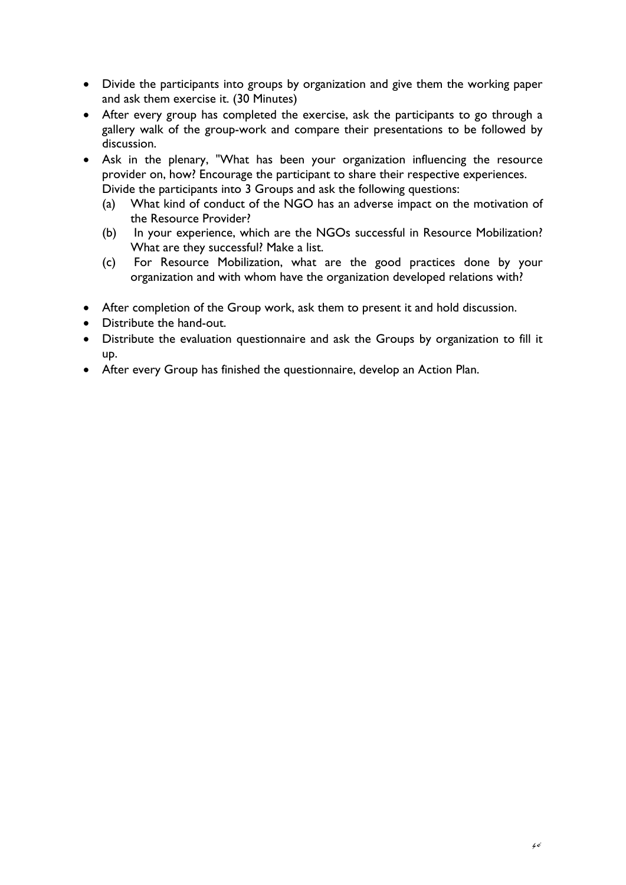- Divide the participants into groups by organization and give them the working paper and ask them exercise it. (30 Minutes)
- After every group has completed the exercise, ask the participants to go through a gallery walk of the group-work and compare their presentations to be followed by discussion.
- Ask in the plenary, "What has been your organization influencing the resource provider on, how? Encourage the participant to share their respective experiences. Divide the participants into 3 Groups and ask the following questions:
	- (a) What kind of conduct of the NGO has an adverse impact on the motivation of the Resource Provider?
	- (b) In your experience, which are the NGOs successful in Resource Mobilization? What are they successful? Make a list.
	- (c) For Resource Mobilization, what are the good practices done by your organization and with whom have the organization developed relations with?
- After completion of the Group work, ask them to present it and hold discussion.
- Distribute the hand-out.
- Distribute the evaluation questionnaire and ask the Groups by organization to fill it up.
- After every Group has finished the questionnaire, develop an Action Plan.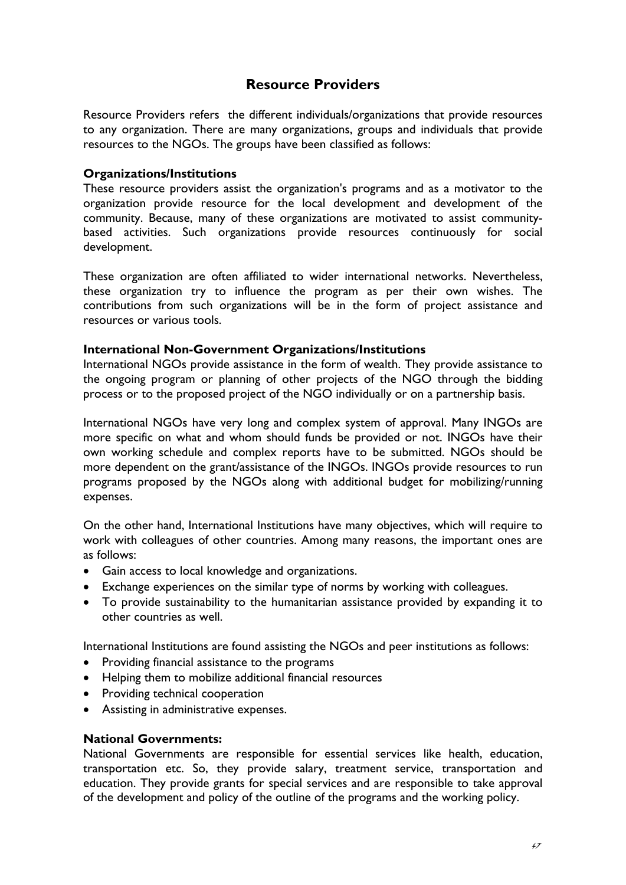## **Resource Providers**

Resource Providers refers the different individuals/organizations that provide resources to any organization. There are many organizations, groups and individuals that provide resources to the NGOs. The groups have been classified as follows:

## **Organizations/Institutions**

These resource providers assist the organization's programs and as a motivator to the organization provide resource for the local development and development of the community. Because, many of these organizations are motivated to assist communitybased activities. Such organizations provide resources continuously for social development.

These organization are often affiliated to wider international networks. Nevertheless, these organization try to influence the program as per their own wishes. The contributions from such organizations will be in the form of project assistance and resources or various tools.

## **International Non-Government Organizations/Institutions**

International NGOs provide assistance in the form of wealth. They provide assistance to the ongoing program or planning of other projects of the NGO through the bidding process or to the proposed project of the NGO individually or on a partnership basis.

International NGOs have very long and complex system of approval. Many INGOs are more specific on what and whom should funds be provided or not. INGOs have their own working schedule and complex reports have to be submitted. NGOs should be more dependent on the grant/assistance of the INGOs. INGOs provide resources to run programs proposed by the NGOs along with additional budget for mobilizing/running expenses.

On the other hand, International Institutions have many objectives, which will require to work with colleagues of other countries. Among many reasons, the important ones are as follows:

- Gain access to local knowledge and organizations.
- Exchange experiences on the similar type of norms by working with colleagues.
- To provide sustainability to the humanitarian assistance provided by expanding it to other countries as well.

International Institutions are found assisting the NGOs and peer institutions as follows:

- Providing financial assistance to the programs
- Helping them to mobilize additional financial resources
- Providing technical cooperation
- Assisting in administrative expenses.

## **National Governments:**

National Governments are responsible for essential services like health, education, transportation etc. So, they provide salary, treatment service, transportation and education. They provide grants for special services and are responsible to take approval of the development and policy of the outline of the programs and the working policy.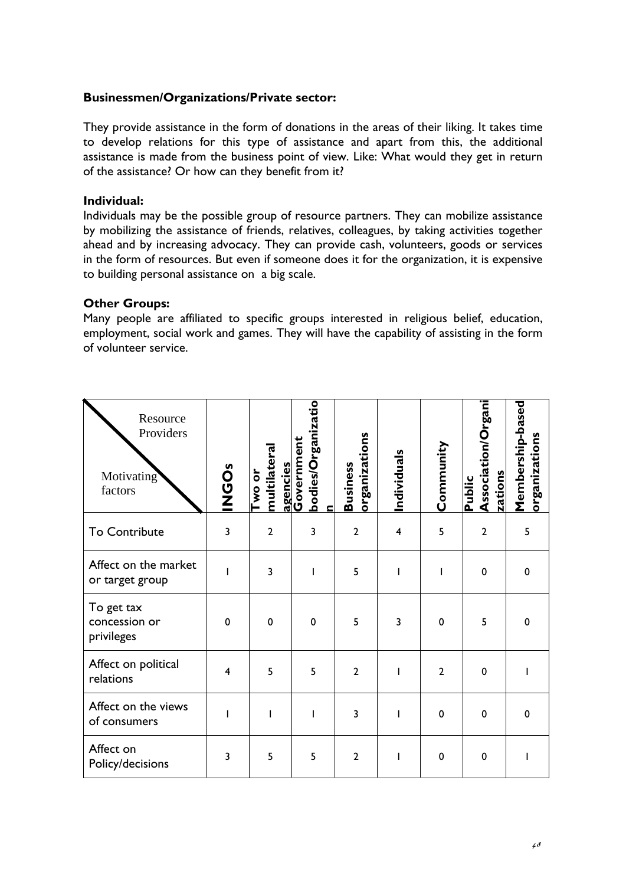### **Businessmen/Organizations/Private sector:**

They provide assistance in the form of donations in the areas of their liking. It takes time to develop relations for this type of assistance and apart from this, the additional assistance is made from the business point of view. Like: What would they get in return of the assistance? Or how can they benefit from it?

## **Individual:**

Individuals may be the possible group of resource partners. They can mobilize assistance by mobilizing the assistance of friends, relatives, colleagues, by taking activities together ahead and by increasing advocacy. They can provide cash, volunteers, goods or services in the form of resources. But even if someone does it for the organization, it is expensive to building personal assistance on a big scale.

## **Other Groups:**

Many people are affiliated to specific groups interested in religious belief, education, employment, social work and games. They will have the capability of assisting in the form of volunteer service.

| Resource<br>Providers<br>Motivating<br>factors | <b>INGOS</b> | multilatera<br>Two or | bodies/Organizatio<br>agencies<br>Government<br>c | organizations<br><b>Business</b> | Individuals    | Community      | Association/Organi<br>zations<br>Public | Membership-based<br>organizations |
|------------------------------------------------|--------------|-----------------------|---------------------------------------------------|----------------------------------|----------------|----------------|-----------------------------------------|-----------------------------------|
| To Contribute                                  | 3            | $\overline{2}$        | 3                                                 | $\overline{2}$                   | $\overline{4}$ | 5              | $\overline{2}$                          | 5                                 |
| Affect on the market<br>or target group        |              | 3                     |                                                   | 5                                | ı              |                | 0                                       | $\mathbf 0$                       |
| To get tax<br>concession or<br>privileges      | $\mathbf 0$  | $\mathbf 0$           | $\mathbf 0$                                       | 5                                | $\overline{3}$ | $\mathbf 0$    | 5                                       | 0                                 |
| Affect on political<br>relations               | 4            | 5                     | 5                                                 | $\overline{2}$                   | I              | $\overline{2}$ | $\mathbf 0$                             |                                   |
| Affect on the views<br>of consumers            | ı            | I                     |                                                   | 3                                | ı              | $\mathbf 0$    | $\mathbf 0$                             | $\mathbf 0$                       |
| Affect on<br>Policy/decisions                  | 3            | 5                     | 5                                                 | $\overline{2}$                   | ı              | $\mathbf 0$    | 0                                       |                                   |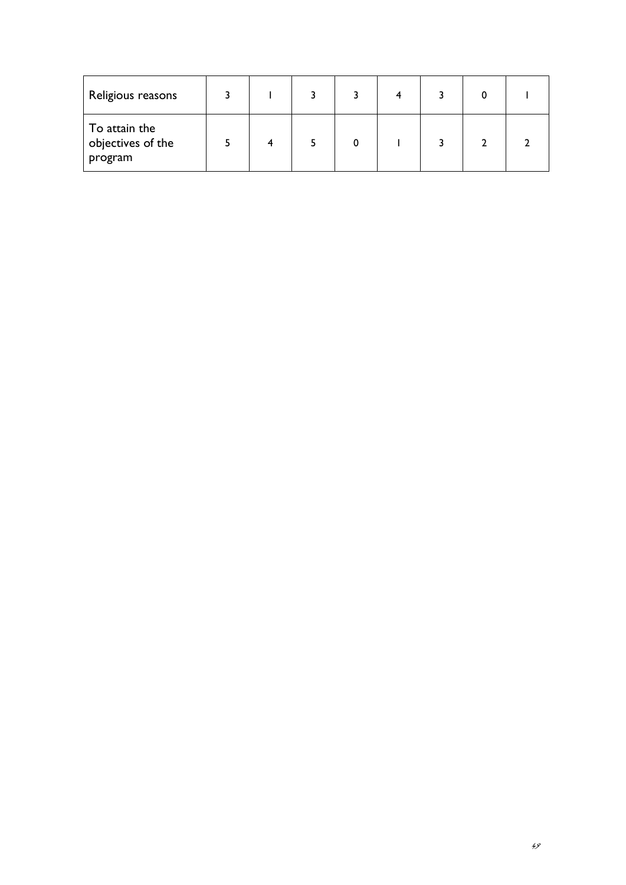| Religious reasons                             |  |  | 4 |  |  |
|-----------------------------------------------|--|--|---|--|--|
| To attain the<br>objectives of the<br>program |  |  |   |  |  |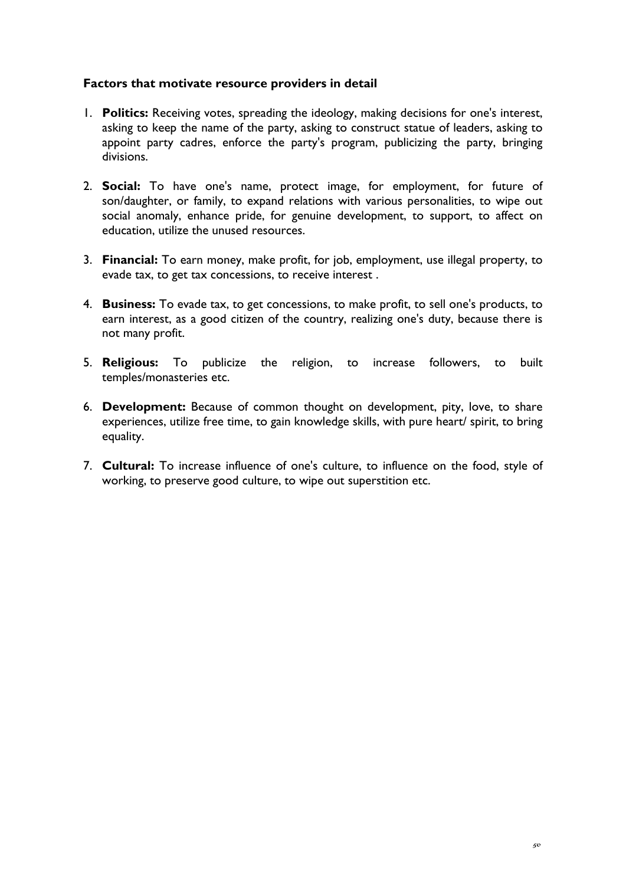## **Factors that motivate resource providers in detail**

- 1. **Politics:** Receiving votes, spreading the ideology, making decisions for one's interest, asking to keep the name of the party, asking to construct statue of leaders, asking to appoint party cadres, enforce the party's program, publicizing the party, bringing divisions.
- 2. **Social:** To have one's name, protect image, for employment, for future of son/daughter, or family, to expand relations with various personalities, to wipe out social anomaly, enhance pride, for genuine development, to support, to affect on education, utilize the unused resources.
- 3. **Financial:** To earn money, make profit, for job, employment, use illegal property, to evade tax, to get tax concessions, to receive interest .
- 4. **Business:** To evade tax, to get concessions, to make profit, to sell one's products, to earn interest, as a good citizen of the country, realizing one's duty, because there is not many profit.
- 5. **Religious:** To publicize the religion, to increase followers, to built temples/monasteries etc.
- 6. **Development:** Because of common thought on development, pity, love, to share experiences, utilize free time, to gain knowledge skills, with pure heart/ spirit, to bring equality.
- 7. **Cultural:** To increase influence of one's culture, to influence on the food, style of working, to preserve good culture, to wipe out superstition etc.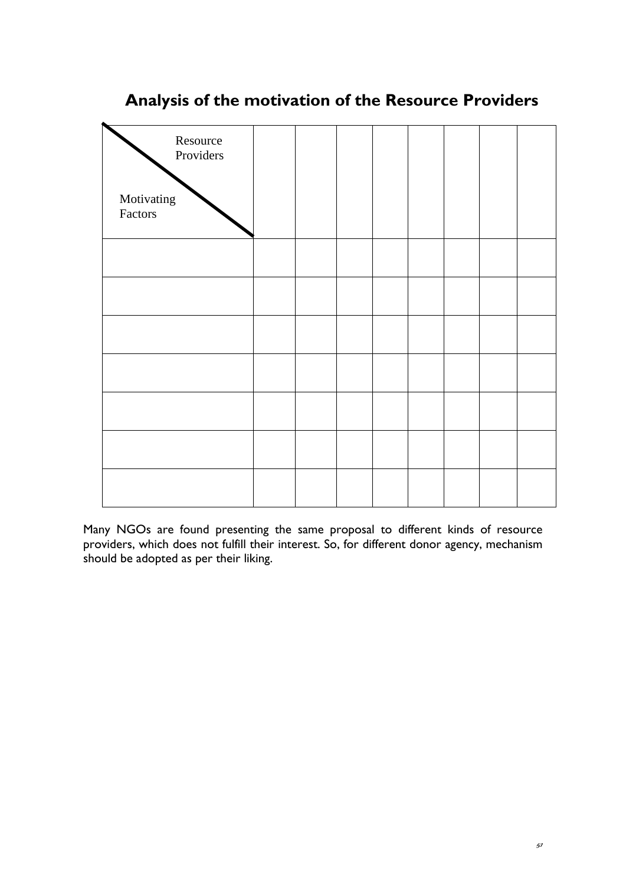

# **Analysis of the motivation of the Resource Providers**

Many NGOs are found presenting the same proposal to different kinds of resource providers, which does not fulfill their interest. So, for different donor agency, mechanism should be adopted as per their liking.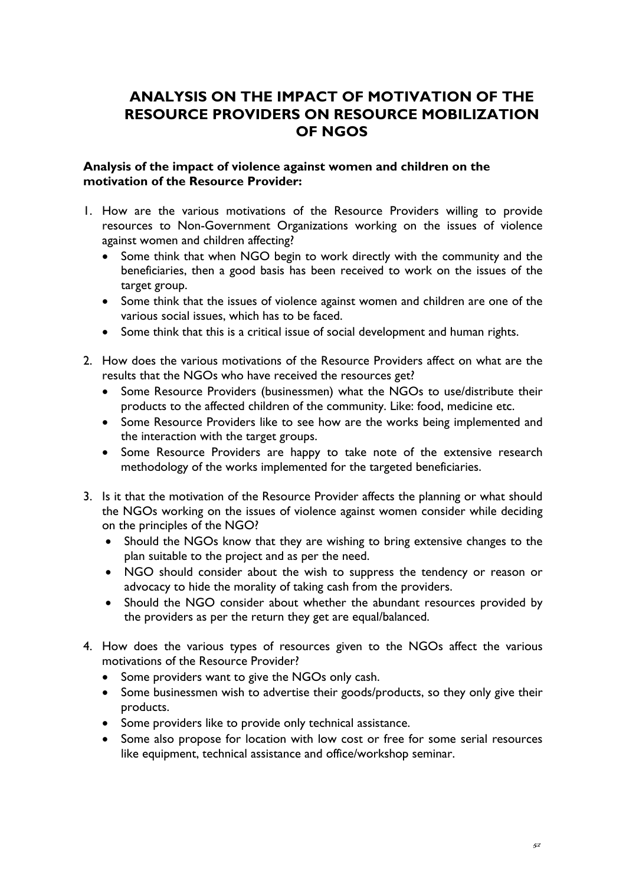# **ANALYSIS ON THE IMPACT OF MOTIVATION OF THE RESOURCE PROVIDERS ON RESOURCE MOBILIZATION OF NGOS**

## **Analysis of the impact of violence against women and children on the motivation of the Resource Provider:**

- 1. How are the various motivations of the Resource Providers willing to provide resources to Non-Government Organizations working on the issues of violence against women and children affecting?
	- Some think that when NGO begin to work directly with the community and the beneficiaries, then a good basis has been received to work on the issues of the target group.
	- Some think that the issues of violence against women and children are one of the various social issues, which has to be faced.
	- Some think that this is a critical issue of social development and human rights.
- 2. How does the various motivations of the Resource Providers affect on what are the results that the NGOs who have received the resources get?
	- Some Resource Providers (businessmen) what the NGOs to use/distribute their products to the affected children of the community. Like: food, medicine etc.
	- Some Resource Providers like to see how are the works being implemented and the interaction with the target groups.
	- Some Resource Providers are happy to take note of the extensive research methodology of the works implemented for the targeted beneficiaries.
- 3. Is it that the motivation of the Resource Provider affects the planning or what should the NGOs working on the issues of violence against women consider while deciding on the principles of the NGO?
	- Should the NGOs know that they are wishing to bring extensive changes to the plan suitable to the project and as per the need.
	- NGO should consider about the wish to suppress the tendency or reason or advocacy to hide the morality of taking cash from the providers.
	- Should the NGO consider about whether the abundant resources provided by the providers as per the return they get are equal/balanced.
- 4. How does the various types of resources given to the NGOs affect the various motivations of the Resource Provider?
	- Some providers want to give the NGOs only cash.
	- Some businessmen wish to advertise their goods/products, so they only give their products.
	- Some providers like to provide only technical assistance.
	- Some also propose for location with low cost or free for some serial resources like equipment, technical assistance and office/workshop seminar.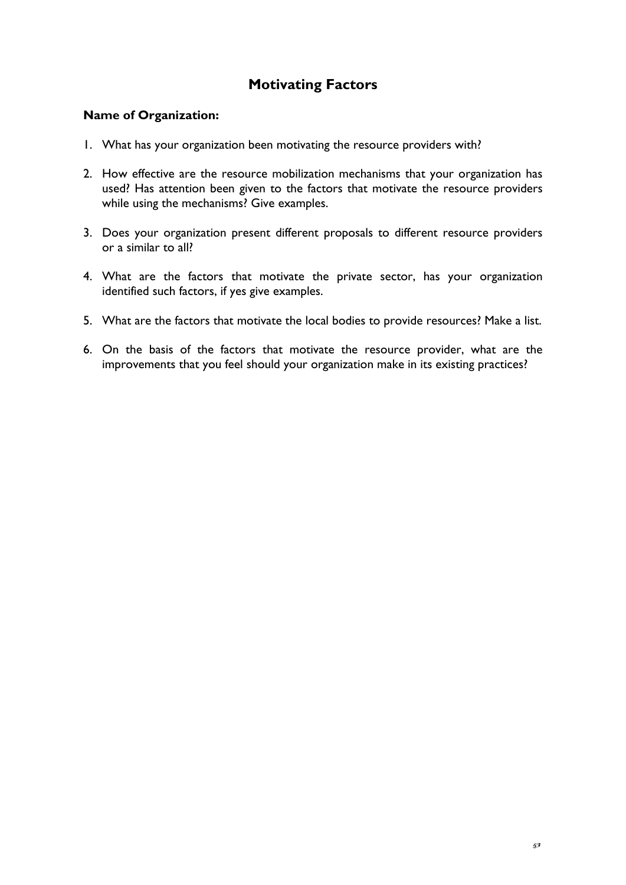# **Motivating Factors**

## **Name of Organization:**

- 1. What has your organization been motivating the resource providers with?
- 2. How effective are the resource mobilization mechanisms that your organization has used? Has attention been given to the factors that motivate the resource providers while using the mechanisms? Give examples.
- 3. Does your organization present different proposals to different resource providers or a similar to all?
- 4. What are the factors that motivate the private sector, has your organization identified such factors, if yes give examples.
- 5. What are the factors that motivate the local bodies to provide resources? Make a list.
- 6. On the basis of the factors that motivate the resource provider, what are the improvements that you feel should your organization make in its existing practices?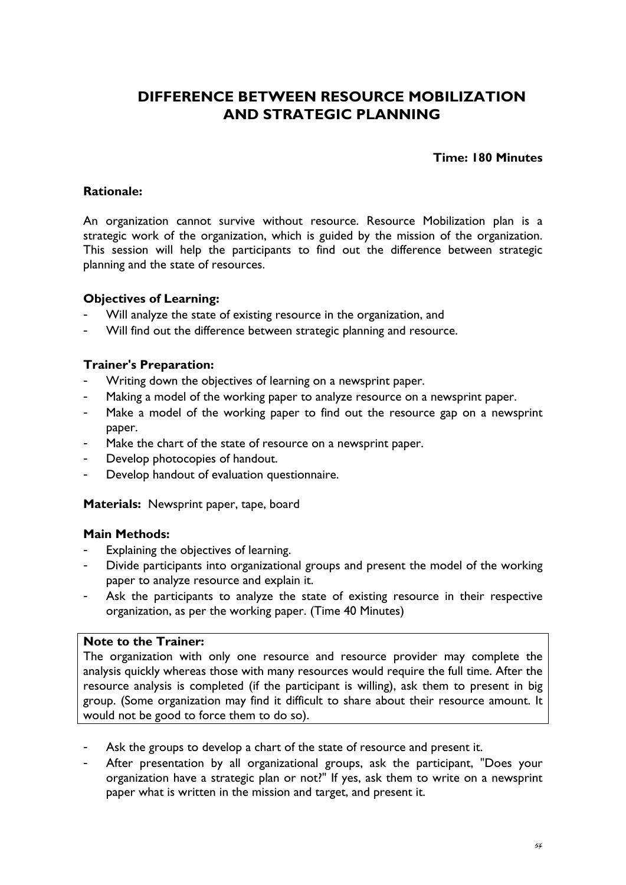# **DIFFERENCE BETWEEN RESOURCE MOBILIZATION AND STRATEGIC PLANNING**

## **Time: 180 Minutes**

## **Rationale:**

An organization cannot survive without resource. Resource Mobilization plan is a strategic work of the organization, which is guided by the mission of the organization. This session will help the participants to find out the difference between strategic planning and the state of resources.

## **Objectives of Learning:**

- Will analyze the state of existing resource in the organization, and
- Will find out the difference between strategic planning and resource.

## **Trainer's Preparation:**

- Writing down the objectives of learning on a newsprint paper.
- Making a model of the working paper to analyze resource on a newsprint paper.
- Make a model of the working paper to find out the resource gap on a newsprint paper.
- Make the chart of the state of resource on a newsprint paper.
- Develop photocopies of handout.
- Develop handout of evaluation questionnaire.

**Materials:** Newsprint paper, tape, board

## **Main Methods:**

- Explaining the objectives of learning.
- Divide participants into organizational groups and present the model of the working paper to analyze resource and explain it.
- Ask the participants to analyze the state of existing resource in their respective organization, as per the working paper. (Time 40 Minutes)

## **Note to the Trainer:**

The organization with only one resource and resource provider may complete the analysis quickly whereas those with many resources would require the full time. After the resource analysis is completed (if the participant is willing), ask them to present in big group. (Some organization may find it difficult to share about their resource amount. It would not be good to force them to do so).

- Ask the groups to develop a chart of the state of resource and present it.
- After presentation by all organizational groups, ask the participant, "Does your organization have a strategic plan or not?" If yes, ask them to write on a newsprint paper what is written in the mission and target, and present it.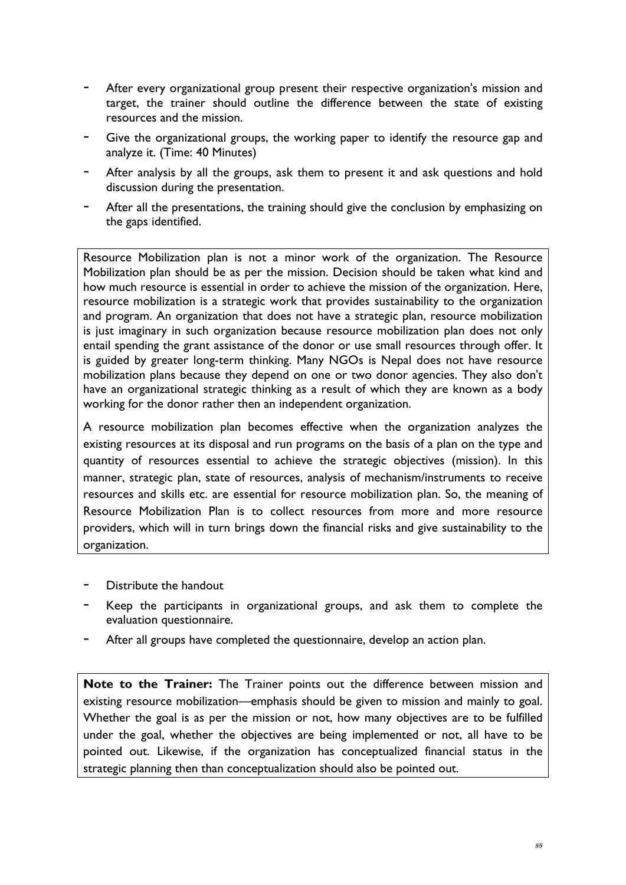- After every organizational group present their respective organization's mission and target, the trainer should outline the difference between the state of existing resources and the mission.
- Give the organizational groups, the working paper to identify the resource gap and analyze it. (Time: 40 Minutes)
- After analysis by all the groups, ask them to present it and ask questions and hold discussion during the presentation.
- After all the presentations, the training should give the conclusion by emphasizing on the gaps identified.

Resource Mobilization plan is not a minor work of the organization. The Resource Mobilization plan should be as per the mission. Decision should be taken what kind and how much resource is essential in order to achieve the mission of the organization. Here, resource mobilization is a strategic work that provides sustainability to the organization and program. An organization that does not have a strategic plan, resource mobilization is just imaginary in such organization because resource mobilization plan does not only entail spending the grant assistance of the donor or use small resources through offer. It is guided by greater long-term thinking. Many NGOs is Nepal does not have resource mobilization plans because they depend on one or two donor agencies. They also don't have an organizational strategic thinking as a result of which they are known as a body working for the donor rather then an independent organization.

A resource mobilization plan becomes effective when the organization analyzes the existing resources at its disposal and run programs on the basis of a plan on the type and quantity of resources essential to achieve the strategic objectives (mission). In this manner, strategic plan, state of resources, analysis of mechanism/instruments to receive resources and skills etc. are essential for resource mobilization plan. So, the meaning of Resource Mobilization Plan is to collect resources from more and more resource providers, which will in turn brings down the financial risks and give sustainability to the organization.

- Distribute the handout
- Keep the participants in organizational groups, and ask them to complete the evaluation questionnaire.
- After all groups have completed the questionnaire, develop an action plan.

**Note to the Trainer:** The Trainer points out the difference between mission and existing resource mobilization—emphasis should be given to mission and mainly to goal. Whether the goal is as per the mission or not, how many objectives are to be fulfilled under the goal, whether the objectives are being implemented or not, all have to be pointed out. Likewise, if the organization has conceptualized financial status in the strategic planning then than conceptualization should also be pointed out.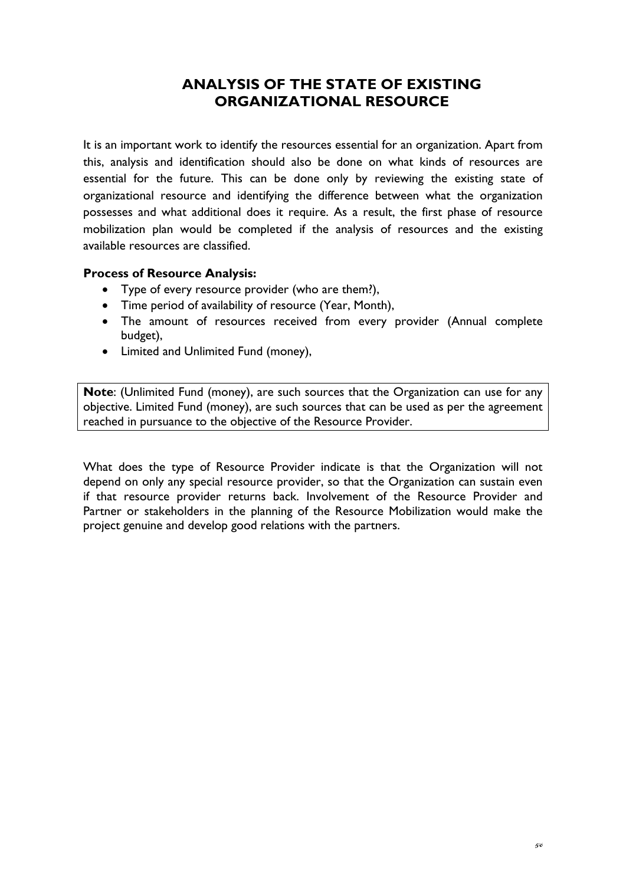# **ANALYSIS OF THE STATE OF EXISTING ORGANIZATIONAL RESOURCE**

It is an important work to identify the resources essential for an organization. Apart from this, analysis and identification should also be done on what kinds of resources are essential for the future. This can be done only by reviewing the existing state of organizational resource and identifying the difference between what the organization possesses and what additional does it require. As a result, the first phase of resource mobilization plan would be completed if the analysis of resources and the existing available resources are classified.

## **Process of Resource Analysis:**

- Type of every resource provider (who are them?),
- Time period of availability of resource (Year, Month),
- The amount of resources received from every provider (Annual complete budget),
- Limited and Unlimited Fund (money),

**Note**: (Unlimited Fund (money), are such sources that the Organization can use for any objective. Limited Fund (money), are such sources that can be used as per the agreement reached in pursuance to the objective of the Resource Provider.

What does the type of Resource Provider indicate is that the Organization will not depend on only any special resource provider, so that the Organization can sustain even if that resource provider returns back. Involvement of the Resource Provider and Partner or stakeholders in the planning of the Resource Mobilization would make the project genuine and develop good relations with the partners.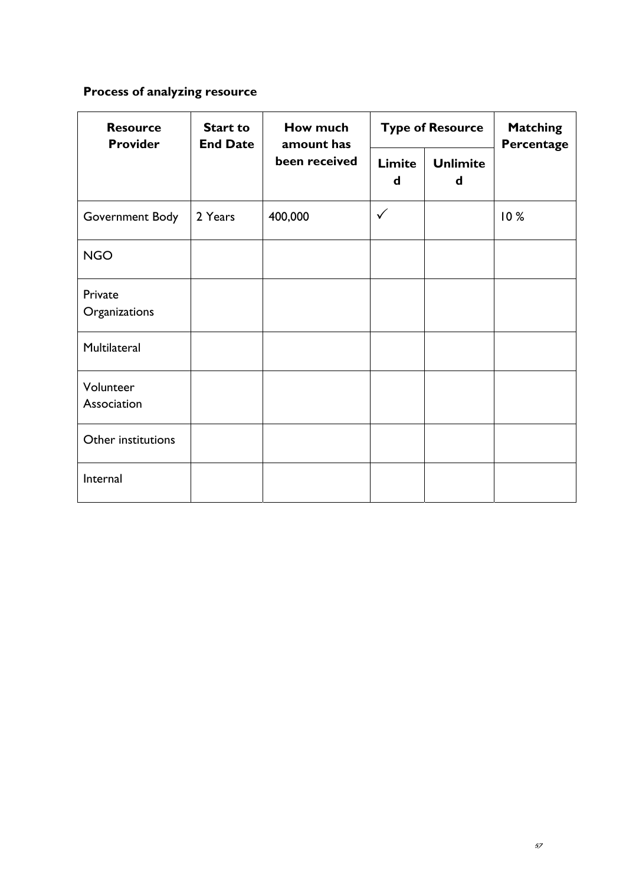# **Process of analyzing resource**

| <b>Resource</b><br><b>Provider</b> | <b>Start to</b><br><b>End Date</b> | How much<br>amount has |              | <b>Type of Resource</b> | <b>Matching</b><br>Percentage |
|------------------------------------|------------------------------------|------------------------|--------------|-------------------------|-------------------------------|
|                                    |                                    | been received          | Limite<br>d  | <b>Unlimite</b><br>d    |                               |
| Government Body                    | 2 Years                            | 400,000                | $\checkmark$ |                         | 10%                           |
| <b>NGO</b>                         |                                    |                        |              |                         |                               |
| Private<br>Organizations           |                                    |                        |              |                         |                               |
| Multilateral                       |                                    |                        |              |                         |                               |
| Volunteer<br>Association           |                                    |                        |              |                         |                               |
| Other institutions                 |                                    |                        |              |                         |                               |
| Internal                           |                                    |                        |              |                         |                               |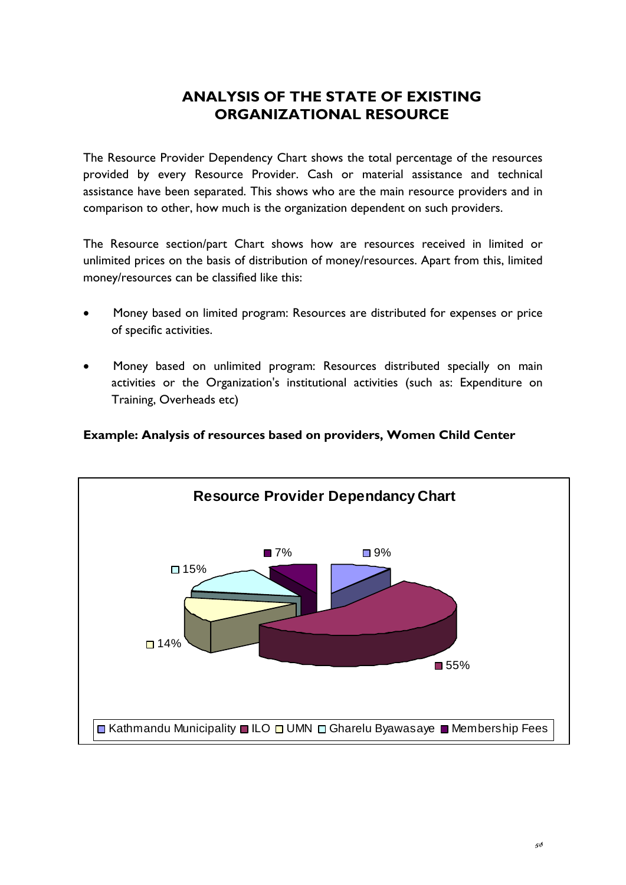# **ANALYSIS OF THE STATE OF EXISTING ORGANIZATIONAL RESOURCE**

The Resource Provider Dependency Chart shows the total percentage of the resources provided by every Resource Provider. Cash or material assistance and technical assistance have been separated. This shows who are the main resource providers and in comparison to other, how much is the organization dependent on such providers.

The Resource section/part Chart shows how are resources received in limited or unlimited prices on the basis of distribution of money/resources. Apart from this, limited money/resources can be classified like this:

- Money based on limited program: Resources are distributed for expenses or price of specific activities.
- Money based on unlimited program: Resources distributed specially on main activities or the Organization's institutional activities (such as: Expenditure on Training, Overheads etc)

## **Example: Analysis of resources based on providers, Women Child Center**

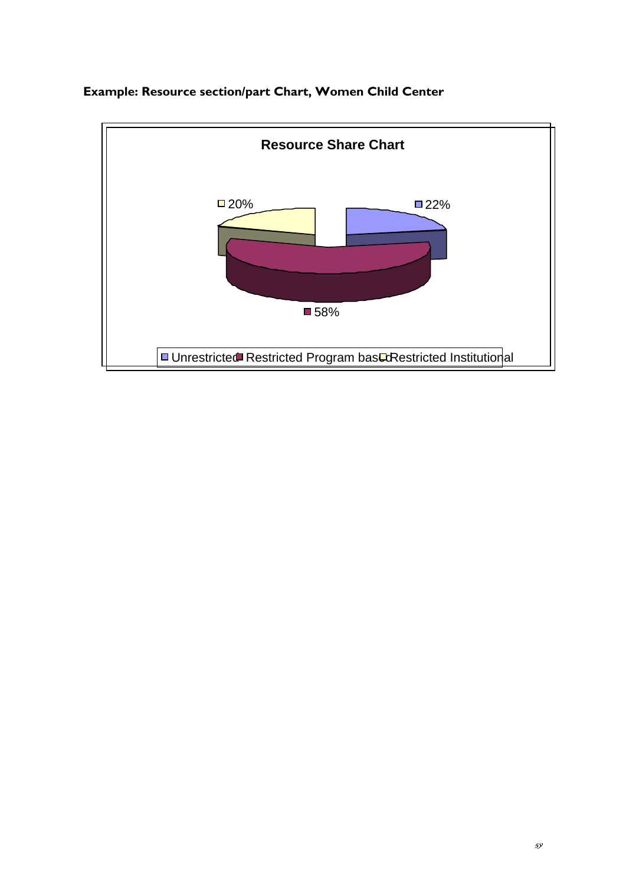

# **Example: Resource section/part Chart, Women Child Center**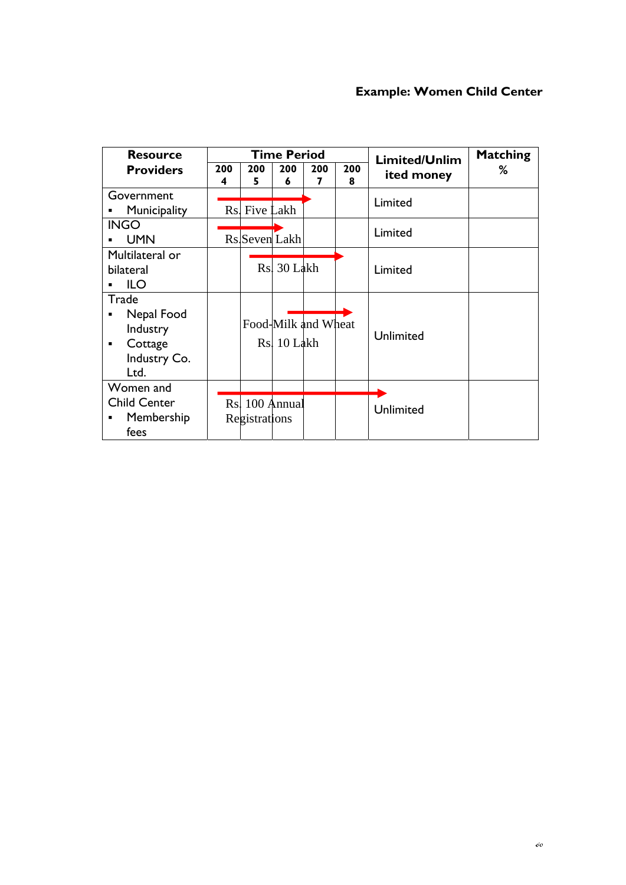# **Example: Women Child Center**

| <b>Resource</b>                                                              |          |                                 | <b>Time Period</b> |                     |          | Limited/Unlim | <b>Matching</b> |
|------------------------------------------------------------------------------|----------|---------------------------------|--------------------|---------------------|----------|---------------|-----------------|
| <b>Providers</b>                                                             | 200<br>4 | 200<br>5                        | 200<br>6           | 200<br>7            | 200<br>8 | ited money    | ℅               |
| Government<br>Municipality                                                   | Rs.      | Five Lakh                       |                    |                     |          | Limited       |                 |
| <b>INGO</b><br><b>UMN</b>                                                    |          | Rs Seven Lakh                   |                    |                     |          | Limited       |                 |
| Multilateral or<br>bilateral<br><b>ILO</b>                                   |          |                                 | Rs. 30 Lakh        |                     |          | Limited       |                 |
| Trade<br>Nepal Food<br>٠<br>Industry<br>Cottage<br>٠<br>Industry Co.<br>Ltd. |          |                                 | Rs. 10 Lakh        | Food-Milk and Wheat |          | Unlimited     |                 |
| Women and<br><b>Child Center</b><br>Membership<br>٠<br>fees                  |          | Rs. 100 Annual<br>Registrations |                    |                     |          | Unlimited     |                 |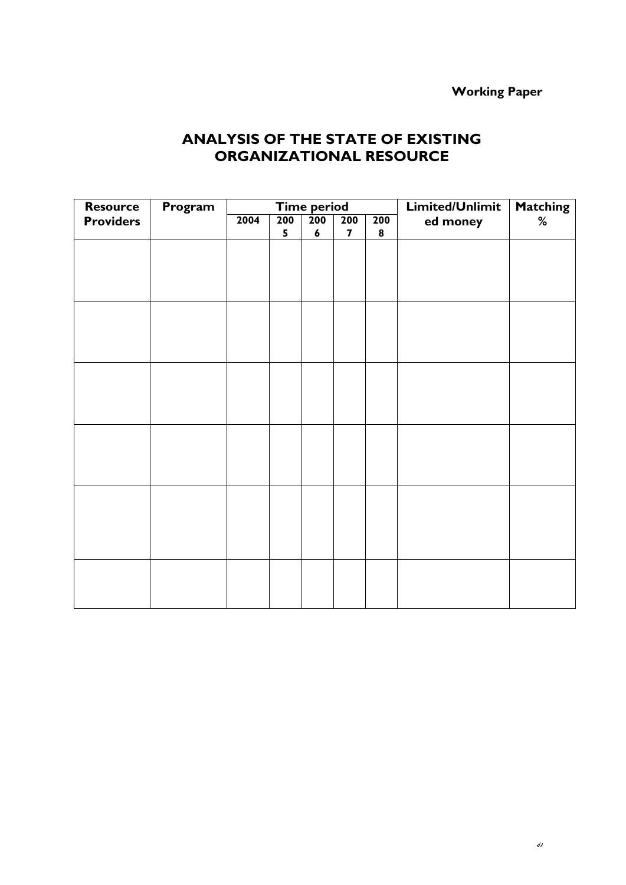# **Working Paper**

# **ANALYSIS OF THE STATE OF EXISTING ORGANIZATIONAL RESOURCE**

| <b>Resource</b>  | Program |      |     | <b>Time period</b> |                         |           | Limited/Unlimit | <b>Matching</b> |
|------------------|---------|------|-----|--------------------|-------------------------|-----------|-----------------|-----------------|
| <b>Providers</b> |         | 2004 | 200 | $\overline{200}$   | 200                     | 200       | ed money        | %               |
|                  |         |      | 5   | $\boldsymbol{6}$   | $\overline{\mathbf{z}}$ | $\pmb{8}$ |                 |                 |
|                  |         |      |     |                    |                         |           |                 |                 |
|                  |         |      |     |                    |                         |           |                 |                 |
|                  |         |      |     |                    |                         |           |                 |                 |
|                  |         |      |     |                    |                         |           |                 |                 |
|                  |         |      |     |                    |                         |           |                 |                 |
|                  |         |      |     |                    |                         |           |                 |                 |
|                  |         |      |     |                    |                         |           |                 |                 |
|                  |         |      |     |                    |                         |           |                 |                 |
|                  |         |      |     |                    |                         |           |                 |                 |
|                  |         |      |     |                    |                         |           |                 |                 |
|                  |         |      |     |                    |                         |           |                 |                 |
|                  |         |      |     |                    |                         |           |                 |                 |
|                  |         |      |     |                    |                         |           |                 |                 |
|                  |         |      |     |                    |                         |           |                 |                 |
|                  |         |      |     |                    |                         |           |                 |                 |
|                  |         |      |     |                    |                         |           |                 |                 |
|                  |         |      |     |                    |                         |           |                 |                 |
|                  |         |      |     |                    |                         |           |                 |                 |
|                  |         |      |     |                    |                         |           |                 |                 |
|                  |         |      |     |                    |                         |           |                 |                 |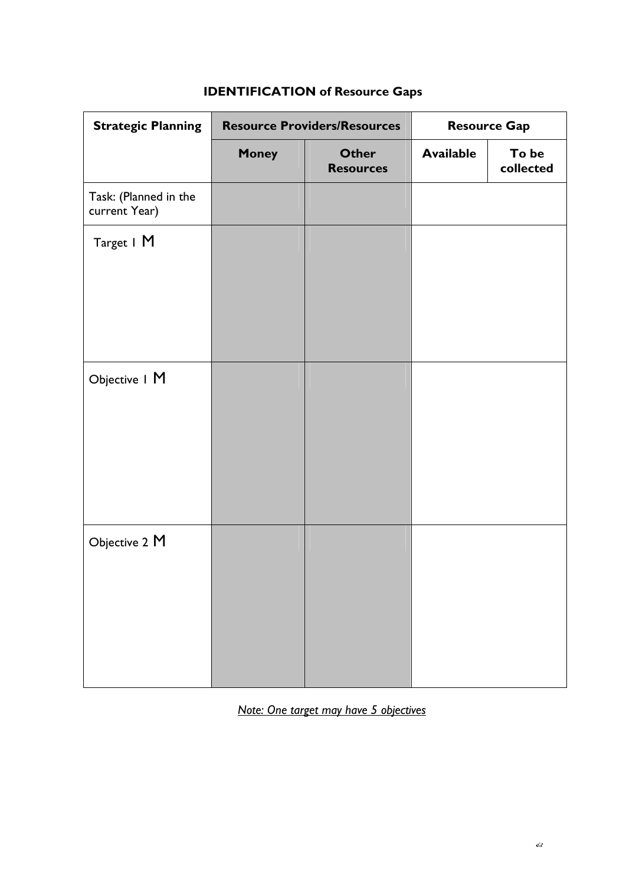| <b>Strategic Planning</b>              |              | <b>Resource Providers/Resources</b> |                  | <b>Resource Gap</b> |
|----------------------------------------|--------------|-------------------------------------|------------------|---------------------|
|                                        | <b>Money</b> | <b>Other</b><br><b>Resources</b>    | <b>Available</b> | To be<br>collected  |
| Task: (Planned in the<br>current Year) |              |                                     |                  |                     |
| Target   M                             |              |                                     |                  |                     |
| Objective I M                          |              |                                     |                  |                     |
| Objective 2 M                          |              |                                     |                  |                     |

# **IDENTIFICATION of Resource Gaps**

*Note: One target may have 5 objectives*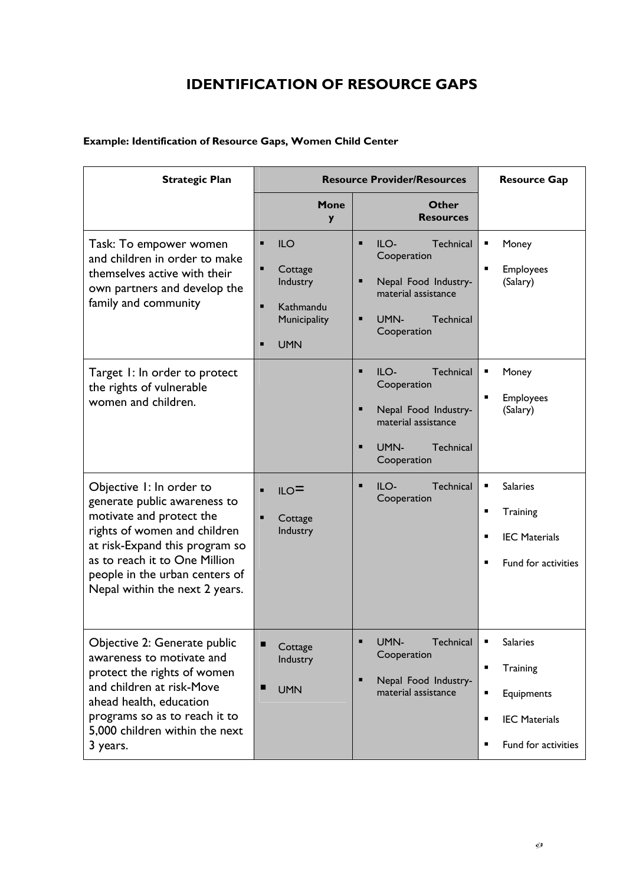# **IDENTIFICATION OF RESOURCE GAPS**

## **Example: Identification of Resource Gaps, Women Child Center**

| <b>Strategic Plan</b>                                                                                                                                                                                                                                       |                                                                                   | <b>Resource Provider/Resources</b>                                                                                                   | <b>Resource Gap</b>                                                                                                                         |
|-------------------------------------------------------------------------------------------------------------------------------------------------------------------------------------------------------------------------------------------------------------|-----------------------------------------------------------------------------------|--------------------------------------------------------------------------------------------------------------------------------------|---------------------------------------------------------------------------------------------------------------------------------------------|
|                                                                                                                                                                                                                                                             | Mone<br>y                                                                         | Other<br><b>Resources</b>                                                                                                            |                                                                                                                                             |
| Task: To empower women<br>and children in order to make<br>themselves active with their<br>own partners and develop the<br>family and community                                                                                                             | <b>ILO</b><br>п<br>Cottage<br>Industry<br>Kathmandu<br>Municipality<br><b>UMN</b> | $ILO-$<br>Technical<br>п<br>Cooperation<br>Ξ<br>Nepal Food Industry-<br>material assistance<br>UMN-<br>Technical<br>Е<br>Cooperation | Money<br>$\blacksquare$<br>Employees<br>(Salary)                                                                                            |
| Target 1: In order to protect<br>the rights of vulnerable<br>women and children.                                                                                                                                                                            |                                                                                   | ILO-<br>Technical<br>Ξ<br>Cooperation<br>Ξ<br>Nepal Food Industry-<br>material assistance<br>Technical<br>п<br>UMN-<br>Cooperation   | Money<br>٠<br>٠<br>Employees<br>(Salary)                                                                                                    |
| Objective 1: In order to<br>generate public awareness to<br>motivate and protect the<br>rights of women and children<br>at risk-Expand this program so<br>as to reach it to One Million<br>people in the urban centers of<br>Nepal within the next 2 years. | ILO<br>П<br>Cottage<br>Industry                                                   | Technical<br>٠<br>$ILO-$<br>Cooperation                                                                                              | <b>Salaries</b><br>٠<br>٠<br>Training<br><b>IEC Materials</b><br>$\blacksquare$<br>Fund for activities                                      |
| Objective 2: Generate public<br>awareness to motivate and<br>protect the rights of women<br>and children at risk-Move<br>ahead health, education<br>programs so as to reach it to<br>5,000 children within the next<br>3 years.                             | ■<br>Cottage<br>Industry<br><b>UMN</b>                                            | UMN-<br>Technical<br>Cooperation<br>Nepal Food Industry-<br>Ξ<br>material assistance                                                 | <b>Salaries</b><br>٠<br>٠<br>Training<br>٠<br>Equipments<br><b>IEC Materials</b><br>$\blacksquare$<br>$\blacksquare$<br>Fund for activities |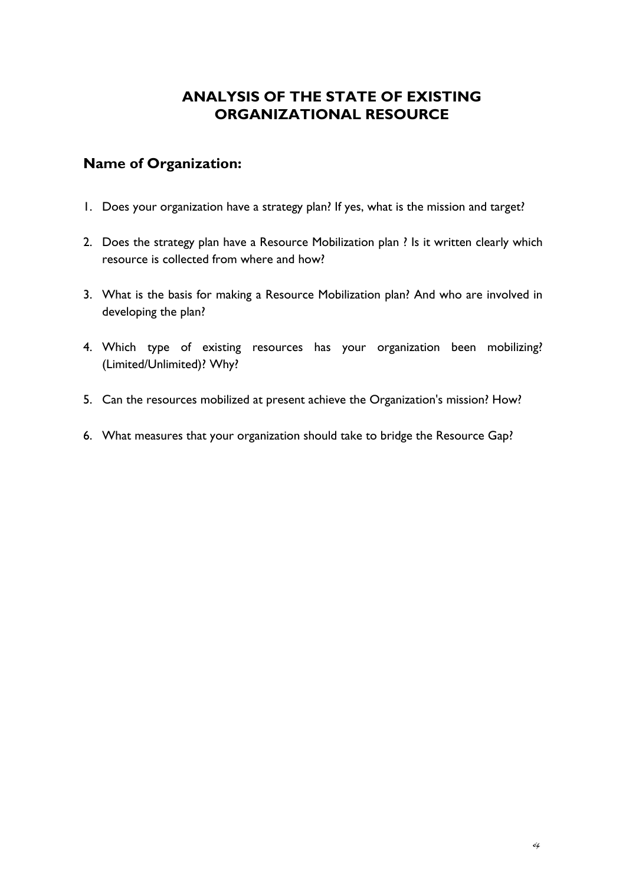# **ANALYSIS OF THE STATE OF EXISTING ORGANIZATIONAL RESOURCE**

## **Name of Organization:**

- 1. Does your organization have a strategy plan? If yes, what is the mission and target?
- 2. Does the strategy plan have a Resource Mobilization plan ? Is it written clearly which resource is collected from where and how?
- 3. What is the basis for making a Resource Mobilization plan? And who are involved in developing the plan?
- 4. Which type of existing resources has your organization been mobilizing? (Limited/Unlimited)? Why?
- 5. Can the resources mobilized at present achieve the Organization's mission? How?
- 6. What measures that your organization should take to bridge the Resource Gap?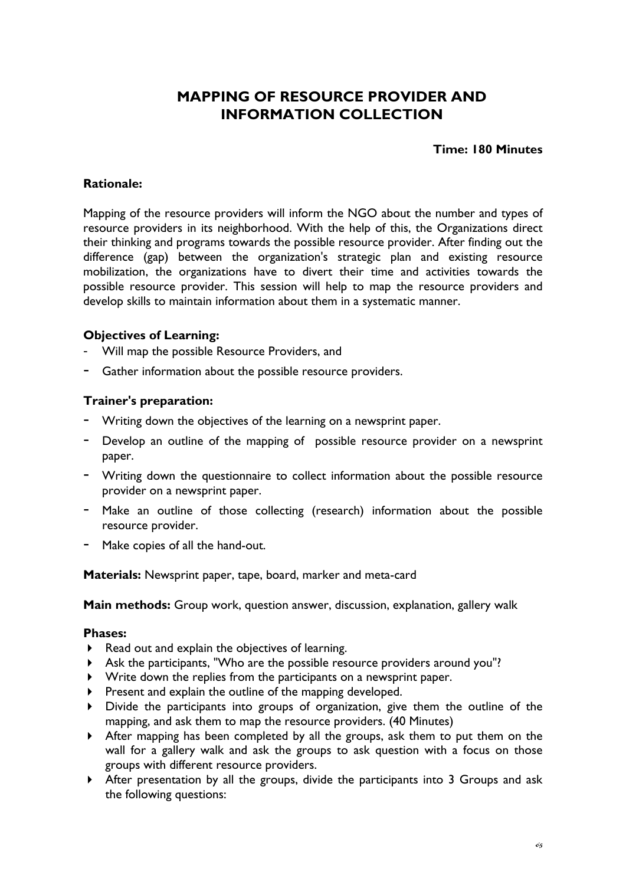# **MAPPING OF RESOURCE PROVIDER AND INFORMATION COLLECTION**

#### **Time: 180 Minutes**

#### **Rationale:**

Mapping of the resource providers will inform the NGO about the number and types of resource providers in its neighborhood. With the help of this, the Organizations direct their thinking and programs towards the possible resource provider. After finding out the difference (gap) between the organization's strategic plan and existing resource mobilization, the organizations have to divert their time and activities towards the possible resource provider. This session will help to map the resource providers and develop skills to maintain information about them in a systematic manner.

## **Objectives of Learning:**

- Will map the possible Resource Providers, and
- Gather information about the possible resource providers.

#### **Trainer's preparation:**

- Writing down the objectives of the learning on a newsprint paper.
- Develop an outline of the mapping of possible resource provider on a newsprint paper.
- Writing down the questionnaire to collect information about the possible resource provider on a newsprint paper.
- Make an outline of those collecting (research) information about the possible resource provider.
- Make copies of all the hand-out.

**Materials:** Newsprint paper, tape, board, marker and meta-card

**Main methods:** Group work, question answer, discussion, explanation, gallery walk

#### **Phases:**

- $\blacktriangleright$  Read out and explain the objectives of learning.
- Ask the participants, "Who are the possible resource providers around you"?
- Write down the replies from the participants on a newsprint paper.
- $\triangleright$  Present and explain the outline of the mapping developed.
- Divide the participants into groups of organization, give them the outline of the mapping, and ask them to map the resource providers. (40 Minutes)
- After mapping has been completed by all the groups, ask them to put them on the wall for a gallery walk and ask the groups to ask question with a focus on those groups with different resource providers.
- After presentation by all the groups, divide the participants into 3 Groups and ask the following questions: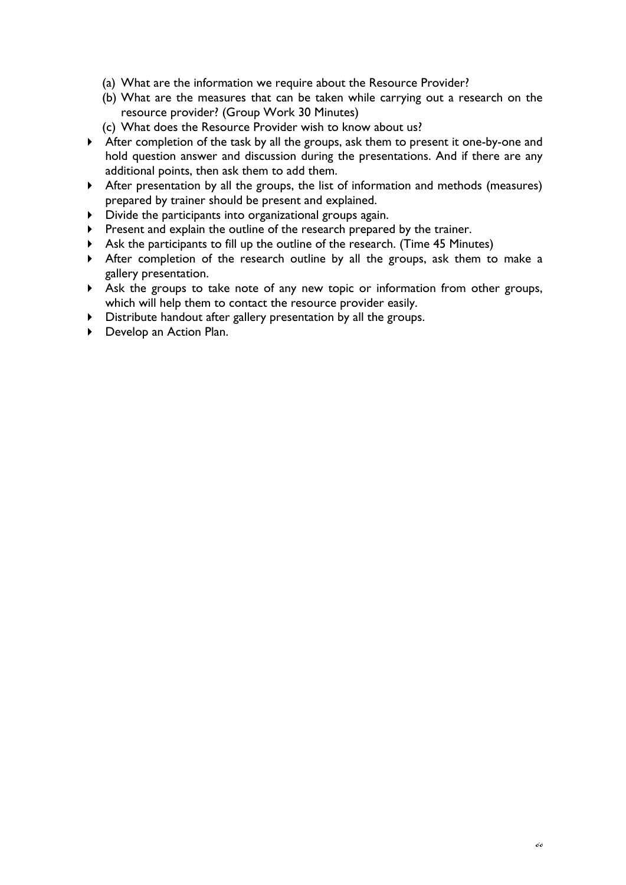- (a) What are the information we require about the Resource Provider?
- (b) What are the measures that can be taken while carrying out a research on the resource provider? (Group Work 30 Minutes)
- (c) What does the Resource Provider wish to know about us?
- After completion of the task by all the groups, ask them to present it one-by-one and hold question answer and discussion during the presentations. And if there are any additional points, then ask them to add them.
- After presentation by all the groups, the list of information and methods (measures) prepared by trainer should be present and explained.
- Divide the participants into organizational groups again.
- Present and explain the outline of the research prepared by the trainer.
- Ask the participants to fill up the outline of the research. (Time 45 Minutes)
- After completion of the research outline by all the groups, ask them to make a gallery presentation.
- Ask the groups to take note of any new topic or information from other groups, which will help them to contact the resource provider easily.
- Distribute handout after gallery presentation by all the groups.
- ▶ Develop an Action Plan.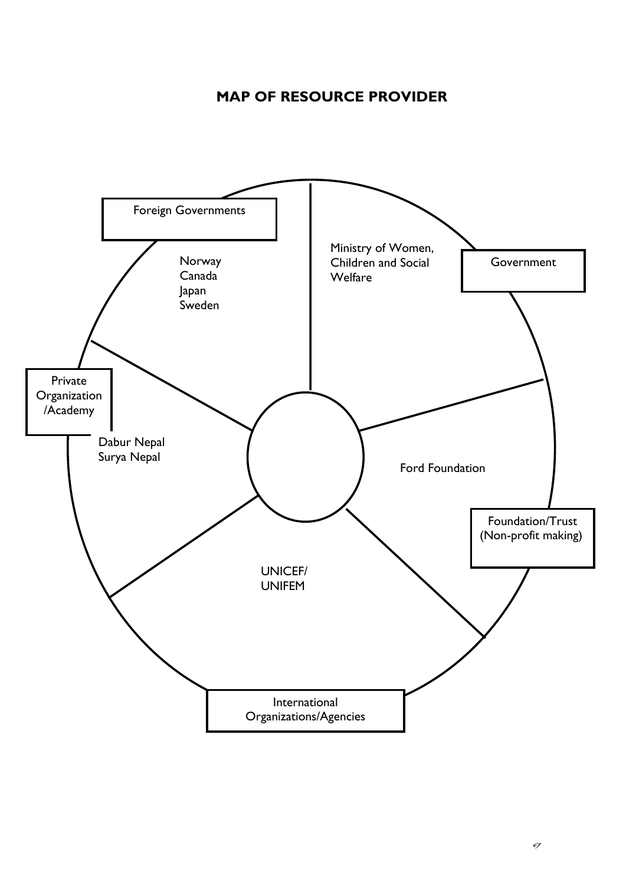## **MAP OF RESOURCE PROVIDER**

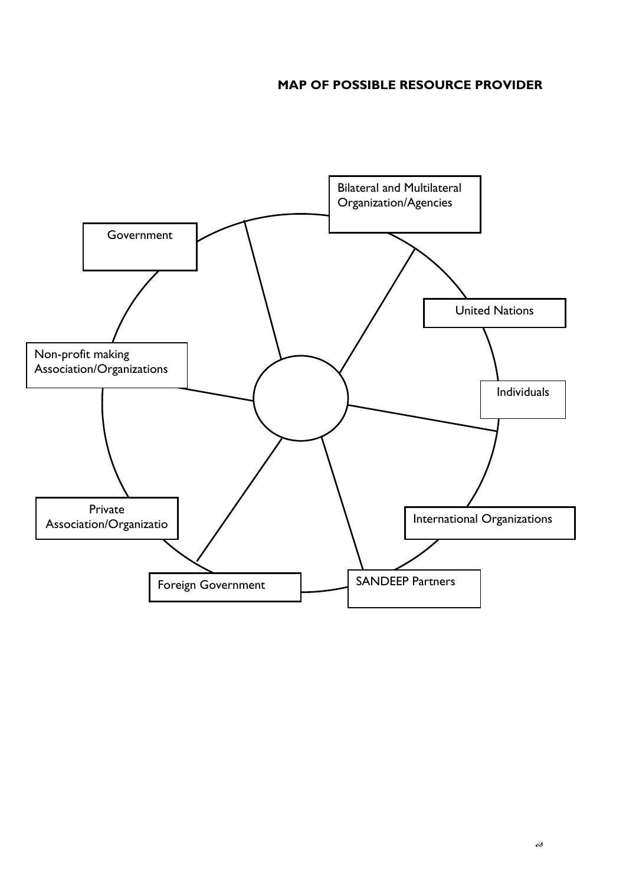## **MAP OF POSSIBLE RESOURCE PROVIDER**

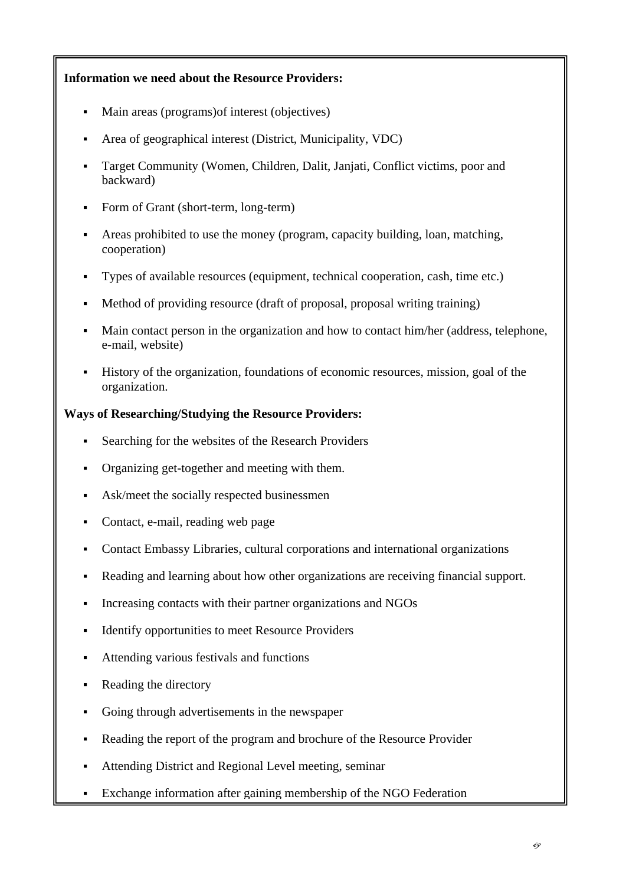## **Information we need about the Resource Providers:**

- Main areas (programs)of interest (objectives)
- Area of geographical interest (District, Municipality, VDC)
- Target Community (Women, Children, Dalit, Janjati, Conflict victims, poor and backward)
- Form of Grant (short-term, long-term)
- Areas prohibited to use the money (program, capacity building, loan, matching, cooperation)
- Types of available resources (equipment, technical cooperation, cash, time etc.)
- Method of providing resource (draft of proposal, proposal writing training)
- Main contact person in the organization and how to contact him/her (address, telephone, e-mail, website)
- History of the organization, foundations of economic resources, mission, goal of the organization.

## **Ways of Researching/Studying the Resource Providers:**

- Searching for the websites of the Research Providers
- Organizing get-together and meeting with them.
- Ask/meet the socially respected businessmen
- Contact, e-mail, reading web page
- Contact Embassy Libraries, cultural corporations and international organizations
- Reading and learning about how other organizations are receiving financial support.
- Increasing contacts with their partner organizations and NGOs
- Identify opportunities to meet Resource Providers
- Attending various festivals and functions
- Reading the directory
- Going through advertisements in the newspaper
- Reading the report of the program and brochure of the Resource Provider
- Attending District and Regional Level meeting, seminar
- Exchange information after gaining membership of the NGO Federation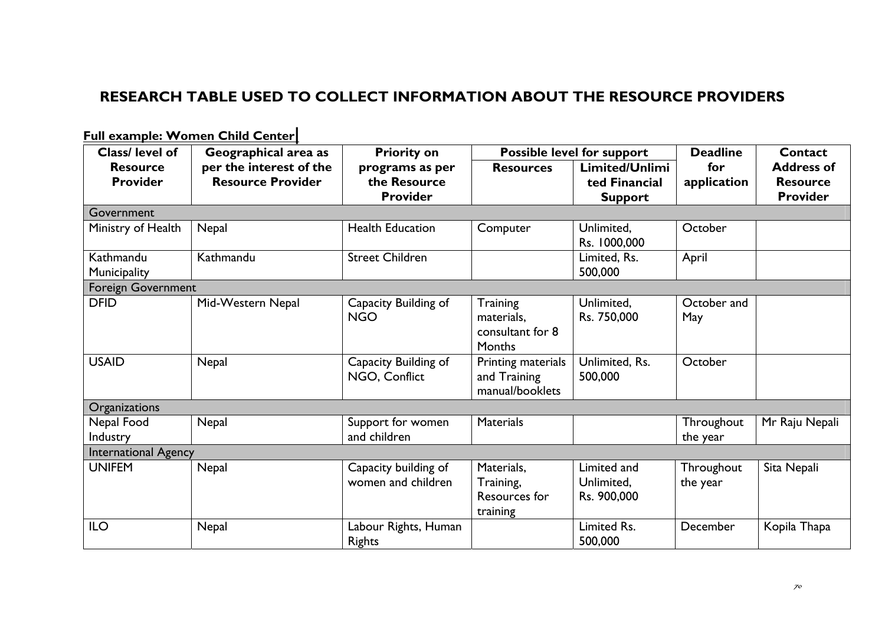# **RESEARCH TABLE USED TO COLLECT INFORMATION ABOUT THE RESOURCE PROVIDERS**

| Class/ level of             | Geographical area as     | <b>Priority on</b>                         |                                                       | Possible level for support               | <b>Deadline</b>        | Contact           |
|-----------------------------|--------------------------|--------------------------------------------|-------------------------------------------------------|------------------------------------------|------------------------|-------------------|
| <b>Resource</b>             | per the interest of the  | programs as per                            | <b>Resources</b>                                      | Limited/Unlimi                           | for                    | <b>Address of</b> |
| <b>Provider</b>             | <b>Resource Provider</b> | the Resource                               |                                                       | ted Financial                            | application            | <b>Resource</b>   |
|                             |                          | <b>Provider</b>                            |                                                       | <b>Support</b>                           |                        | <b>Provider</b>   |
| Government                  |                          |                                            |                                                       |                                          |                        |                   |
| Ministry of Health          | Nepal                    | <b>Health Education</b>                    | Computer                                              | Unlimited,<br>Rs. 1000,000               | October                |                   |
| Kathmandu                   | Kathmandu                | <b>Street Children</b>                     |                                                       | Limited, Rs.                             | April                  |                   |
| Municipality                |                          |                                            |                                                       | 500,000                                  |                        |                   |
| Foreign Government          |                          |                                            |                                                       |                                          |                        |                   |
| <b>DFID</b>                 | Mid-Western Nepal        | Capacity Building of<br><b>NGO</b>         | Training<br>materials,<br>consultant for 8<br>Months  | Unlimited,<br>Rs. 750,000                | October and<br>May     |                   |
| <b>USAID</b>                | Nepal                    | Capacity Building of<br>NGO, Conflict      | Printing materials<br>and Training<br>manual/booklets | Unlimited, Rs.<br>500,000                | October                |                   |
| Organizations               |                          |                                            |                                                       |                                          |                        |                   |
| Nepal Food<br>Industry      | Nepal                    | Support for women<br>and children          | <b>Materials</b>                                      |                                          | Throughout<br>the year | Mr Raju Nepali    |
| <b>International Agency</b> |                          |                                            |                                                       |                                          |                        |                   |
| <b>UNIFEM</b>               | Nepal                    | Capacity building of<br>women and children | Materials,<br>Training,<br>Resources for<br>training  | Limited and<br>Unlimited,<br>Rs. 900,000 | Throughout<br>the year | Sita Nepali       |
| <b>ILO</b>                  | Nepal                    | Labour Rights, Human<br>Rights             |                                                       | Limited Rs.<br>500,000                   | December               | Kopila Thapa      |

**Full example: Women Child Center|**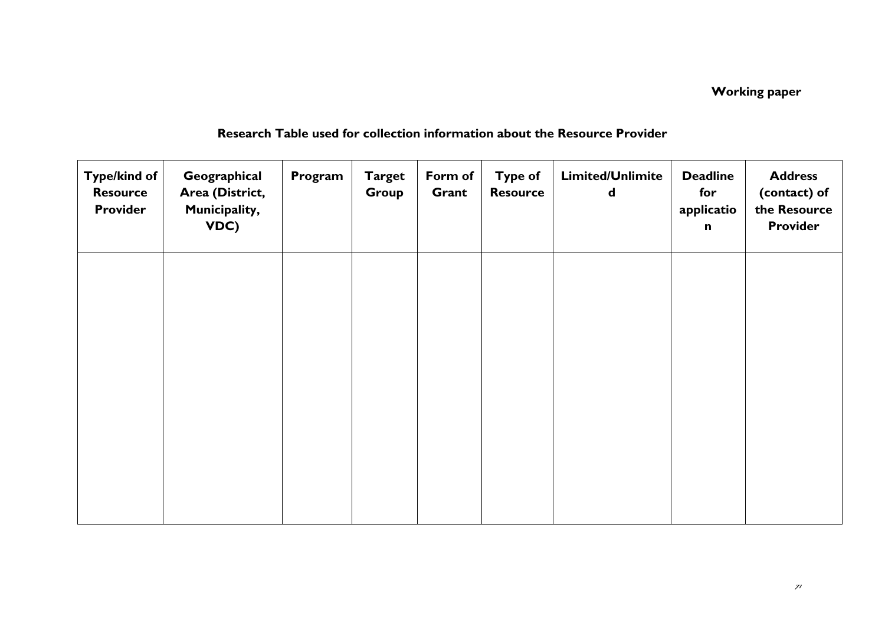# **Working paper**

| <b>Type/kind of</b><br><b>Resource</b><br><b>Provider</b> | Geographical<br>Area (District,<br>Municipality,<br>VDC) | Program | <b>Target</b><br>Group | Form of<br>Grant | <b>Type of</b><br><b>Resource</b> | Limited/Unlimite<br>$\mathbf d$ | <b>Deadline</b><br>for<br>applicatio<br>$\mathbf n$ | <b>Address</b><br>(contact) of<br>the Resource<br><b>Provider</b> |
|-----------------------------------------------------------|----------------------------------------------------------|---------|------------------------|------------------|-----------------------------------|---------------------------------|-----------------------------------------------------|-------------------------------------------------------------------|
|                                                           |                                                          |         |                        |                  |                                   |                                 |                                                     |                                                                   |
|                                                           |                                                          |         |                        |                  |                                   |                                 |                                                     |                                                                   |
|                                                           |                                                          |         |                        |                  |                                   |                                 |                                                     |                                                                   |
|                                                           |                                                          |         |                        |                  |                                   |                                 |                                                     |                                                                   |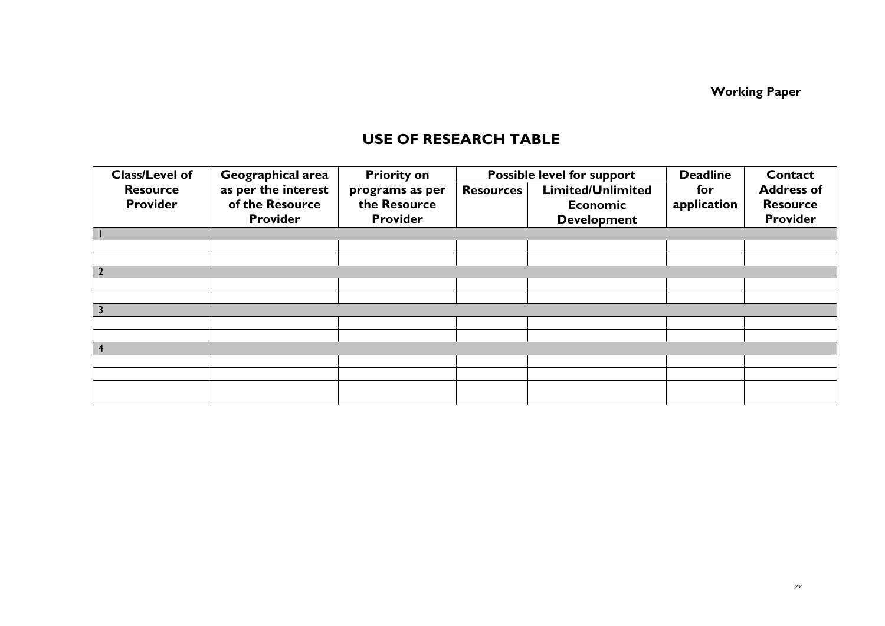**Working Paper**

## **USE OF RESEARCH TABLE**

| Class/Level of  | Geographical area   | <b>Priority on</b> | Possible level for support |                          | <b>Deadline</b> | Contact           |
|-----------------|---------------------|--------------------|----------------------------|--------------------------|-----------------|-------------------|
| <b>Resource</b> | as per the interest | programs as per    | <b>Resources</b>           | <b>Limited/Unlimited</b> | for             | <b>Address of</b> |
| Provider        | of the Resource     | the Resource       |                            | <b>Economic</b>          | application     | <b>Resource</b>   |
|                 | <b>Provider</b>     | <b>Provider</b>    |                            | <b>Development</b>       |                 | <b>Provider</b>   |
|                 |                     |                    |                            |                          |                 |                   |
|                 |                     |                    |                            |                          |                 |                   |
|                 |                     |                    |                            |                          |                 |                   |
|                 |                     |                    |                            |                          |                 |                   |
|                 |                     |                    |                            |                          |                 |                   |
|                 |                     |                    |                            |                          |                 |                   |
|                 |                     |                    |                            |                          |                 |                   |
|                 |                     |                    |                            |                          |                 |                   |
|                 |                     |                    |                            |                          |                 |                   |
|                 |                     |                    |                            |                          |                 |                   |
|                 |                     |                    |                            |                          |                 |                   |
|                 |                     |                    |                            |                          |                 |                   |
|                 |                     |                    |                            |                          |                 |                   |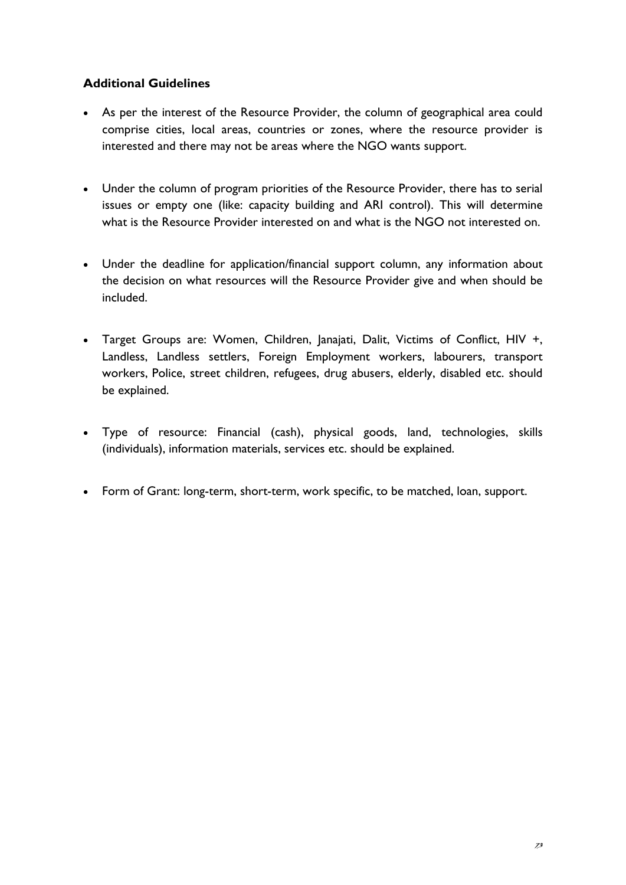## **Additional Guidelines**

- As per the interest of the Resource Provider, the column of geographical area could comprise cities, local areas, countries or zones, where the resource provider is interested and there may not be areas where the NGO wants support.
- Under the column of program priorities of the Resource Provider, there has to serial issues or empty one (like: capacity building and ARI control). This will determine what is the Resource Provider interested on and what is the NGO not interested on.
- Under the deadline for application/financial support column, any information about the decision on what resources will the Resource Provider give and when should be included.
- Target Groups are: Women, Children, Janajati, Dalit, Victims of Conflict, HIV +, Landless, Landless settlers, Foreign Employment workers, labourers, transport workers, Police, street children, refugees, drug abusers, elderly, disabled etc. should be explained.
- Type of resource: Financial (cash), physical goods, land, technologies, skills (individuals), information materials, services etc. should be explained.
- Form of Grant: long-term, short-term, work specific, to be matched, loan, support.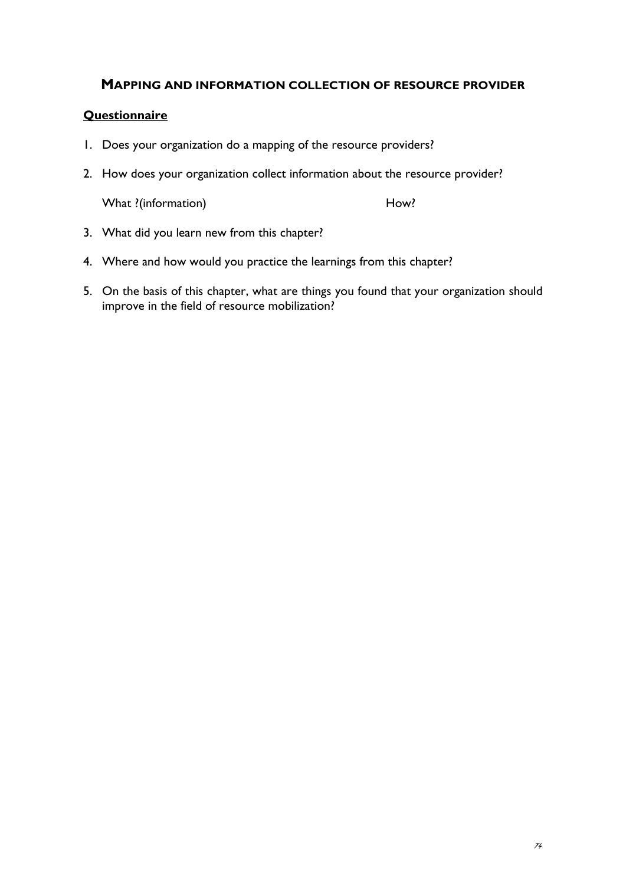### **MAPPING AND INFORMATION COLLECTION OF RESOURCE PROVIDER**

### **Questionnaire**

- 1. Does your organization do a mapping of the resource providers?
- 2. How does your organization collect information about the resource provider?

What ?(information) How?

- 3. What did you learn new from this chapter?
- 4. Where and how would you practice the learnings from this chapter?
- 5. On the basis of this chapter, what are things you found that your organization should improve in the field of resource mobilization?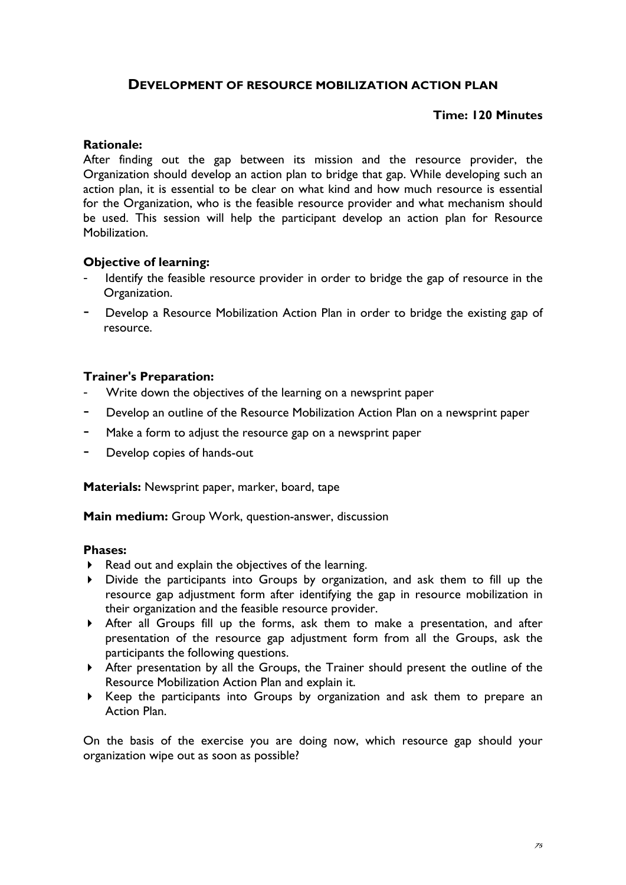## **DEVELOPMENT OF RESOURCE MOBILIZATION ACTION PLAN**

### **Time: 120 Minutes**

### **Rationale:**

After finding out the gap between its mission and the resource provider, the Organization should develop an action plan to bridge that gap. While developing such an action plan, it is essential to be clear on what kind and how much resource is essential for the Organization, who is the feasible resource provider and what mechanism should be used. This session will help the participant develop an action plan for Resource Mobilization.

### **Objective of learning:**

- Identify the feasible resource provider in order to bridge the gap of resource in the Organization.
- Develop a Resource Mobilization Action Plan in order to bridge the existing gap of resource.

### **Trainer's Preparation:**

- Write down the objectives of the learning on a newsprint paper
- Develop an outline of the Resource Mobilization Action Plan on a newsprint paper
- Make a form to adjust the resource gap on a newsprint paper
- Develop copies of hands-out

**Materials:** Newsprint paper, marker, board, tape

**Main medium:** Group Work, question-answer, discussion

### **Phases:**

- Read out and explain the objectives of the learning.
- Divide the participants into Groups by organization, and ask them to fill up the resource gap adjustment form after identifying the gap in resource mobilization in their organization and the feasible resource provider.
- After all Groups fill up the forms, ask them to make a presentation, and after presentation of the resource gap adjustment form from all the Groups, ask the participants the following questions.
- After presentation by all the Groups, the Trainer should present the outline of the Resource Mobilization Action Plan and explain it.
- Keep the participants into Groups by organization and ask them to prepare an Action Plan.

On the basis of the exercise you are doing now, which resource gap should your organization wipe out as soon as possible?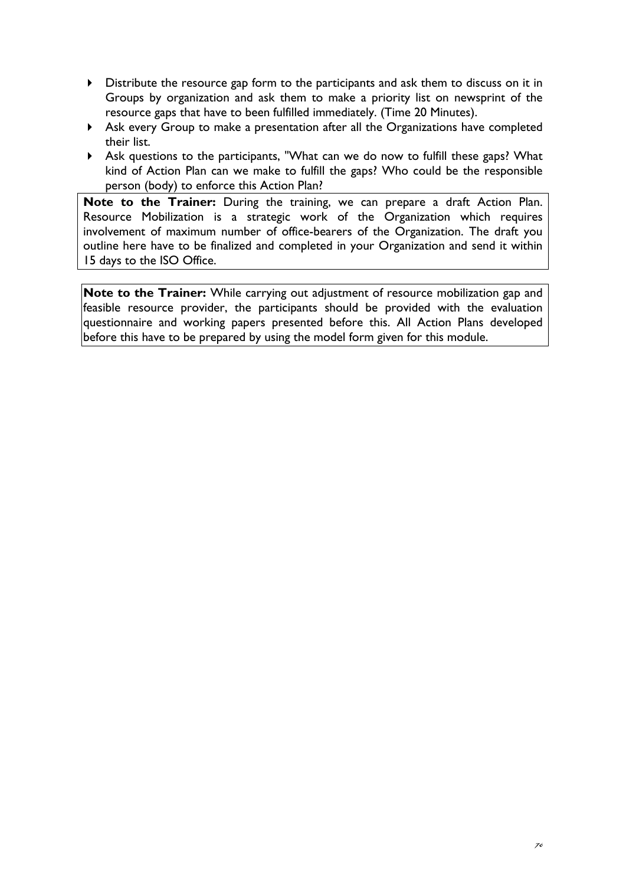- Distribute the resource gap form to the participants and ask them to discuss on it in Groups by organization and ask them to make a priority list on newsprint of the resource gaps that have to been fulfilled immediately. (Time 20 Minutes).
- Ask every Group to make a presentation after all the Organizations have completed their list.
- Ask questions to the participants, "What can we do now to fulfill these gaps? What kind of Action Plan can we make to fulfill the gaps? Who could be the responsible person (body) to enforce this Action Plan?

**Note to the Trainer:** During the training, we can prepare a draft Action Plan. Resource Mobilization is a strategic work of the Organization which requires involvement of maximum number of office-bearers of the Organization. The draft you outline here have to be finalized and completed in your Organization and send it within 15 days to the ISO Office.

**Note to the Trainer:** While carrying out adjustment of resource mobilization gap and feasible resource provider, the participants should be provided with the evaluation questionnaire and working papers presented before this. All Action Plans developed before this have to be prepared by using the model form given for this module.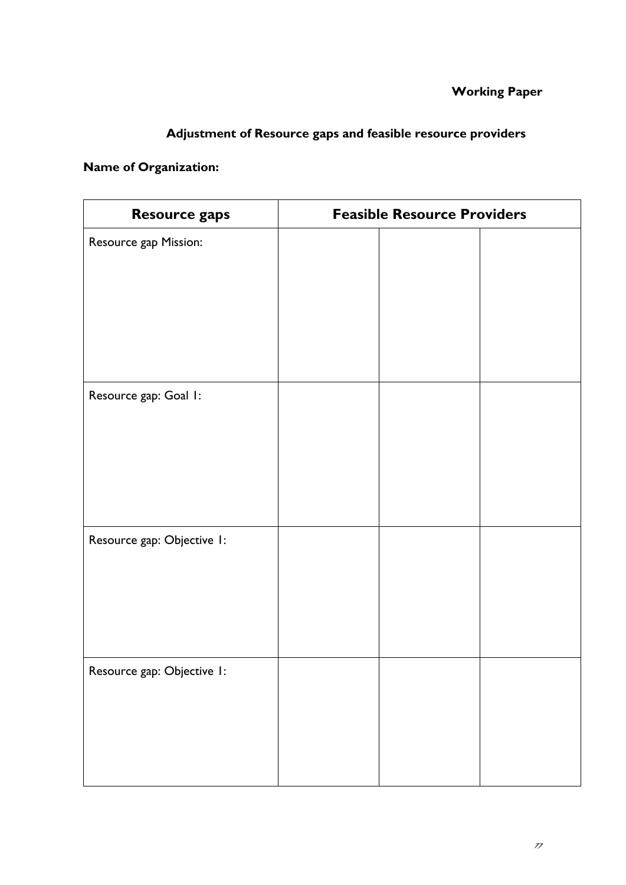# **Adjustment of Resource gaps and feasible resource providers**

## **Name of Organization:**

| Resource gaps              | <b>Feasible Resource Providers</b> |  |
|----------------------------|------------------------------------|--|
| Resource gap Mission:      |                                    |  |
| Resource gap: Goal I:      |                                    |  |
| Resource gap: Objective 1: |                                    |  |
| Resource gap: Objective 1: |                                    |  |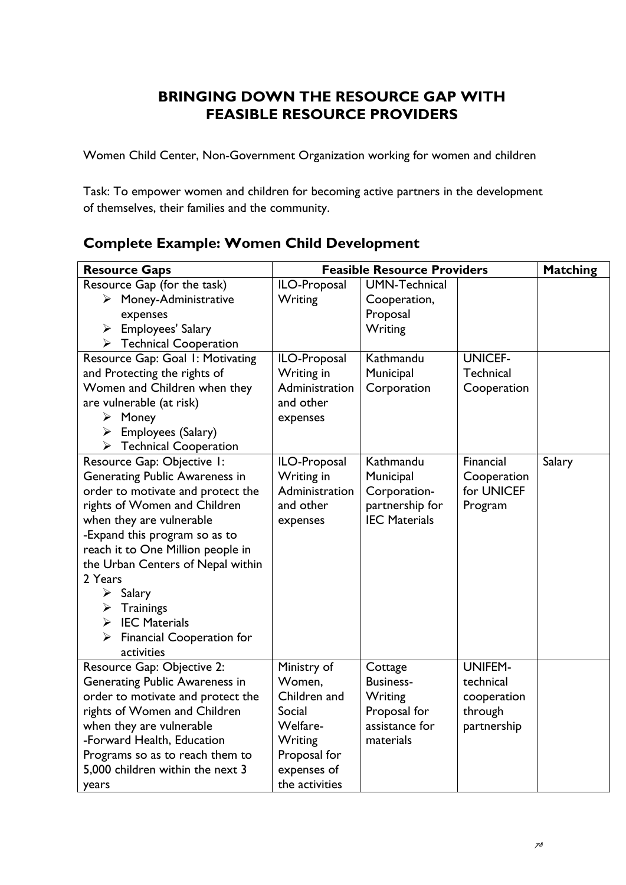# **BRINGING DOWN THE RESOURCE GAP WITH FEASIBLE RESOURCE PROVIDERS**

Women Child Center, Non-Government Organization working for women and children

Task: To empower women and children for becoming active partners in the development of themselves, their families and the community.

# **Complete Example: Women Child Development**

| <b>Resource Gaps</b>                   | <b>Feasible Resource Providers</b> |                      | <b>Matching</b> |        |
|----------------------------------------|------------------------------------|----------------------|-----------------|--------|
| Resource Gap (for the task)            | ILO-Proposal                       | <b>UMN-Technical</b> |                 |        |
| $\triangleright$ Money-Administrative  | Writing                            | Cooperation,         |                 |        |
| expenses                               |                                    | Proposal             |                 |        |
| Employees' Salary<br>➤                 |                                    | Writing              |                 |        |
| $\triangleright$ Technical Cooperation |                                    |                      |                 |        |
| Resource Gap: Goal I: Motivating       | ILO-Proposal                       | Kathmandu            | <b>UNICEF-</b>  |        |
| and Protecting the rights of           | Writing in                         | Municipal            | Technical       |        |
| Women and Children when they           | Administration                     | Corporation          | Cooperation     |        |
| are vulnerable (at risk)               | and other                          |                      |                 |        |
| $\triangleright$ Money                 | expenses                           |                      |                 |        |
| Employees (Salary)<br>➤                |                                    |                      |                 |        |
| <b>Technical Cooperation</b><br>≻      |                                    |                      |                 |        |
| Resource Gap: Objective 1:             | ILO-Proposal                       | Kathmandu            | Financial       | Salary |
| Generating Public Awareness in         | Writing in                         | Municipal            | Cooperation     |        |
| order to motivate and protect the      | Administration                     | Corporation-         | for UNICEF      |        |
| rights of Women and Children           | and other                          | partnership for      | Program         |        |
| when they are vulnerable               | expenses                           | <b>IEC Materials</b> |                 |        |
| -Expand this program so as to          |                                    |                      |                 |        |
| reach it to One Million people in      |                                    |                      |                 |        |
| the Urban Centers of Nepal within      |                                    |                      |                 |        |
| 2 Years                                |                                    |                      |                 |        |
| $\triangleright$ Salary                |                                    |                      |                 |        |
| Trainings<br>➤                         |                                    |                      |                 |        |
| <b>IEC Materials</b><br>➤              |                                    |                      |                 |        |
| Financial Cooperation for<br>➤         |                                    |                      |                 |        |
| activities                             |                                    |                      |                 |        |
| Resource Gap: Objective 2:             | Ministry of                        | Cottage              | <b>UNIFEM-</b>  |        |
| Generating Public Awareness in         | Women,                             | <b>Business-</b>     | technical       |        |
| order to motivate and protect the      | Children and                       | Writing              | cooperation     |        |
| rights of Women and Children           | Social                             | Proposal for         | through         |        |
| when they are vulnerable               | Welfare-                           | assistance for       | partnership     |        |
| -Forward Health, Education             | Writing                            | materials            |                 |        |
| Programs so as to reach them to        | Proposal for                       |                      |                 |        |
| 5,000 children within the next 3       | expenses of                        |                      |                 |        |
| years                                  | the activities                     |                      |                 |        |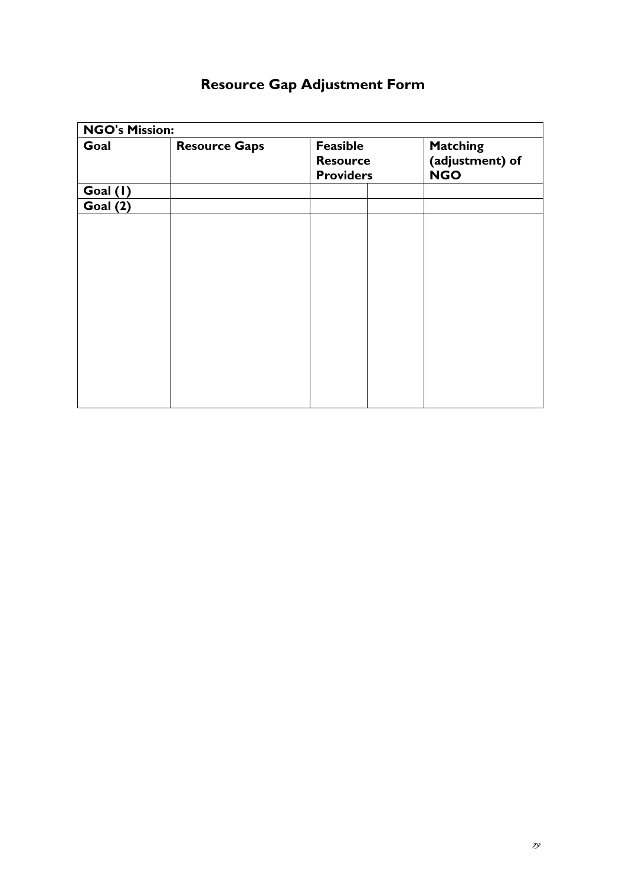| <b>NGO's Mission:</b> |                      |                                                 |                                                  |
|-----------------------|----------------------|-------------------------------------------------|--------------------------------------------------|
| Goal                  | <b>Resource Gaps</b> | Feasible<br><b>Resource</b><br><b>Providers</b> | <b>Matching</b><br>(adjustment) of<br><b>NGO</b> |
| Goal (I)              |                      |                                                 |                                                  |
| Goal (2)              |                      |                                                 |                                                  |
|                       |                      |                                                 |                                                  |
|                       |                      |                                                 |                                                  |
|                       |                      |                                                 |                                                  |
|                       |                      |                                                 |                                                  |
|                       |                      |                                                 |                                                  |
|                       |                      |                                                 |                                                  |
|                       |                      |                                                 |                                                  |
|                       |                      |                                                 |                                                  |
|                       |                      |                                                 |                                                  |
|                       |                      |                                                 |                                                  |
|                       |                      |                                                 |                                                  |
|                       |                      |                                                 |                                                  |

# **Resource Gap Adjustment Form**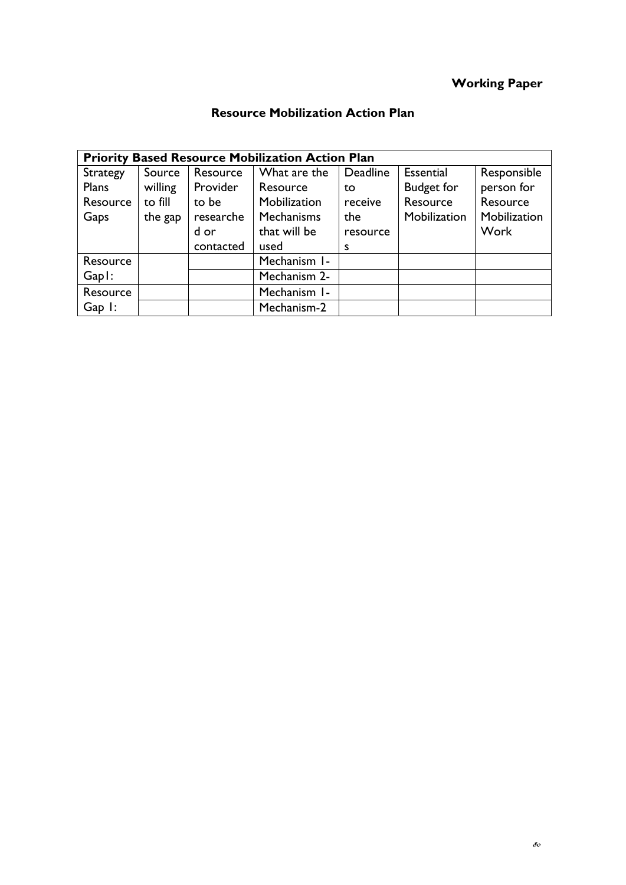# **Working Paper**

# **Resource Mobilization Action Plan**

|                |         |           | <b>Priority Based Resource Mobilization Action Plan</b> |          |                   |              |
|----------------|---------|-----------|---------------------------------------------------------|----------|-------------------|--------------|
| Strategy       | Source  | Resource  | What are the                                            | Deadline | Essential         | Responsible  |
| Plans          | willing | Provider  | Resource                                                | to       | <b>Budget for</b> | person for   |
| Resource       | to fill | to be     | Mobilization                                            | receive  | Resource          | Resource     |
| Gaps           | the gap | researche | Mechanisms                                              | the      | Mobilization      | Mobilization |
|                |         | d or      | that will be                                            | resource |                   | Work         |
|                |         | contacted | used                                                    | s        |                   |              |
| Resource       |         |           | Mechanism I-                                            |          |                   |              |
| $Gap!$ :       |         |           | Mechanism 2-                                            |          |                   |              |
| Resource       |         |           | Mechanism I-                                            |          |                   |              |
| $Gap$ $\vdots$ |         |           | Mechanism-2                                             |          |                   |              |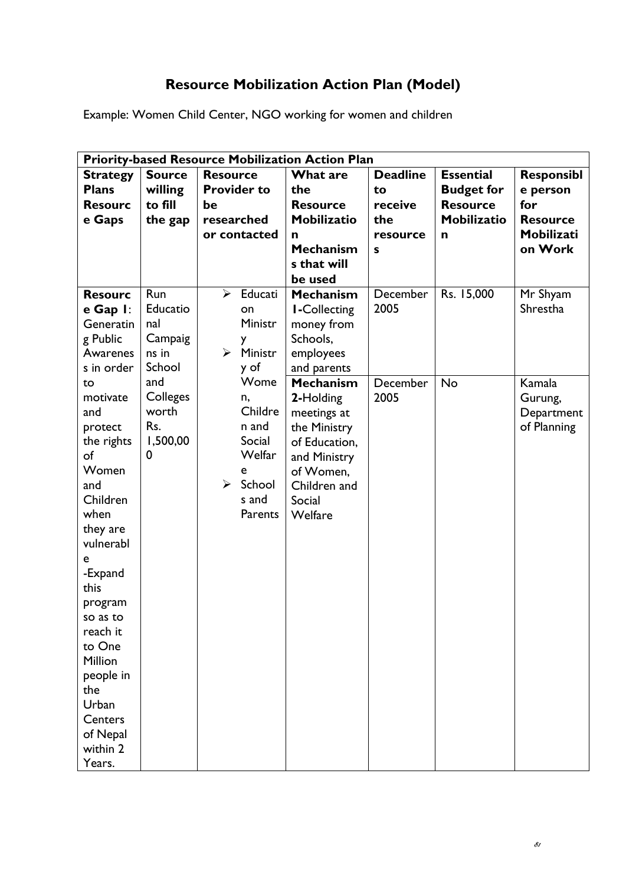# **Resource Mobilization Action Plan (Model)**

Example: Women Child Center, NGO working for women and children

| <b>Priority-based Resource Mobilization Action Plan</b> |               |                       |                    |                     |                 |                    |                   |  |  |  |  |  |  |
|---------------------------------------------------------|---------------|-----------------------|--------------------|---------------------|-----------------|--------------------|-------------------|--|--|--|--|--|--|
| <b>Strategy</b>                                         | <b>Source</b> | <b>Resource</b>       |                    | <b>What are</b>     | <b>Deadline</b> | <b>Essential</b>   | <b>Responsibl</b> |  |  |  |  |  |  |
| <b>Plans</b>                                            | willing       |                       | <b>Provider to</b> | the                 | to              | <b>Budget for</b>  | e person          |  |  |  |  |  |  |
| <b>Resourc</b>                                          | to fill       | be                    |                    | <b>Resource</b>     | receive         | <b>Resource</b>    | for               |  |  |  |  |  |  |
| e Gaps                                                  | the gap       | researched            |                    | <b>Mobilizatio</b>  | the             | <b>Mobilizatio</b> | <b>Resource</b>   |  |  |  |  |  |  |
|                                                         |               |                       | or contacted       | n                   | resource        | n                  | Mobilizati        |  |  |  |  |  |  |
|                                                         |               |                       |                    | <b>Mechanism</b>    | s               |                    | on Work           |  |  |  |  |  |  |
|                                                         |               |                       |                    | s that will         |                 |                    |                   |  |  |  |  |  |  |
|                                                         |               |                       |                    | be used             |                 |                    |                   |  |  |  |  |  |  |
| <b>Resourc</b>                                          | Run           | $\blacktriangleright$ | Educati            | <b>Mechanism</b>    | December        | Rs. 15,000         | Mr Shyam          |  |  |  |  |  |  |
| e Gap I:                                                | Educatio      |                       | on                 | <b>I-Collecting</b> | 2005            |                    | Shrestha          |  |  |  |  |  |  |
| Generatin                                               | nal           |                       | Ministr            | money from          |                 |                    |                   |  |  |  |  |  |  |
| g Public                                                | Campaig       |                       | y                  | Schools,            |                 |                    |                   |  |  |  |  |  |  |
| Awarenes                                                | ns in         | $\blacktriangleright$ | Ministr            | employees           |                 |                    |                   |  |  |  |  |  |  |
| s in order                                              | School        |                       | y of               | and parents         |                 |                    |                   |  |  |  |  |  |  |
| to                                                      | and           |                       | Wome               | <b>Mechanism</b>    | December        | No                 | Kamala            |  |  |  |  |  |  |
| motivate                                                | Colleges      |                       | n,                 | 2-Holding           | 2005            |                    | Gurung,           |  |  |  |  |  |  |
| and                                                     | worth         |                       | Childre            | meetings at         |                 |                    | Department        |  |  |  |  |  |  |
| protect                                                 | Rs.           |                       | n and              | the Ministry        |                 |                    | of Planning       |  |  |  |  |  |  |
| the rights                                              | 1,500,00      |                       | Social             | of Education,       |                 |                    |                   |  |  |  |  |  |  |
| of                                                      | 0             |                       | Welfar             | and Ministry        |                 |                    |                   |  |  |  |  |  |  |
| Women                                                   |               |                       | e                  | of Women,           |                 |                    |                   |  |  |  |  |  |  |
| and                                                     |               | $\blacktriangleright$ | School             | Children and        |                 |                    |                   |  |  |  |  |  |  |
| Children                                                |               |                       | s and              | Social              |                 |                    |                   |  |  |  |  |  |  |
| when                                                    |               |                       | Parents            | Welfare             |                 |                    |                   |  |  |  |  |  |  |
| they are                                                |               |                       |                    |                     |                 |                    |                   |  |  |  |  |  |  |
| vulnerabl                                               |               |                       |                    |                     |                 |                    |                   |  |  |  |  |  |  |
| е                                                       |               |                       |                    |                     |                 |                    |                   |  |  |  |  |  |  |
| -Expand                                                 |               |                       |                    |                     |                 |                    |                   |  |  |  |  |  |  |
| this                                                    |               |                       |                    |                     |                 |                    |                   |  |  |  |  |  |  |
| program                                                 |               |                       |                    |                     |                 |                    |                   |  |  |  |  |  |  |
| so as to                                                |               |                       |                    |                     |                 |                    |                   |  |  |  |  |  |  |
| reach it<br>to One                                      |               |                       |                    |                     |                 |                    |                   |  |  |  |  |  |  |
| Million                                                 |               |                       |                    |                     |                 |                    |                   |  |  |  |  |  |  |
| people in                                               |               |                       |                    |                     |                 |                    |                   |  |  |  |  |  |  |
| the                                                     |               |                       |                    |                     |                 |                    |                   |  |  |  |  |  |  |
| Urban                                                   |               |                       |                    |                     |                 |                    |                   |  |  |  |  |  |  |
| Centers                                                 |               |                       |                    |                     |                 |                    |                   |  |  |  |  |  |  |
| of Nepal                                                |               |                       |                    |                     |                 |                    |                   |  |  |  |  |  |  |
| within 2                                                |               |                       |                    |                     |                 |                    |                   |  |  |  |  |  |  |
| Years.                                                  |               |                       |                    |                     |                 |                    |                   |  |  |  |  |  |  |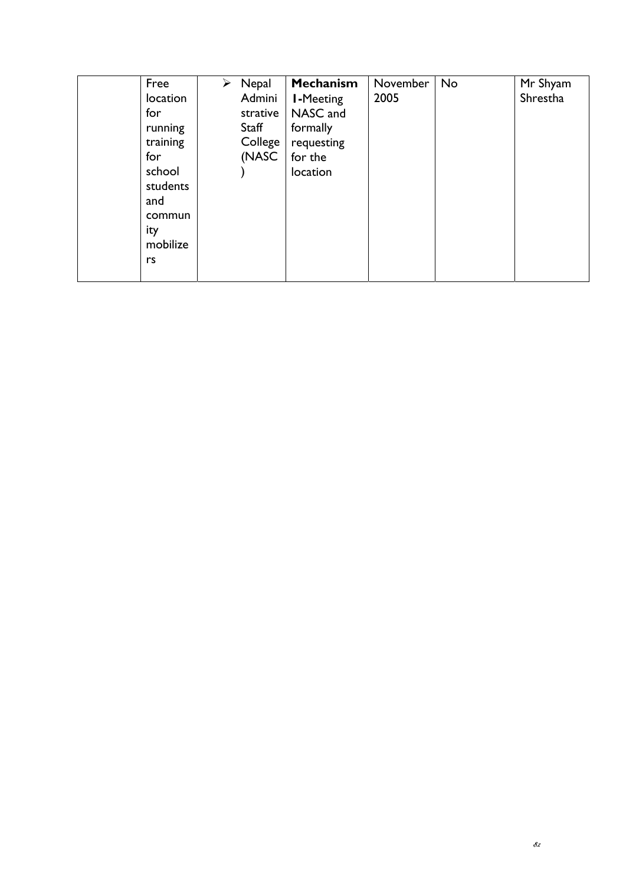| Free     | ➤ | Nepal    | Mechanism        | November | No | Mr Shyam |
|----------|---|----------|------------------|----------|----|----------|
| location |   | Admini   | <b>I-Meeting</b> | 2005     |    | Shrestha |
| for      |   | strative | NASC and         |          |    |          |
| running  |   | Staff    | formally         |          |    |          |
| training |   | College  | requesting       |          |    |          |
| for      |   | (NASC    | for the          |          |    |          |
| school   |   |          | location         |          |    |          |
| students |   |          |                  |          |    |          |
| and      |   |          |                  |          |    |          |
| commun   |   |          |                  |          |    |          |
| ity      |   |          |                  |          |    |          |
| mobilize |   |          |                  |          |    |          |
| rs       |   |          |                  |          |    |          |
|          |   |          |                  |          |    |          |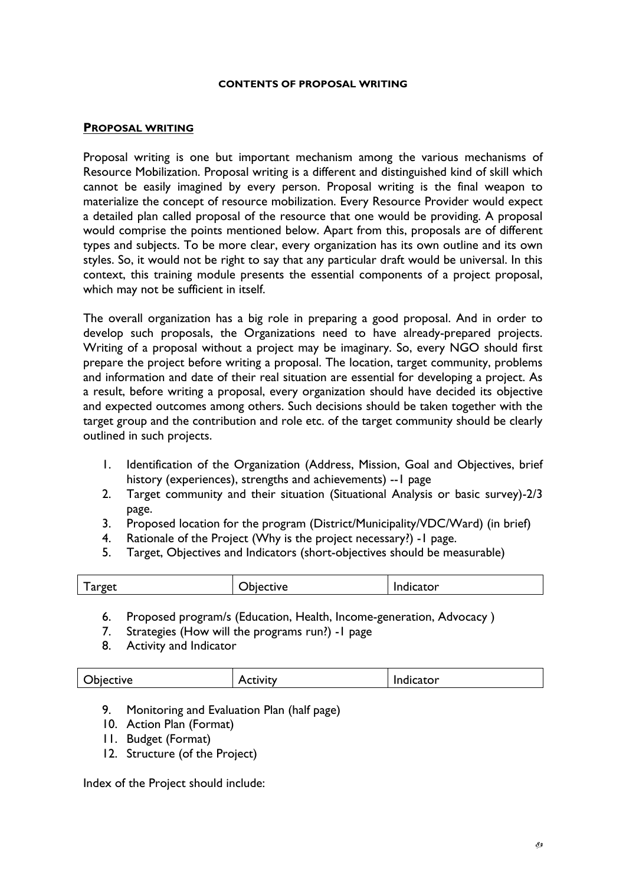#### **CONTENTS OF PROPOSAL WRITING**

#### **PROPOSAL WRITING**

Proposal writing is one but important mechanism among the various mechanisms of Resource Mobilization. Proposal writing is a different and distinguished kind of skill which cannot be easily imagined by every person. Proposal writing is the final weapon to materialize the concept of resource mobilization. Every Resource Provider would expect a detailed plan called proposal of the resource that one would be providing. A proposal would comprise the points mentioned below. Apart from this, proposals are of different types and subjects. To be more clear, every organization has its own outline and its own styles. So, it would not be right to say that any particular draft would be universal. In this context, this training module presents the essential components of a project proposal, which may not be sufficient in itself.

The overall organization has a big role in preparing a good proposal. And in order to develop such proposals, the Organizations need to have already-prepared projects. Writing of a proposal without a project may be imaginary. So, every NGO should first prepare the project before writing a proposal. The location, target community, problems and information and date of their real situation are essential for developing a project. As a result, before writing a proposal, every organization should have decided its objective and expected outcomes among others. Such decisions should be taken together with the target group and the contribution and role etc. of the target community should be clearly outlined in such projects.

- 1. Identification of the Organization (Address, Mission, Goal and Objectives, brief history (experiences), strengths and achievements) --1 page
- 2. Target community and their situation (Situational Analysis or basic survey)-2/3 page.
- 3. Proposed location for the program (District/Municipality/VDC/Ward) (in brief)
- 4. Rationale of the Project (Why is the project necessary?) -1 page.
- 5. Target, Objectives and Indicators (short-objectives should be measurable)

| $\overline{\phantom{a}}$<br>rget<br>па. | ∽<br>. <u>.</u> | _ator_<br>. |
|-----------------------------------------|-----------------|-------------|
|                                         |                 |             |

- 6. Proposed program/s (Education, Health, Income-generation, Advocacy )
- 7. Strategies (How will the programs run?) -1 page
- 8. Activity and Indicator

| <b>D</b> ective<br>~<br>$\cdot$ |
|---------------------------------|
|---------------------------------|

- 9. Monitoring and Evaluation Plan (half page)
- 10. Action Plan (Format)
- 11. Budget (Format)
- 12. Structure (of the Project)

Index of the Project should include: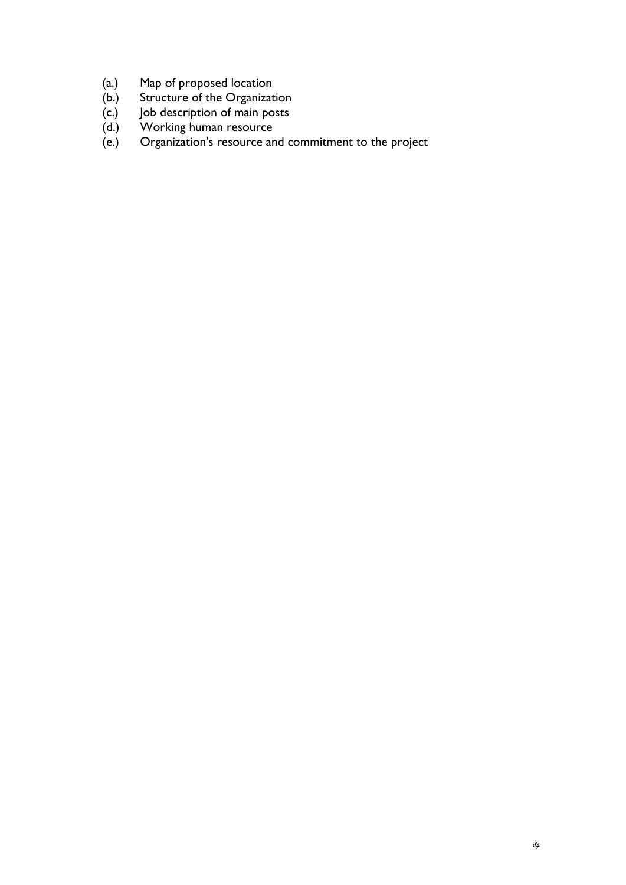- (a.) Map of proposed location
- (b.) Structure of the Organization
- (c.) Job description of main posts
- (d.) Working human resource
- (e.) Organization's resource and commitment to the project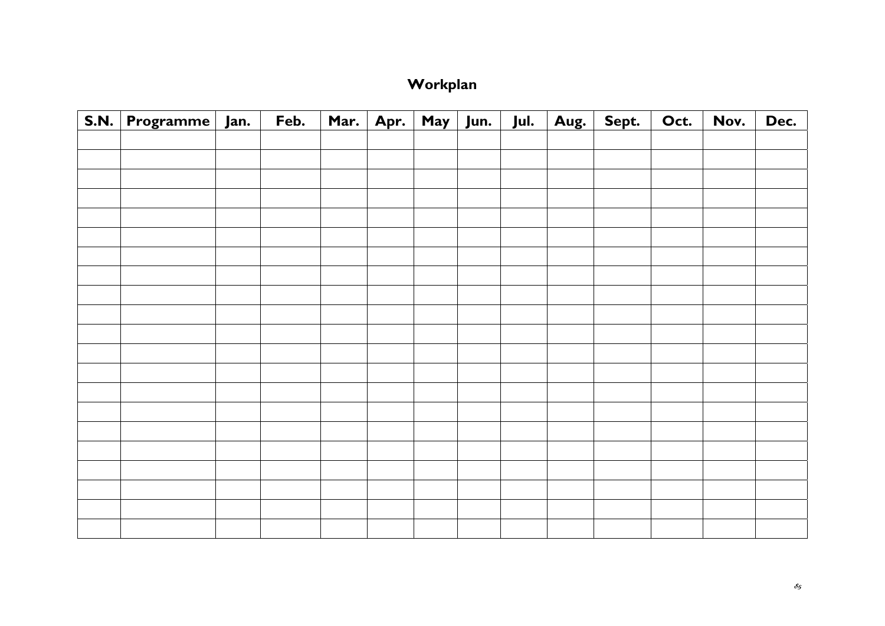# **Workplan**

| S.N. Programme Jan. | Feb. | Mar. Apr. May Jun. Jul. |  | $\overline{\mathsf{Aug.}}$ | Sept. | Oct. | Nov. | Dec. |
|---------------------|------|-------------------------|--|----------------------------|-------|------|------|------|
|                     |      |                         |  |                            |       |      |      |      |
|                     |      |                         |  |                            |       |      |      |      |
|                     |      |                         |  |                            |       |      |      |      |
|                     |      |                         |  |                            |       |      |      |      |
|                     |      |                         |  |                            |       |      |      |      |
|                     |      |                         |  |                            |       |      |      |      |
|                     |      |                         |  |                            |       |      |      |      |
|                     |      |                         |  |                            |       |      |      |      |
|                     |      |                         |  |                            |       |      |      |      |
|                     |      |                         |  |                            |       |      |      |      |
|                     |      |                         |  |                            |       |      |      |      |
|                     |      |                         |  |                            |       |      |      |      |
|                     |      |                         |  |                            |       |      |      |      |
|                     |      |                         |  |                            |       |      |      |      |
|                     |      |                         |  |                            |       |      |      |      |
|                     |      |                         |  |                            |       |      |      |      |
|                     |      |                         |  |                            |       |      |      |      |
|                     |      |                         |  |                            |       |      |      |      |
|                     |      |                         |  |                            |       |      |      |      |
|                     |      |                         |  |                            |       |      |      |      |
|                     |      |                         |  |                            |       |      |      |      |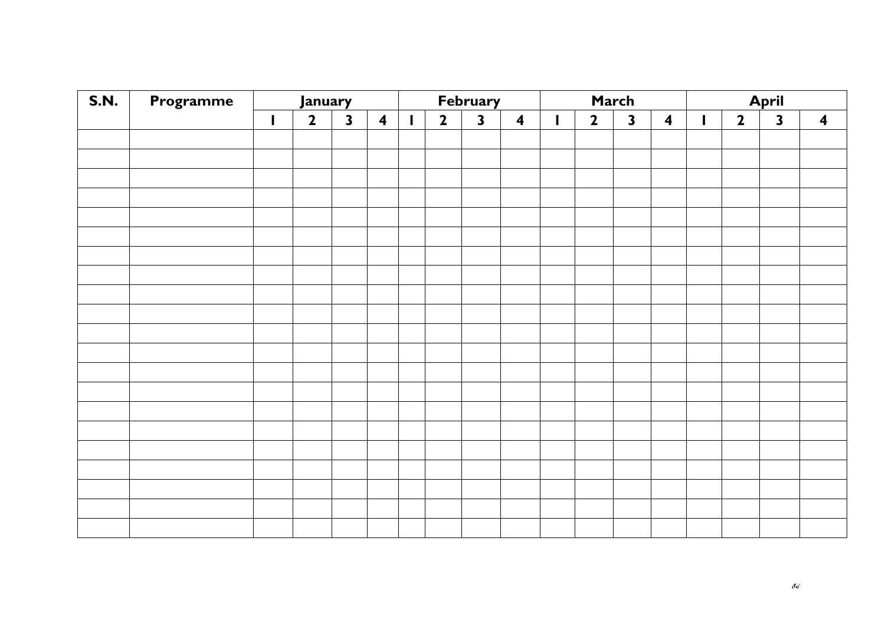| <b>S.N.</b> | Programme | January |                         |                         |                         |   |                         | <b>February</b>         |                         |   |              | March                   |                         | <b>April</b> |                         |                         |                         |
|-------------|-----------|---------|-------------------------|-------------------------|-------------------------|---|-------------------------|-------------------------|-------------------------|---|--------------|-------------------------|-------------------------|--------------|-------------------------|-------------------------|-------------------------|
|             |           | I       | $\overline{\mathbf{2}}$ | $\overline{\mathbf{3}}$ | $\overline{\mathbf{4}}$ | L | $\overline{\mathbf{2}}$ | $\overline{\mathbf{3}}$ | $\overline{\mathbf{4}}$ | I | $\mathbf{2}$ | $\overline{\mathbf{3}}$ | $\overline{\mathbf{4}}$ |              | $\overline{\mathbf{2}}$ | $\overline{\mathbf{3}}$ | $\overline{\mathbf{4}}$ |
|             |           |         |                         |                         |                         |   |                         |                         |                         |   |              |                         |                         |              |                         |                         |                         |
|             |           |         |                         |                         |                         |   |                         |                         |                         |   |              |                         |                         |              |                         |                         |                         |
|             |           |         |                         |                         |                         |   |                         |                         |                         |   |              |                         |                         |              |                         |                         |                         |
|             |           |         |                         |                         |                         |   |                         |                         |                         |   |              |                         |                         |              |                         |                         |                         |
|             |           |         |                         |                         |                         |   |                         |                         |                         |   |              |                         |                         |              |                         |                         |                         |
|             |           |         |                         |                         |                         |   |                         |                         |                         |   |              |                         |                         |              |                         |                         |                         |
|             |           |         |                         |                         |                         |   |                         |                         |                         |   |              |                         |                         |              |                         |                         |                         |
|             |           |         |                         |                         |                         |   |                         |                         |                         |   |              |                         |                         |              |                         |                         |                         |
|             |           |         |                         |                         |                         |   |                         |                         |                         |   |              |                         |                         |              |                         |                         |                         |
|             |           |         |                         |                         |                         |   |                         |                         |                         |   |              |                         |                         |              |                         |                         |                         |
|             |           |         |                         |                         |                         |   |                         |                         |                         |   |              |                         |                         |              |                         |                         |                         |
|             |           |         |                         |                         |                         |   |                         |                         |                         |   |              |                         |                         |              |                         |                         |                         |
|             |           |         |                         |                         |                         |   |                         |                         |                         |   |              |                         |                         |              |                         |                         |                         |
|             |           |         |                         |                         |                         |   |                         |                         |                         |   |              |                         |                         |              |                         |                         |                         |
|             |           |         |                         |                         |                         |   |                         |                         |                         |   |              |                         |                         |              |                         |                         |                         |
|             |           |         |                         |                         |                         |   |                         |                         |                         |   |              |                         |                         |              |                         |                         |                         |
|             |           |         |                         |                         |                         |   |                         |                         |                         |   |              |                         |                         |              |                         |                         |                         |
|             |           |         |                         |                         |                         |   |                         |                         |                         |   |              |                         |                         |              |                         |                         |                         |
|             |           |         |                         |                         |                         |   |                         |                         |                         |   |              |                         |                         |              |                         |                         |                         |
|             |           |         |                         |                         |                         |   |                         |                         |                         |   |              |                         |                         |              |                         |                         |                         |
|             |           |         |                         |                         |                         |   |                         |                         |                         |   |              |                         |                         |              |                         |                         |                         |
|             |           |         |                         |                         |                         |   |                         |                         |                         |   |              |                         |                         |              |                         |                         |                         |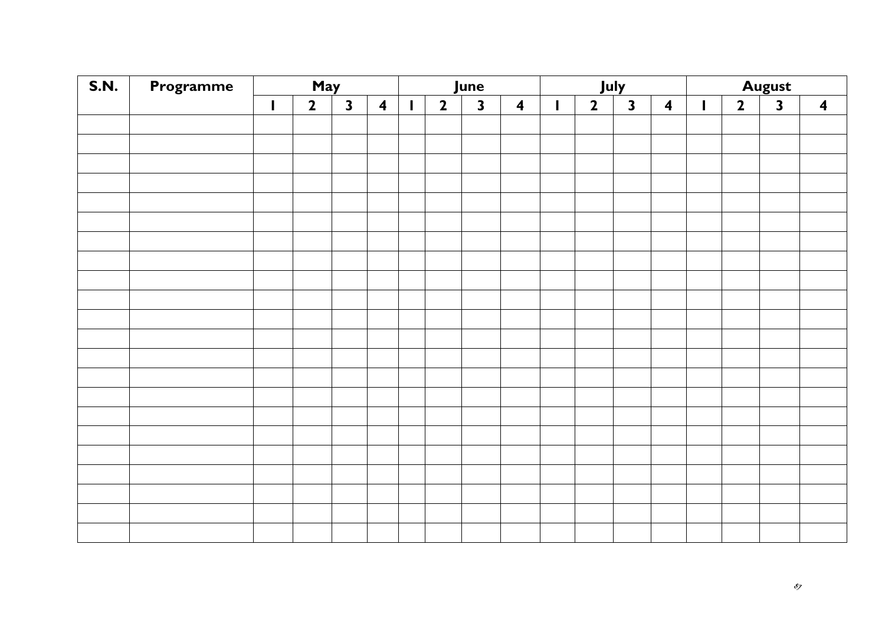| <b>S.N.</b> | Programme | May          |                |                         |                         |                          |                | June                    |                         | July         |              |                         |                         | <b>August</b> |                         |                         |                         |
|-------------|-----------|--------------|----------------|-------------------------|-------------------------|--------------------------|----------------|-------------------------|-------------------------|--------------|--------------|-------------------------|-------------------------|---------------|-------------------------|-------------------------|-------------------------|
|             |           | $\mathbf{I}$ | $\overline{2}$ | $\overline{\mathbf{3}}$ | $\overline{\mathbf{4}}$ | $\overline{\phantom{a}}$ | $\overline{2}$ | $\overline{\mathbf{3}}$ | $\overline{\mathbf{4}}$ | $\mathbf{I}$ | $\mathbf{2}$ | $\overline{\mathbf{3}}$ | $\overline{\mathbf{4}}$ | $\mathbf{I}$  | $\overline{\mathbf{2}}$ | $\overline{\mathbf{3}}$ | $\overline{\mathbf{4}}$ |
|             |           |              |                |                         |                         |                          |                |                         |                         |              |              |                         |                         |               |                         |                         |                         |
|             |           |              |                |                         |                         |                          |                |                         |                         |              |              |                         |                         |               |                         |                         |                         |
|             |           |              |                |                         |                         |                          |                |                         |                         |              |              |                         |                         |               |                         |                         |                         |
|             |           |              |                |                         |                         |                          |                |                         |                         |              |              |                         |                         |               |                         |                         |                         |
|             |           |              |                |                         |                         |                          |                |                         |                         |              |              |                         |                         |               |                         |                         |                         |
|             |           |              |                |                         |                         |                          |                |                         |                         |              |              |                         |                         |               |                         |                         |                         |
|             |           |              |                |                         |                         |                          |                |                         |                         |              |              |                         |                         |               |                         |                         |                         |
|             |           |              |                |                         |                         |                          |                |                         |                         |              |              |                         |                         |               |                         |                         |                         |
|             |           |              |                |                         |                         |                          |                |                         |                         |              |              |                         |                         |               |                         |                         |                         |
|             |           |              |                |                         |                         |                          |                |                         |                         |              |              |                         |                         |               |                         |                         |                         |
|             |           |              |                |                         |                         |                          |                |                         |                         |              |              |                         |                         |               |                         |                         |                         |
|             |           |              |                |                         |                         |                          |                |                         |                         |              |              |                         |                         |               |                         |                         |                         |
|             |           |              |                |                         |                         |                          |                |                         |                         |              |              |                         |                         |               |                         |                         |                         |
|             |           |              |                |                         |                         |                          |                |                         |                         |              |              |                         |                         |               |                         |                         |                         |
|             |           |              |                |                         |                         |                          |                |                         |                         |              |              |                         |                         |               |                         |                         |                         |
|             |           |              |                |                         |                         |                          |                |                         |                         |              |              |                         |                         |               |                         |                         |                         |
|             |           |              |                |                         |                         |                          |                |                         |                         |              |              |                         |                         |               |                         |                         |                         |
|             |           |              |                |                         |                         |                          |                |                         |                         |              |              |                         |                         |               |                         |                         |                         |
|             |           |              |                |                         |                         |                          |                |                         |                         |              |              |                         |                         |               |                         |                         |                         |
|             |           |              |                |                         |                         |                          |                |                         |                         |              |              |                         |                         |               |                         |                         |                         |
|             |           |              |                |                         |                         |                          |                |                         |                         |              |              |                         |                         |               |                         |                         |                         |
|             |           |              |                |                         |                         |                          |                |                         |                         |              |              |                         |                         |               |                         |                         |                         |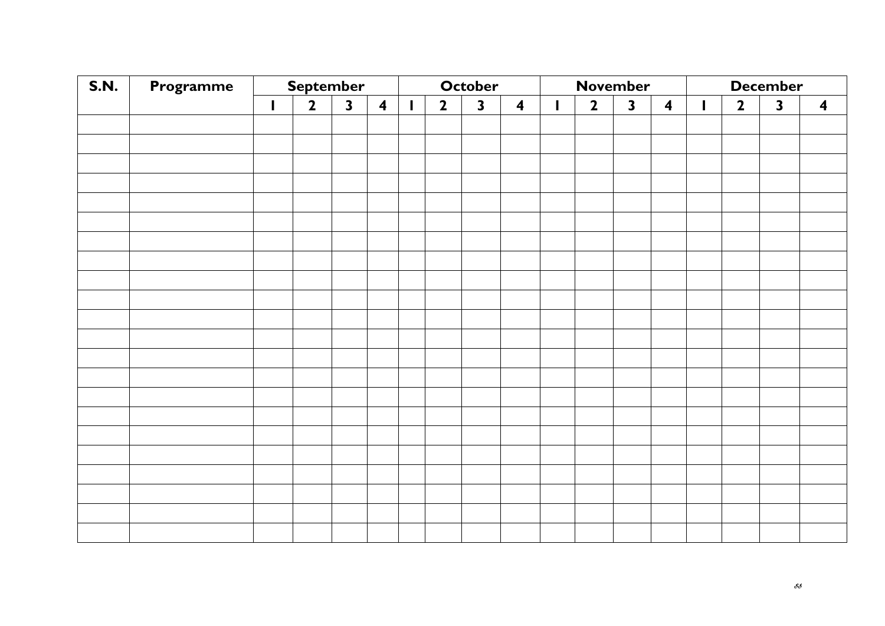| <b>S.N.</b> | Programme |              | <b>September</b> |              |                         |              | <b>October</b> |                         |                         | <b>November</b> |                |              | <b>December</b>  |   |                         |                         |                  |
|-------------|-----------|--------------|------------------|--------------|-------------------------|--------------|----------------|-------------------------|-------------------------|-----------------|----------------|--------------|------------------|---|-------------------------|-------------------------|------------------|
|             |           | $\mathbf{I}$ | $\overline{2}$   | $\mathbf{3}$ | $\overline{\mathbf{4}}$ | $\mathbf{I}$ | $\overline{2}$ | $\overline{\mathbf{3}}$ | $\overline{\mathbf{4}}$ | $\mathbf{I}$    | $\overline{2}$ | $\mathbf{3}$ | $\boldsymbol{4}$ | L | $\overline{\mathbf{2}}$ | $\overline{\mathbf{3}}$ | $\boldsymbol{4}$ |
|             |           |              |                  |              |                         |              |                |                         |                         |                 |                |              |                  |   |                         |                         |                  |
|             |           |              |                  |              |                         |              |                |                         |                         |                 |                |              |                  |   |                         |                         |                  |
|             |           |              |                  |              |                         |              |                |                         |                         |                 |                |              |                  |   |                         |                         |                  |
|             |           |              |                  |              |                         |              |                |                         |                         |                 |                |              |                  |   |                         |                         |                  |
|             |           |              |                  |              |                         |              |                |                         |                         |                 |                |              |                  |   |                         |                         |                  |
|             |           |              |                  |              |                         |              |                |                         |                         |                 |                |              |                  |   |                         |                         |                  |
|             |           |              |                  |              |                         |              |                |                         |                         |                 |                |              |                  |   |                         |                         |                  |
|             |           |              |                  |              |                         |              |                |                         |                         |                 |                |              |                  |   |                         |                         |                  |
|             |           |              |                  |              |                         |              |                |                         |                         |                 |                |              |                  |   |                         |                         |                  |
|             |           |              |                  |              |                         |              |                |                         |                         |                 |                |              |                  |   |                         |                         |                  |
|             |           |              |                  |              |                         |              |                |                         |                         |                 |                |              |                  |   |                         |                         |                  |
|             |           |              |                  |              |                         |              |                |                         |                         |                 |                |              |                  |   |                         |                         |                  |
|             |           |              |                  |              |                         |              |                |                         |                         |                 |                |              |                  |   |                         |                         |                  |
|             |           |              |                  |              |                         |              |                |                         |                         |                 |                |              |                  |   |                         |                         |                  |
|             |           |              |                  |              |                         |              |                |                         |                         |                 |                |              |                  |   |                         |                         |                  |
|             |           |              |                  |              |                         |              |                |                         |                         |                 |                |              |                  |   |                         |                         |                  |
|             |           |              |                  |              |                         |              |                |                         |                         |                 |                |              |                  |   |                         |                         |                  |
|             |           |              |                  |              |                         |              |                |                         |                         |                 |                |              |                  |   |                         |                         |                  |
|             |           |              |                  |              |                         |              |                |                         |                         |                 |                |              |                  |   |                         |                         |                  |
|             |           |              |                  |              |                         |              |                |                         |                         |                 |                |              |                  |   |                         |                         |                  |
|             |           |              |                  |              |                         |              |                |                         |                         |                 |                |              |                  |   |                         |                         |                  |
|             |           |              |                  |              |                         |              |                |                         |                         |                 |                |              |                  |   |                         |                         |                  |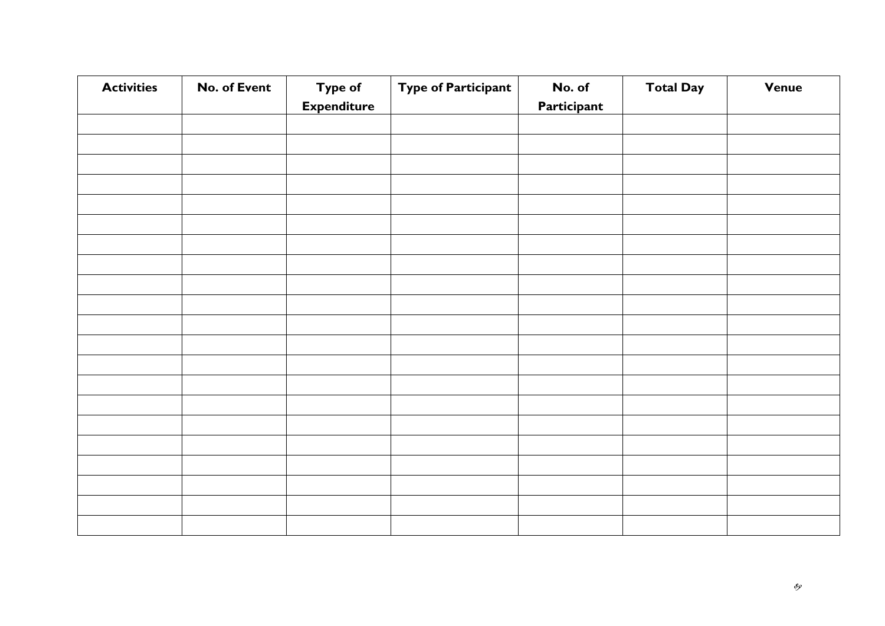| <b>Activities</b> | No. of Event | <b>Type of</b>     | <b>Type of Participant</b> | No. of      | <b>Total Day</b> | <b>Venue</b> |
|-------------------|--------------|--------------------|----------------------------|-------------|------------------|--------------|
|                   |              | <b>Expenditure</b> |                            | Participant |                  |              |
|                   |              |                    |                            |             |                  |              |
|                   |              |                    |                            |             |                  |              |
|                   |              |                    |                            |             |                  |              |
|                   |              |                    |                            |             |                  |              |
|                   |              |                    |                            |             |                  |              |
|                   |              |                    |                            |             |                  |              |
|                   |              |                    |                            |             |                  |              |
|                   |              |                    |                            |             |                  |              |
|                   |              |                    |                            |             |                  |              |
|                   |              |                    |                            |             |                  |              |
|                   |              |                    |                            |             |                  |              |
|                   |              |                    |                            |             |                  |              |
|                   |              |                    |                            |             |                  |              |
|                   |              |                    |                            |             |                  |              |
|                   |              |                    |                            |             |                  |              |
|                   |              |                    |                            |             |                  |              |
|                   |              |                    |                            |             |                  |              |
|                   |              |                    |                            |             |                  |              |
|                   |              |                    |                            |             |                  |              |
|                   |              |                    |                            |             |                  |              |
|                   |              |                    |                            |             |                  |              |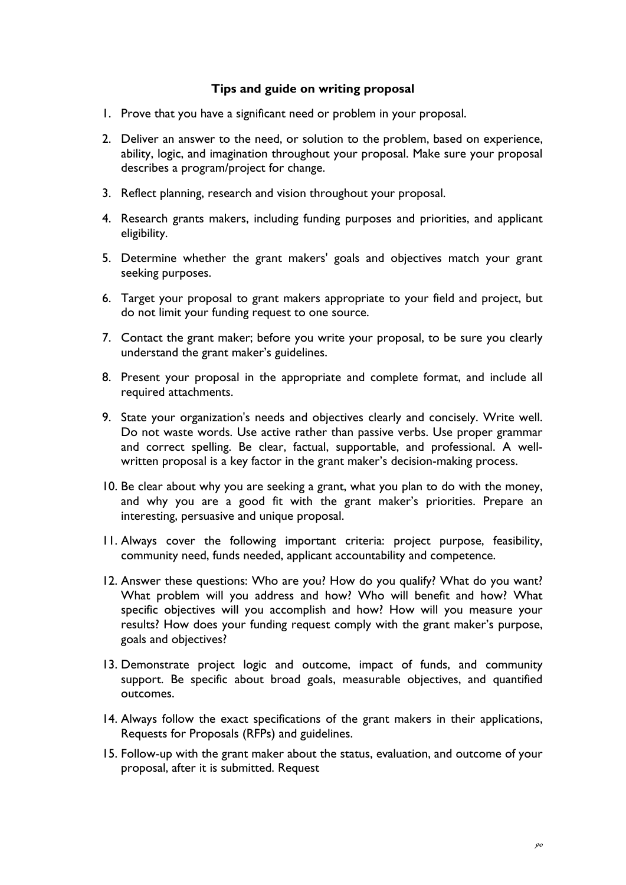### **Tips and guide on writing proposal**

- 1. Prove that you have a significant need or problem in your proposal.
- 2. Deliver an answer to the need, or solution to the problem, based on experience, ability, logic, and imagination throughout your proposal. Make sure your proposal describes a program/project for change.
- 3. Reflect planning, research and vision throughout your proposal.
- 4. Research grants makers, including funding purposes and priorities, and applicant eligibility.
- 5. Determine whether the grant makers' goals and objectives match your grant seeking purposes.
- 6. Target your proposal to grant makers appropriate to your field and project, but do not limit your funding request to one source.
- 7. Contact the grant maker; before you write your proposal, to be sure you clearly understand the grant maker's guidelines.
- 8. Present your proposal in the appropriate and complete format, and include all required attachments.
- 9. State your organization's needs and objectives clearly and concisely. Write well. Do not waste words. Use active rather than passive verbs. Use proper grammar and correct spelling. Be clear, factual, supportable, and professional. A wellwritten proposal is a key factor in the grant maker's decision-making process.
- 10. Be clear about why you are seeking a grant, what you plan to do with the money, and why you are a good fit with the grant maker's priorities. Prepare an interesting, persuasive and unique proposal.
- 11. Always cover the following important criteria: project purpose, feasibility, community need, funds needed, applicant accountability and competence.
- 12. Answer these questions: Who are you? How do you qualify? What do you want? What problem will you address and how? Who will benefit and how? What specific objectives will you accomplish and how? How will you measure your results? How does your funding request comply with the grant maker's purpose, goals and objectives?
- 13. Demonstrate project logic and outcome, impact of funds, and community support. Be specific about broad goals, measurable objectives, and quantified outcomes.
- 14. Always follow the exact specifications of the grant makers in their applications, Requests for Proposals (RFPs) and guidelines.
- 15. Follow-up with the grant maker about the status, evaluation, and outcome of your proposal, after it is submitted. Request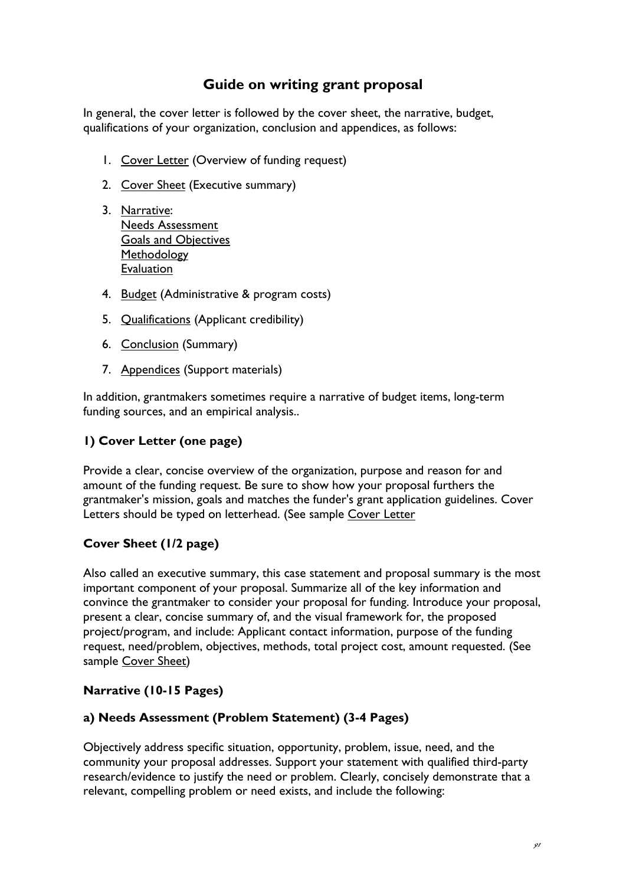## **Guide on writing grant proposal**

In general, the cover letter is followed by the cover sheet, the narrative, budget, qualifications of your organization, conclusion and appendices, as follows:

- 1. [Cover Letter](http://www.npguides.org/guide/components.htm#1#1) (Overview of funding request)
- 2. [Cover Sheet](http://www.npguides.org/guide/components.htm#2#2) (Executive summary)
- 3. [Narrative:](http://www.npguides.org/guide/components.htm#3#3) [Needs Assessment](http://www.npguides.org/guide/components.htm#3a#3a) [Goals and Objectives](http://www.npguides.org/guide/components.htm#3b#3b) [Methodology](http://www.npguides.org/guide/components.htm#3c#3c) [Evaluation](http://www.npguides.org/guide/components.htm#3d#3d)
- 4. [Budget](http://www.npguides.org/guide/components.htm#4#4) (Administrative & program costs)
- 5. [Qualifications](http://www.npguides.org/guide/components.htm#5#5) (Applicant credibility)
- 6. [Conclusion](http://www.npguides.org/guide/components.htm#6#6) (Summary)
- 7. [Appendices](http://www.npguides.org/guide/components.htm#7#7) (Support materials)

In addition, grantmakers sometimes require a narrative of budget items, long-term funding sources, and an empirical analysis..

## **1) Cover Letter (one page)**

Provide a clear, concise overview of the organization, purpose and reason for and amount of the funding request. Be sure to show how your proposal furthers the grantmaker's mission, goals and matches the funder's grant application guidelines. Cover Letters should be typed on letterhead. (See sample [Cover Letter](http://www.npguides.org/guide/cover_letter.htm)

### **Cover Sheet (1/2 page)**

Also called an executive summary, this case statement and proposal summary is the most important component of your proposal. Summarize all of the key information and convince the grantmaker to consider your proposal for funding. Introduce your proposal, present a clear, concise summary of, and the visual framework for, the proposed project/program, and include: Applicant contact information, purpose of the funding request, need/problem, objectives, methods, total project cost, amount requested. (See sample [Cover Sheet](http://www.npguides.org/guide/cover_sheet.htm))

### **Narrative (10-15 Pages)**

### **a) Needs Assessment (Problem Statement) (3-4 Pages)**

Objectively address specific situation, opportunity, problem, issue, need, and the community your proposal addresses. Support your statement with qualified third-party research/evidence to justify the need or problem. Clearly, concisely demonstrate that a relevant, compelling problem or need exists, and include the following: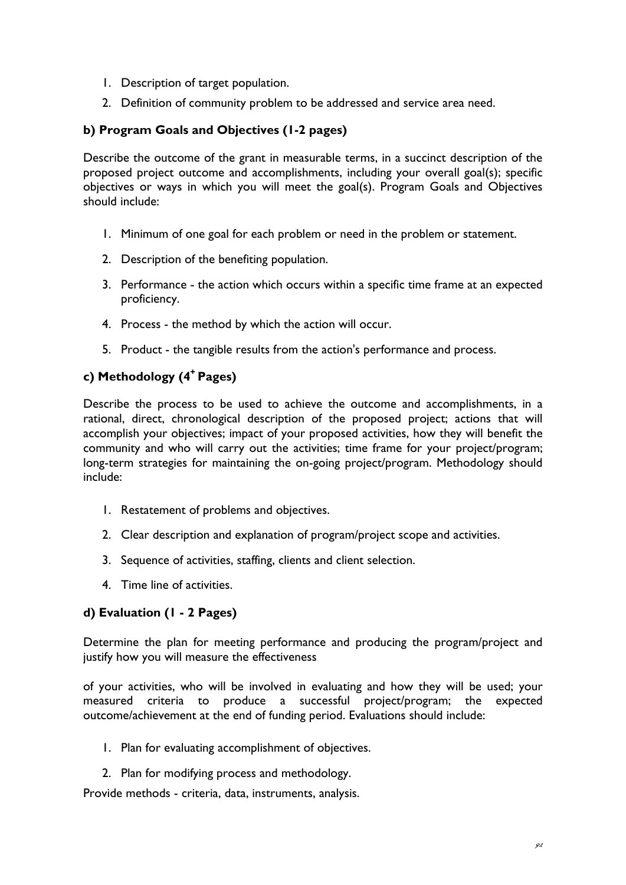- 1. Description of target population.
- 2. Definition of community problem to be addressed and service area need.

## **b) Program Goals and Objectives (1-2 pages)**

Describe the outcome of the grant in measurable terms, in a succinct description of the proposed project outcome and accomplishments, including your overall goal(s); specific objectives or ways in which you will meet the goal(s). Program Goals and Objectives should include:

- 1. Minimum of one goal for each problem or need in the problem or statement.
- 2. Description of the benefiting population.
- 3. Performance the action which occurs within a specific time frame at an expected proficiency.
- 4. Process the method by which the action will occur.
- 5. Product the tangible results from the action's performance and process.

## **c) Methodology (4+ Pages)**

Describe the process to be used to achieve the outcome and accomplishments, in a rational, direct, chronological description of the proposed project; actions that will accomplish your objectives; impact of your proposed activities, how they will benefit the community and who will carry out the activities; time frame for your project/program; long-term strategies for maintaining the on-going project/program. Methodology should include:

- 1. Restatement of problems and objectives.
- 2. Clear description and explanation of program/project scope and activities.
- 3. Sequence of activities, staffing, clients and client selection.
- 4. Time line of activities.

### **d) Evaluation (1 - 2 Pages)**

Determine the plan for meeting performance and producing the program/project and justify how you will measure the effectiveness

of your activities, who will be involved in evaluating and how they will be used; your measured criteria to produce a successful project/program; the expected outcome/achievement at the end of funding period. Evaluations should include:

- 1. Plan for evaluating accomplishment of objectives.
- 2. Plan for modifying process and methodology.

Provide methods - criteria, data, instruments, analysis.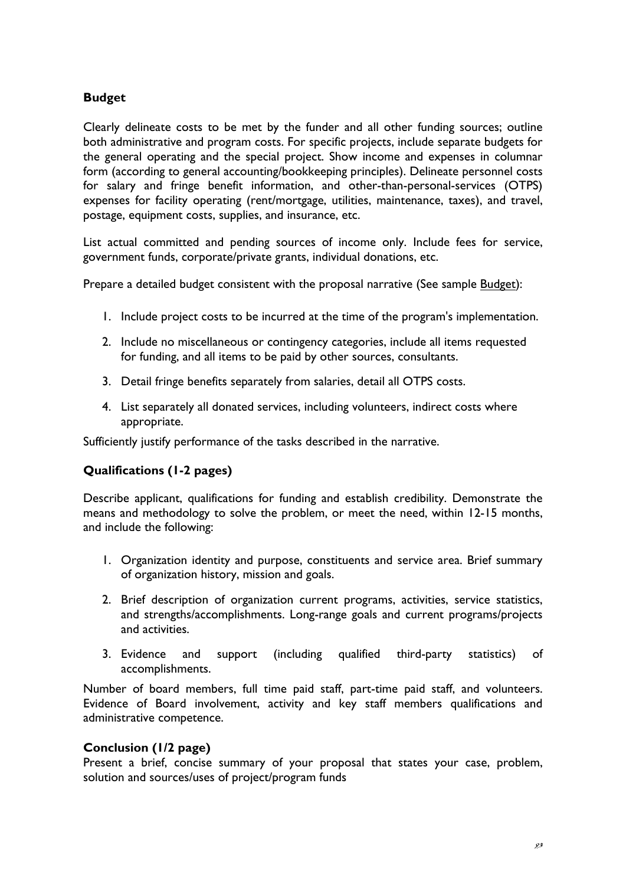### **Budget**

Clearly delineate costs to be met by the funder and all other funding sources; outline both administrative and program costs. For specific projects, include separate budgets for the general operating and the special project. Show income and expenses in columnar form (according to general accounting/bookkeeping principles). Delineate personnel costs for salary and fringe benefit information, and other-than-personal-services (OTPS) expenses for facility operating (rent/mortgage, utilities, maintenance, taxes), and travel, postage, equipment costs, supplies, and insurance, etc.

List actual committed and pending sources of income only. Include fees for service, government funds, corporate/private grants, individual donations, etc.

Prepare a detailed budget consistent with the proposal narrative (See sample [Budget\)](http://www.npguides.org/guide/budget.htm):

- 1. Include project costs to be incurred at the time of the program's implementation.
- 2. Include no miscellaneous or contingency categories, include all items requested for funding, and all items to be paid by other sources, consultants.
- 3. Detail fringe benefits separately from salaries, detail all OTPS costs.
- 4. List separately all donated services, including volunteers, indirect costs where appropriate.

Sufficiently justify performance of the tasks described in the narrative.

### **Qualifications (1-2 pages)**

Describe applicant, qualifications for funding and establish credibility. Demonstrate the means and methodology to solve the problem, or meet the need, within 12-15 months, and include the following:

- 1. Organization identity and purpose, constituents and service area. Brief summary of organization history, mission and goals.
- 2. Brief description of organization current programs, activities, service statistics, and strengths/accomplishments. Long-range goals and current programs/projects and activities.
- 3. Evidence and support (including qualified third-party statistics) of accomplishments.

Number of board members, full time paid staff, part-time paid staff, and volunteers. Evidence of Board involvement, activity and key staff members qualifications and administrative competence.

### **Conclusion (1/2 page)**

Present a brief, concise summary of your proposal that states your case, problem, solution and sources/uses of project/program funds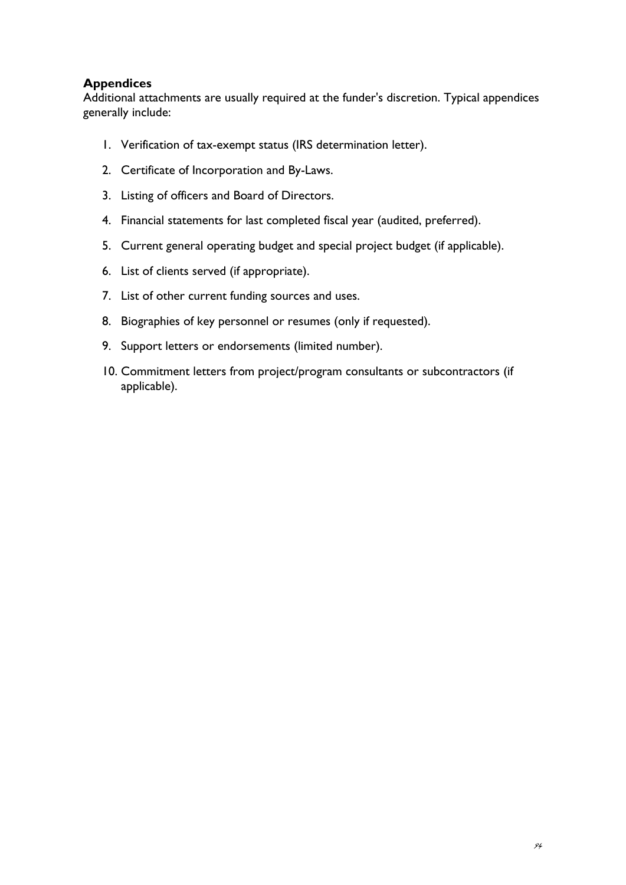## **Appendices**

Additional attachments are usually required at the funder's discretion. Typical appendices generally include:

- 1. Verification of tax-exempt status (IRS determination letter).
- 2. Certificate of Incorporation and By-Laws.
- 3. Listing of officers and Board of Directors.
- 4. Financial statements for last completed fiscal year (audited, preferred).
- 5. Current general operating budget and special project budget (if applicable).
- 6. List of clients served (if appropriate).
- 7. List of other current funding sources and uses.
- 8. Biographies of key personnel or resumes (only if requested).
- 9. Support letters or endorsements (limited number).
- 10. Commitment letters from project/program consultants or subcontractors (if applicable).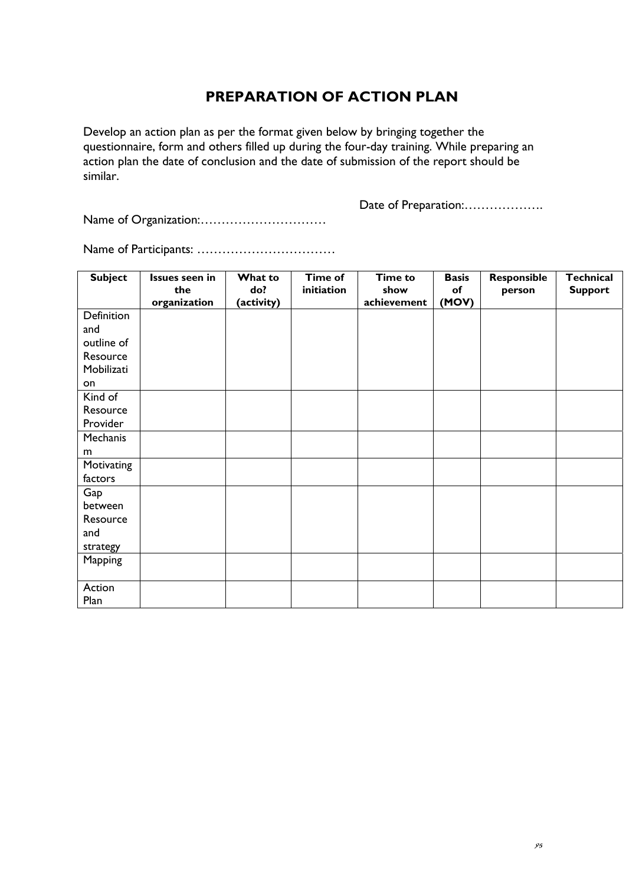# **PREPARATION OF ACTION PLAN**

Develop an action plan as per the format given below by bringing together the questionnaire, form and others filled up during the four-day training. While preparing an action plan the date of conclusion and the date of submission of the report should be similar.

Name of Organization:…………………………

Date of Preparation:...................

Name of Participants: ……………………………

| <b>Subject</b> | Issues seen in<br>the<br>organization | What to<br>do?<br>(activity) | Time of<br>initiation | <b>Time to</b><br>show<br>achievement | <b>Basis</b><br>of<br>(MOV) | Responsible<br>person | <b>Technical</b><br><b>Support</b> |
|----------------|---------------------------------------|------------------------------|-----------------------|---------------------------------------|-----------------------------|-----------------------|------------------------------------|
| Definition     |                                       |                              |                       |                                       |                             |                       |                                    |
| and            |                                       |                              |                       |                                       |                             |                       |                                    |
| outline of     |                                       |                              |                       |                                       |                             |                       |                                    |
| Resource       |                                       |                              |                       |                                       |                             |                       |                                    |
| Mobilizati     |                                       |                              |                       |                                       |                             |                       |                                    |
| on             |                                       |                              |                       |                                       |                             |                       |                                    |
| Kind of        |                                       |                              |                       |                                       |                             |                       |                                    |
| Resource       |                                       |                              |                       |                                       |                             |                       |                                    |
| Provider       |                                       |                              |                       |                                       |                             |                       |                                    |
| Mechanis       |                                       |                              |                       |                                       |                             |                       |                                    |
| m              |                                       |                              |                       |                                       |                             |                       |                                    |
| Motivating     |                                       |                              |                       |                                       |                             |                       |                                    |
| factors        |                                       |                              |                       |                                       |                             |                       |                                    |
| Gap            |                                       |                              |                       |                                       |                             |                       |                                    |
| between        |                                       |                              |                       |                                       |                             |                       |                                    |
| Resource       |                                       |                              |                       |                                       |                             |                       |                                    |
| and            |                                       |                              |                       |                                       |                             |                       |                                    |
| strategy       |                                       |                              |                       |                                       |                             |                       |                                    |
| Mapping        |                                       |                              |                       |                                       |                             |                       |                                    |
|                |                                       |                              |                       |                                       |                             |                       |                                    |
| Action         |                                       |                              |                       |                                       |                             |                       |                                    |
| Plan           |                                       |                              |                       |                                       |                             |                       |                                    |